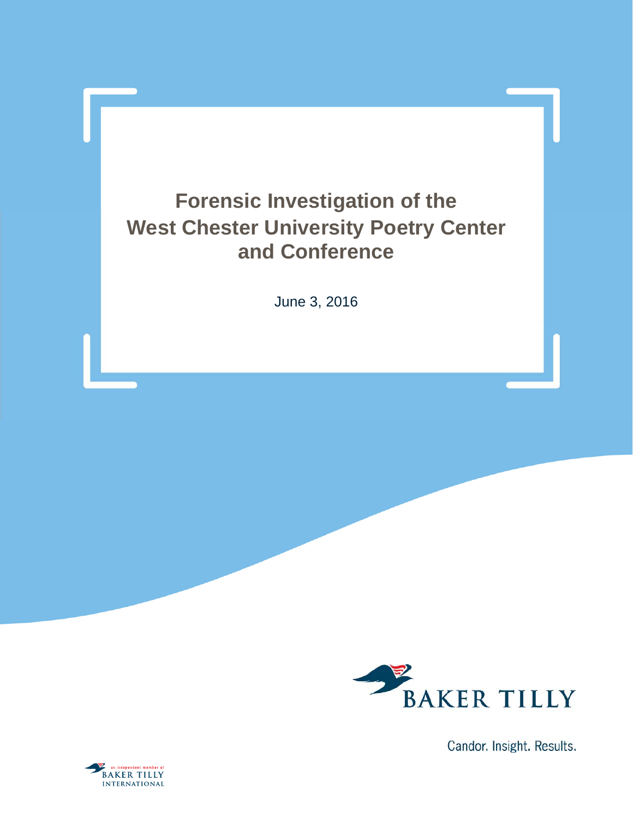## **Forensic Investigation of the West Chester University Poetry Center and Conference**

June 3, 2016



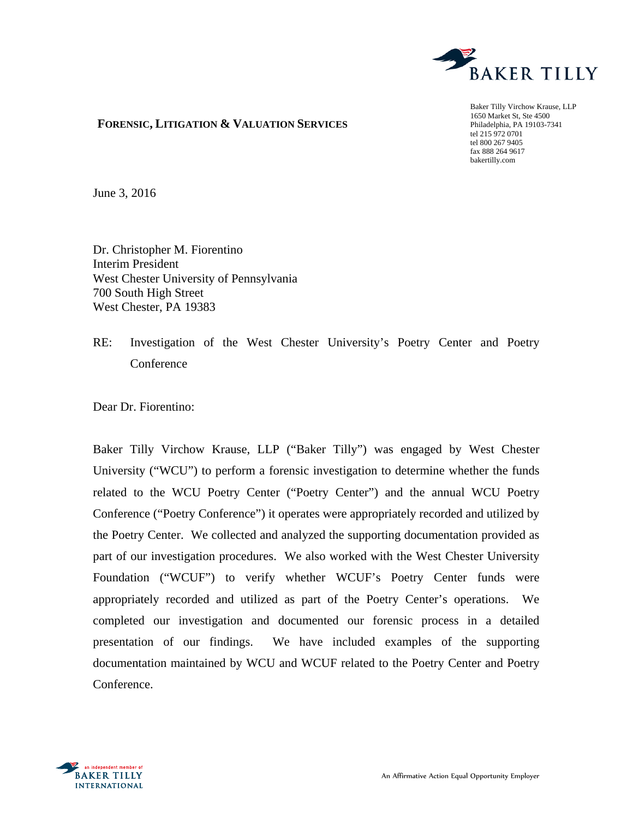

### **FORENSIC, LITIGATION & VALUATION SERVICES**

Baker Tilly Virchow Krause, LLP 1650 Market St, Ste 4500 Philadelphia, PA 19103-7341 tel 215 972 0701 tel 800 267 9405 fax 888 264 9617 bakertilly.com

June 3, 2016

Dr. Christopher M. Fiorentino Interim President West Chester University of Pennsylvania 700 South High Street West Chester, PA 19383

RE: Investigation of the West Chester University's Poetry Center and Poetry **Conference** 

Dear Dr. Fiorentino:

Baker Tilly Virchow Krause, LLP ("Baker Tilly") was engaged by West Chester University ("WCU") to perform a forensic investigation to determine whether the funds related to the WCU Poetry Center ("Poetry Center") and the annual WCU Poetry Conference ("Poetry Conference") it operates were appropriately recorded and utilized by the Poetry Center. We collected and analyzed the supporting documentation provided as part of our investigation procedures. We also worked with the West Chester University Foundation ("WCUF") to verify whether WCUF's Poetry Center funds were appropriately recorded and utilized as part of the Poetry Center's operations. We completed our investigation and documented our forensic process in a detailed presentation of our findings. We have included examples of the supporting documentation maintained by WCU and WCUF related to the Poetry Center and Poetry Conference.

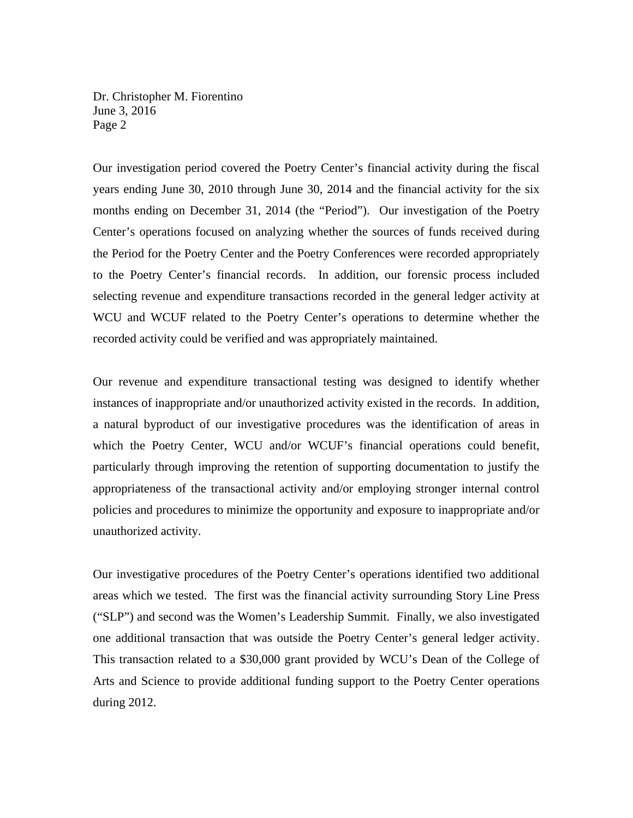Dr. Christopher M. Fiorentino June 3, 2016 Page 2

Our investigation period covered the Poetry Center's financial activity during the fiscal years ending June 30, 2010 through June 30, 2014 and the financial activity for the six months ending on December 31, 2014 (the "Period"). Our investigation of the Poetry Center's operations focused on analyzing whether the sources of funds received during the Period for the Poetry Center and the Poetry Conferences were recorded appropriately to the Poetry Center's financial records. In addition, our forensic process included selecting revenue and expenditure transactions recorded in the general ledger activity at WCU and WCUF related to the Poetry Center's operations to determine whether the recorded activity could be verified and was appropriately maintained.

Our revenue and expenditure transactional testing was designed to identify whether instances of inappropriate and/or unauthorized activity existed in the records. In addition, a natural byproduct of our investigative procedures was the identification of areas in which the Poetry Center, WCU and/or WCUF's financial operations could benefit, particularly through improving the retention of supporting documentation to justify the appropriateness of the transactional activity and/or employing stronger internal control policies and procedures to minimize the opportunity and exposure to inappropriate and/or unauthorized activity.

Our investigative procedures of the Poetry Center's operations identified two additional areas which we tested. The first was the financial activity surrounding Story Line Press ("SLP") and second was the Women's Leadership Summit. Finally, we also investigated one additional transaction that was outside the Poetry Center's general ledger activity. This transaction related to a \$30,000 grant provided by WCU's Dean of the College of Arts and Science to provide additional funding support to the Poetry Center operations during 2012.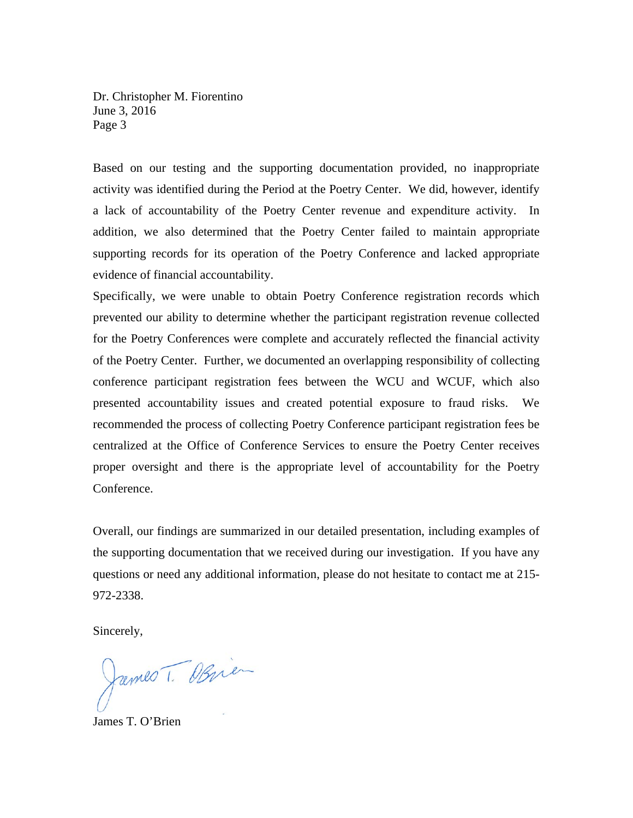Dr. Christopher M. Fiorentino June 3, 2016 Page 3

Based on our testing and the supporting documentation provided, no inappropriate activity was identified during the Period at the Poetry Center. We did, however, identify a lack of accountability of the Poetry Center revenue and expenditure activity. In addition, we also determined that the Poetry Center failed to maintain appropriate supporting records for its operation of the Poetry Conference and lacked appropriate evidence of financial accountability.

Specifically, we were unable to obtain Poetry Conference registration records which prevented our ability to determine whether the participant registration revenue collected for the Poetry Conferences were complete and accurately reflected the financial activity of the Poetry Center. Further, we documented an overlapping responsibility of collecting conference participant registration fees between the WCU and WCUF, which also presented accountability issues and created potential exposure to fraud risks. We recommended the process of collecting Poetry Conference participant registration fees be centralized at the Office of Conference Services to ensure the Poetry Center receives proper oversight and there is the appropriate level of accountability for the Poetry Conference.

Overall, our findings are summarized in our detailed presentation, including examples of the supporting documentation that we received during our investigation. If you have any questions or need any additional information, please do not hesitate to contact me at 215- 972-2338.

Sincerely,

James T. Obrien

James T. O'Brien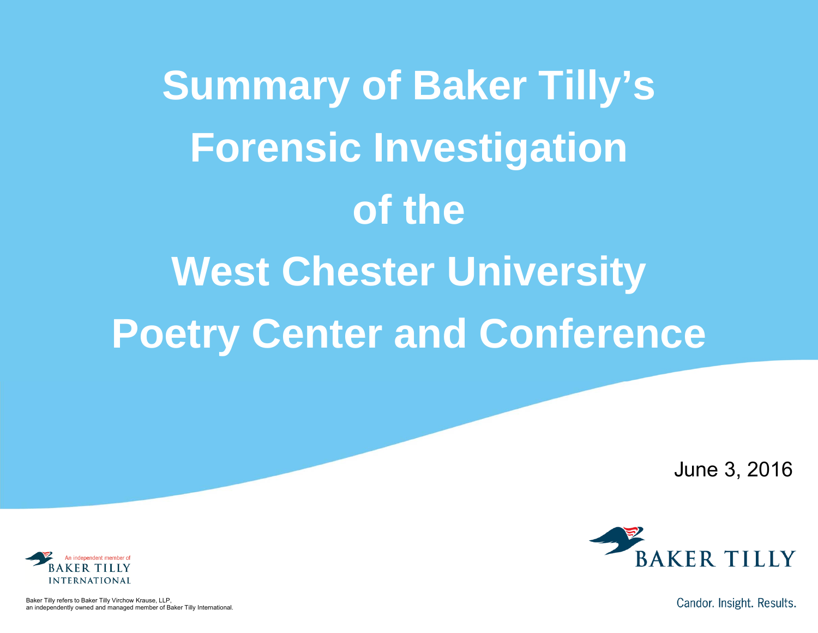**Summary of Baker Tilly's Forensic Investigation of the West Chester University Poetry Center and Conference**

June 3, 2016





Baker Tilly refers to Baker Tilly Virchow Krause, LLP, an independently owned and managed member of Baker Tilly International.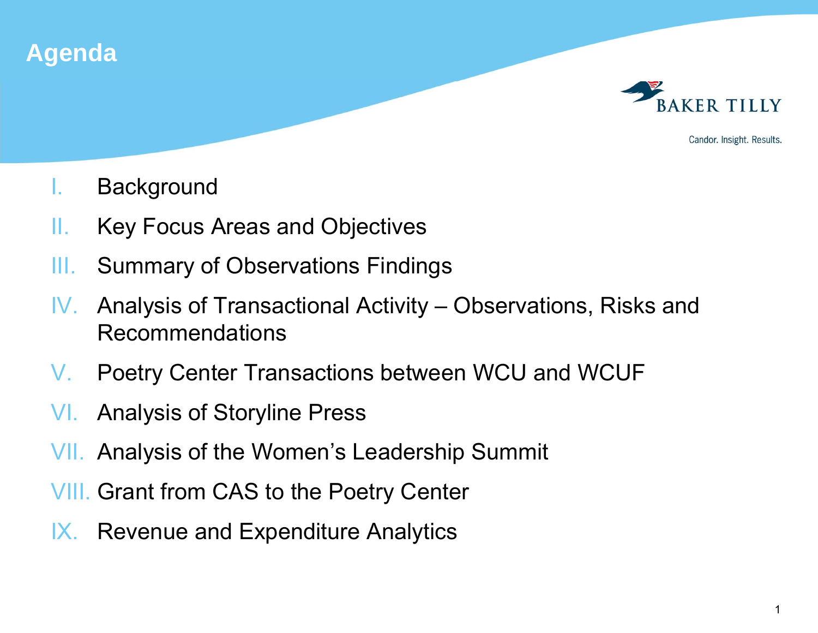

- I.**Background**
- II.Key Focus Areas and Objectives
- III.Summary of Observations Findings
- IV. Analysis of Transactional Activity – Observations, Risks and Recommendations
- V.Poetry Center Transactions between WCU and WCUF
- VI.Analysis of Storyline Press
- VII. Analysis of the Women's Leadership Summit
- VIII. Grant from CAS to the Poetry Center
- IX. Revenue and Expenditure Analytics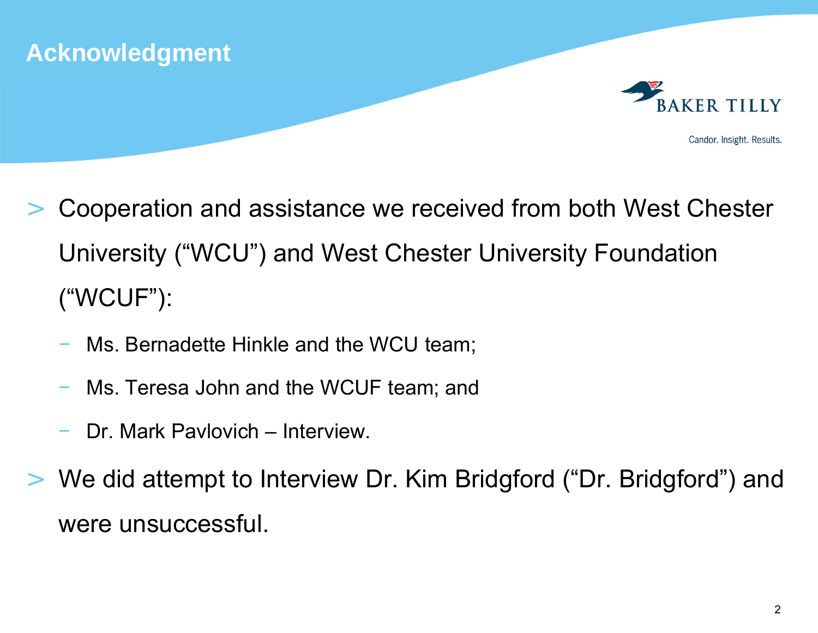

- > Cooperation and assistance we received from both West Chester University ("WCU") and West Chester University Foundation ("WCUF"):
	- Ms. Bernadette Hinkle and the WCU team;
	- Ms. Teresa John and the WCUF team; and
	- Dr. Mark Pavlovich Interview.
- > We did attempt to Interview Dr. Kim Bridgford ("Dr. Bridgford") and were unsuccessful.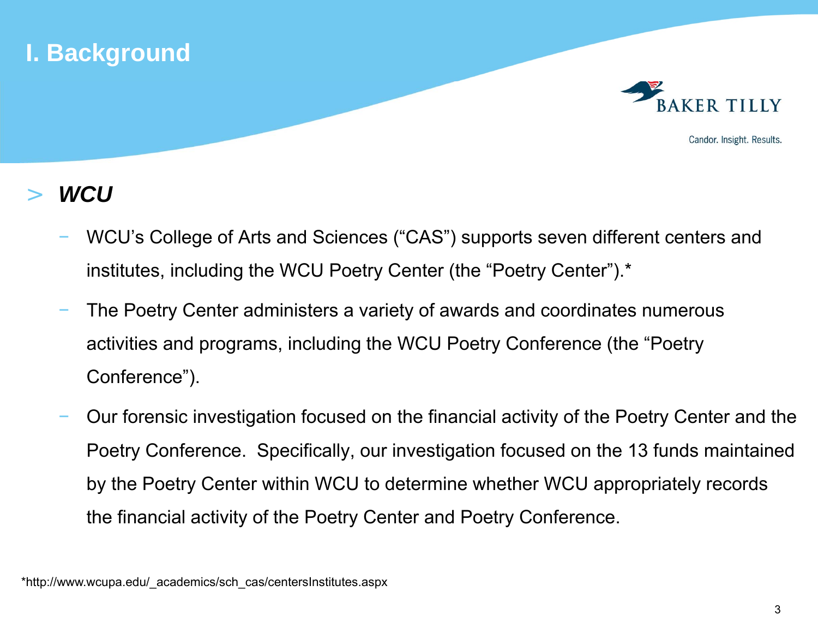



Candor. Insight. Results.

#### >*WCU*

- WCU's College of Arts and Sciences ("CAS") supports seven different centers and institutes, including the WCU Poetry Center (the "Poetry Center").\*
- The Poetry Center administers a variety of awards and coordinates numerous activities and programs, including the WCU Poetry Conference (the "Poetry Conference").
- Our forensic investigation focused on the financial activity of the Poetry Center and the Poetry Conference. Specifically, our investigation focused on the 13 funds maintained by the Poetry Center within WCU to determine whether WCU appropriately records the financial activity of the Poetry Center and Poetry Conference.

\*http://www.wcupa.edu/\_academics/sch\_cas/centersInstitutes.aspx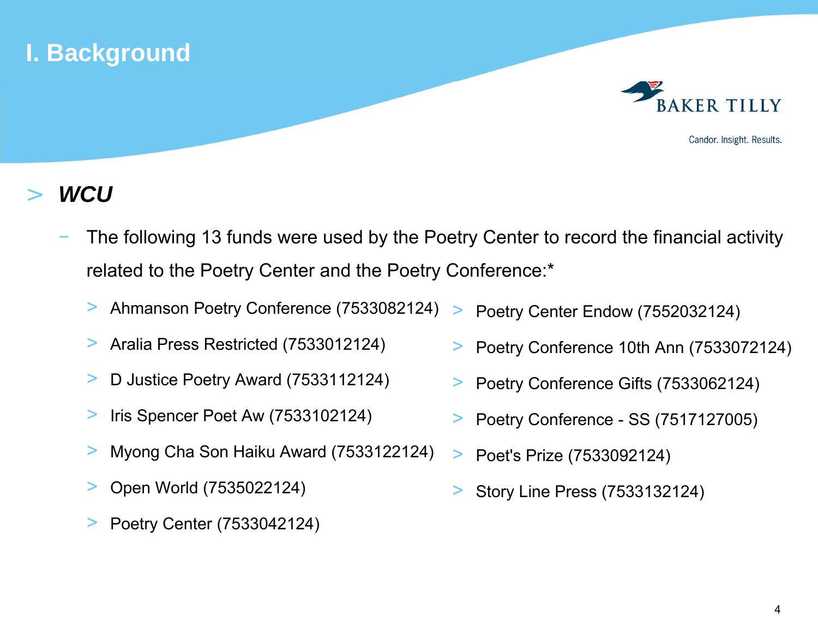



Candor. Insight. Results.

#### >*WCU*

- The following 13 funds were used by the Poetry Center to record the financial activity related to the Poetry Center and the Poetry Conference:\*
	- > Ahmanson Poetry Conference (7533082124) >Poetry Center Endow (7552032124)
	- >Aralia Press Restricted (7533012124)
	- >D Justice Poetry Award (7533112124)
	- >Iris Spencer Poet Aw (7533102124)
	- >Myong Cha Son Haiku Award (7533122124)
	- >Open World (7535022124)
	- >Poetry Center (7533042124)
- >Poetry Conference 10th Ann (7533072124)
- $\geq$ Poetry Conference Gifts (7533062124)
- >Poetry Conference - SS (7517127005)
- >Poet's Prize (7533092124)
- >Story Line Press (7533132124)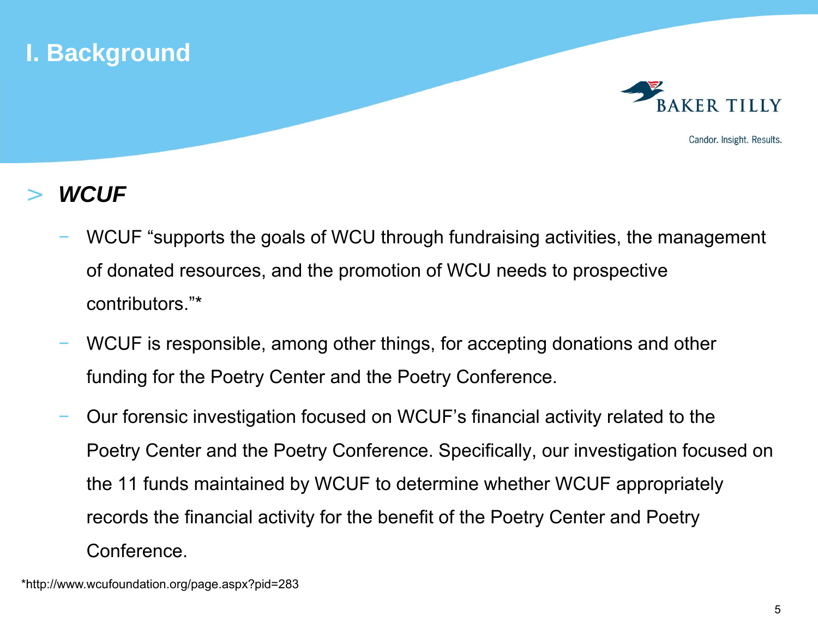



Candor. Insight. Results.

#### >*WCUF*

- WCUF "supports the goals of WCU through fundraising activities, the management of donated resources, and the promotion of WCU needs to prospective contributors."\*
- WCUF is responsible, among other things, for accepting donations and other funding for the Poetry Center and the Poetry Conference.
- Our forensic investigation focused on WCUF's financial activity related to the Poetry Center and the Poetry Conference. Specifically, our investigation focused on the 11 funds maintained by WCUF to determine whether WCUF appropriately records the financial activity for the benefit of the Poetry Center and Poetry Conference.

\*http://www.wcufoundation.org/page.aspx?pid=283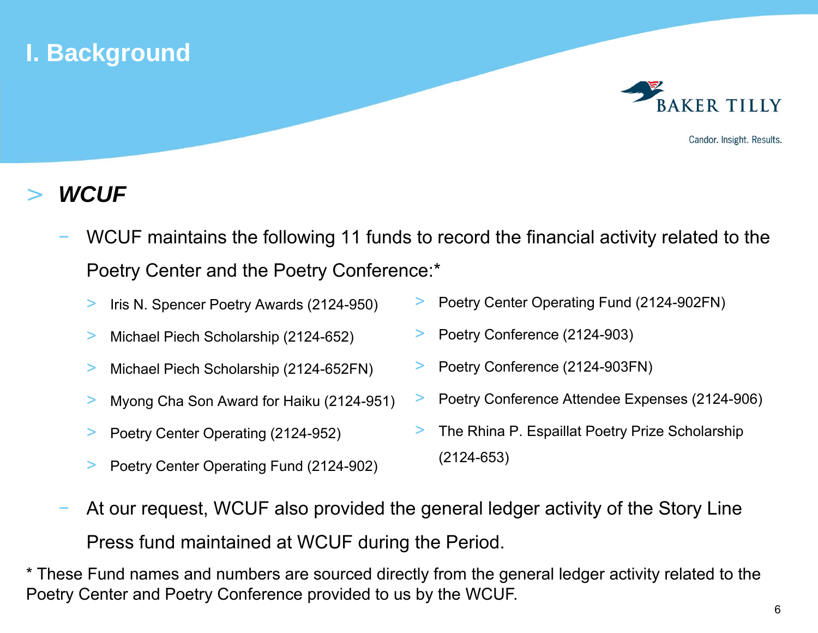# **I. Background**



Candor. Insight. Results.

#### >*WCUF*

- WCUF maintains the following 11 funds to record the financial activity related to the Poetry Center and the Poetry Conference:\*
	- >Iris N. Spencer Poetry Awards (2124-950)
	- >Michael Piech Scholarship (2124-652)
	- >Michael Piech Scholarship (2124-652FN)
	- >Myong Cha Son Award for Haiku (2124-951)
	- >Poetry Center Operating (2124-952)
	- >Poetry Center Operating Fund (2124-902)
- >Poetry Center Operating Fund (2124-902FN)
- >Poetry Conference (2124-903)
- >Poetry Conference (2124-903FN)
- >Poetry Conference Attendee Expenses (2124-906)
- > The Rhina P. Espaillat Poetry Prize Scholarship (2124-653)
- At our request, WCUF also provided the general ledger activity of the Story Line Press fund maintained at WCUF during the Period.

\* These Fund names and numbers are sourced directly from the general ledger activity related to the Poetry Center and Poetry Conference provided to us by the WCUF.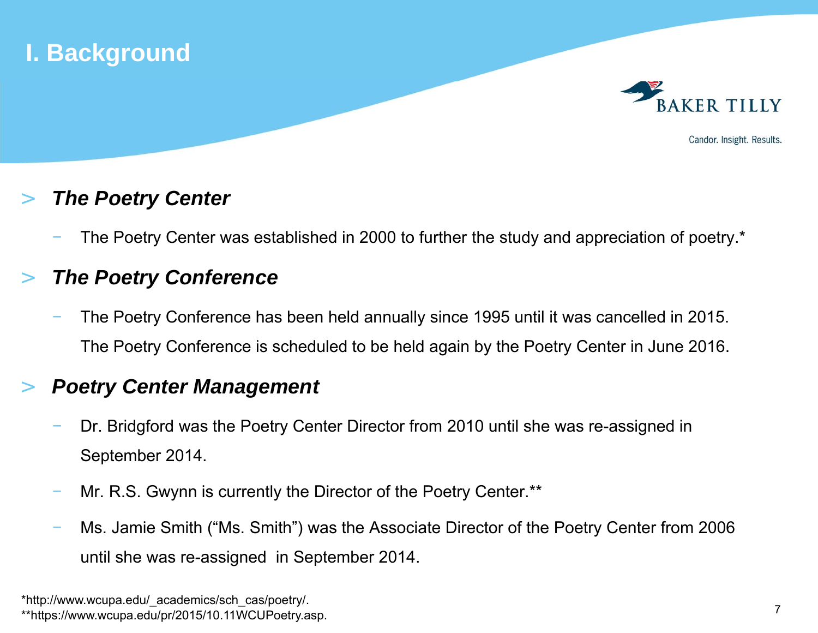

#### >*The Poetry Center*

The Poetry Center was established in 2000 to further the study and appreciation of poetry.\*

#### >*The Poetry Conference*

 The Poetry Conference has been held annually since 1995 until it was cancelled in 2015. The Poetry Conference is scheduled to be held again by the Poetry Center in June 2016.

#### >*Poetry Center Management*

- Dr. Bridgford was the Poetry Center Director from 2010 until she was re-assigned in September 2014.
- Mr. R.S. Gwynn is currently the Director of the Poetry Center.\*\*
- Ms. Jamie Smith ("Ms. Smith") was the Associate Director of the Poetry Center from 2006 until she was re-assigned in September 2014.

<sup>\*</sup>http://www.wcupa.edu/\_academics/sch\_cas/poetry/. \*\*https://www.wcupa.edu/pr/2015/10.11WCUPoetry.asp.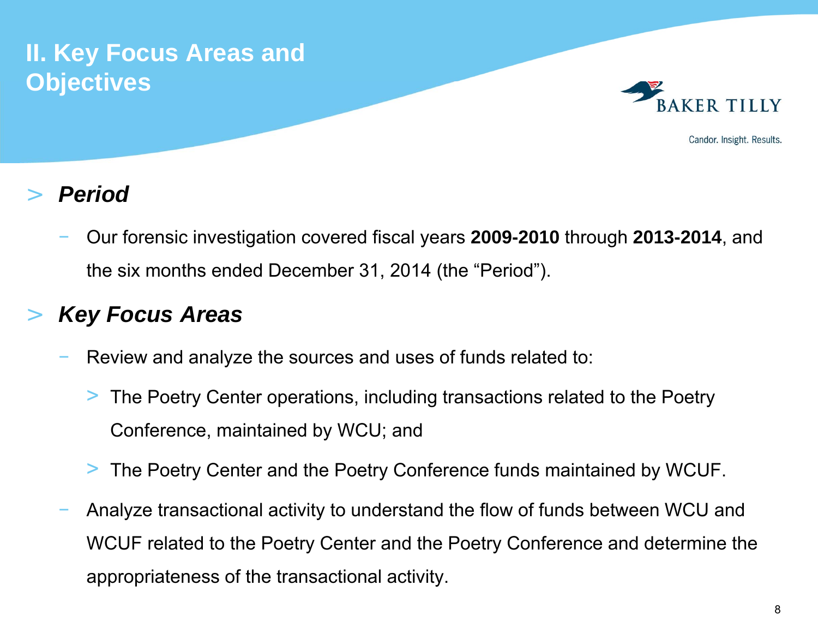# **II. Key Focus Areas and Objectives**



Candor. Insight. Results.

#### >*Period*

 Our forensic investigation covered fiscal years **2009-2010** through **2013-2014**, and the six months ended December 31, 2014 (the "Period").

### >*Key Focus Areas*

- Review and analyze the sources and uses of funds related to:
	- > The Poetry Center operations, including transactions related to the Poetry Conference, maintained by WCU; and
	- > The Poetry Center and the Poetry Conference funds maintained by WCUF.
- Analyze transactional activity to understand the flow of funds between WCU and WCUF related to the Poetry Center and the Poetry Conference and determine the appropriateness of the transactional activity.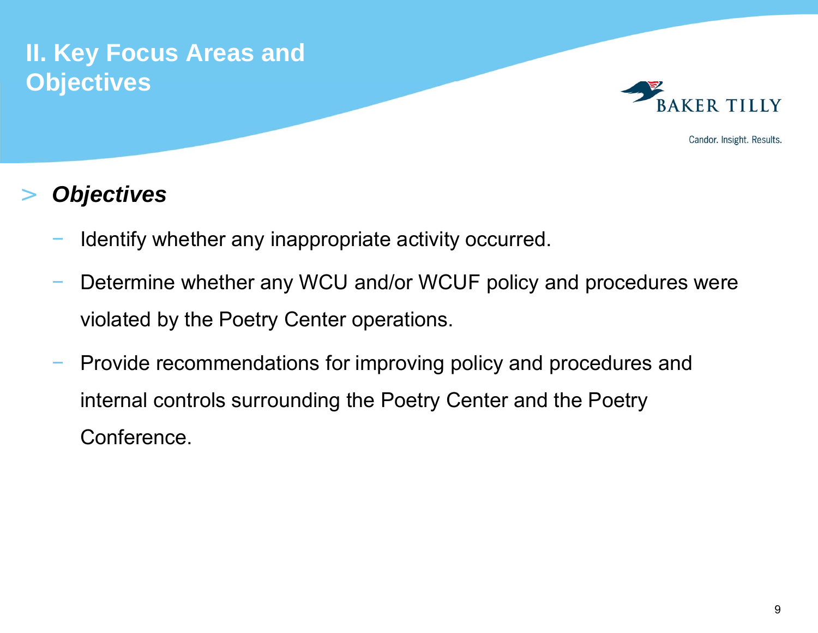# **II. Key Focus Areas and Objectives**



Candor. Insight. Results.

### >*Objectives*

- Identify whether any inappropriate activity occurred.
- Determine whether any WCU and/or WCUF policy and procedures were violated by the Poetry Center operations.
- Provide recommendations for improving policy and procedures and internal controls surrounding the Poetry Center and the Poetry Conference.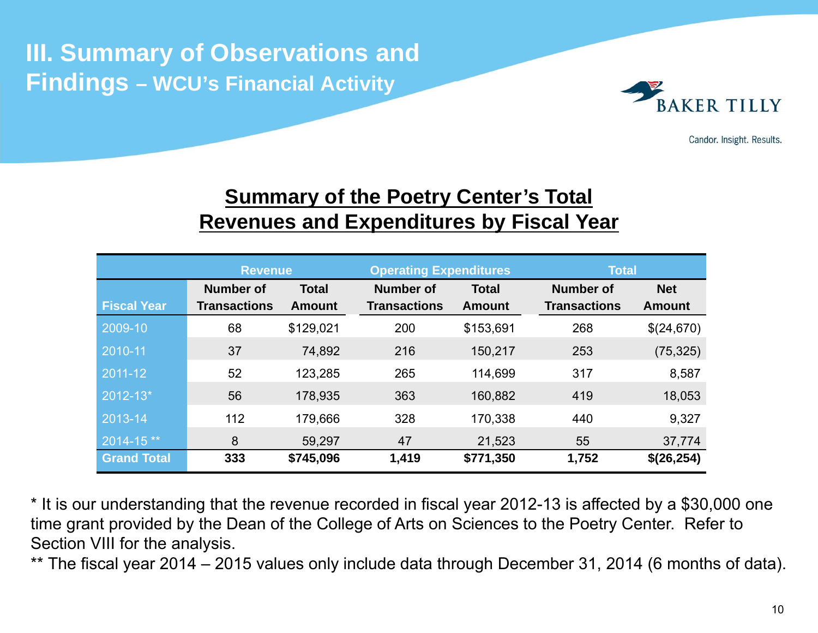# **III. Summary of Observations and Findings – WCU's Financial Activity**



Candor. Insight. Results.

## **<u>Summary of the Poetry Center's Total</u> Revenues and Expenditures by Fiscal Year**

|                    | <b>Revenue</b>            |               | <b>Operating Expenditures</b>    |               | <b>Total</b>        |               |  |  |
|--------------------|---------------------------|---------------|----------------------------------|---------------|---------------------|---------------|--|--|
|                    | Number of<br><b>Total</b> |               | <b>Number of</b><br><b>Total</b> |               | Number of           | <b>Net</b>    |  |  |
| <b>Fiscal Year</b> | <b>Transactions</b>       | <b>Amount</b> | <b>Transactions</b>              | <b>Amount</b> | <b>Transactions</b> | <b>Amount</b> |  |  |
| 2009-10            | 68                        | \$129,021     | 200                              | \$153,691     | 268                 | \$(24,670)    |  |  |
| 2010-11            | 37                        | 74,892        | 216                              | 150,217       | 253                 | (75, 325)     |  |  |
| 2011-12            | 52                        | 123,285       | 265                              | 114,699       | 317                 | 8,587         |  |  |
| 2012-13*           | 56                        | 178,935       | 363                              | 160,882       | 419                 | 18,053        |  |  |
| 2013-14            | 112                       | 179,666       | 328                              | 170,338       | 440                 | 9,327         |  |  |
| $2014 - 15$ **     | 8                         | 59,297        | 47                               | 21,523        | 55                  | 37,774        |  |  |
| <b>Grand Total</b> | 333                       | \$745,096     | 1,419                            | \$771,350     | 1,752               | \$(26,254)    |  |  |

\* It is our understanding that the revenue recorded in fiscal year 2012-13 is affected by a \$30,000 one time grant provided by the Dean of the College of Arts on Sciences to the Poetry Center. Refer to Section VIII for the analysis.

\*\* The fiscal year 2014 – 2015 values only include data through December 31, 2014 (6 months of data).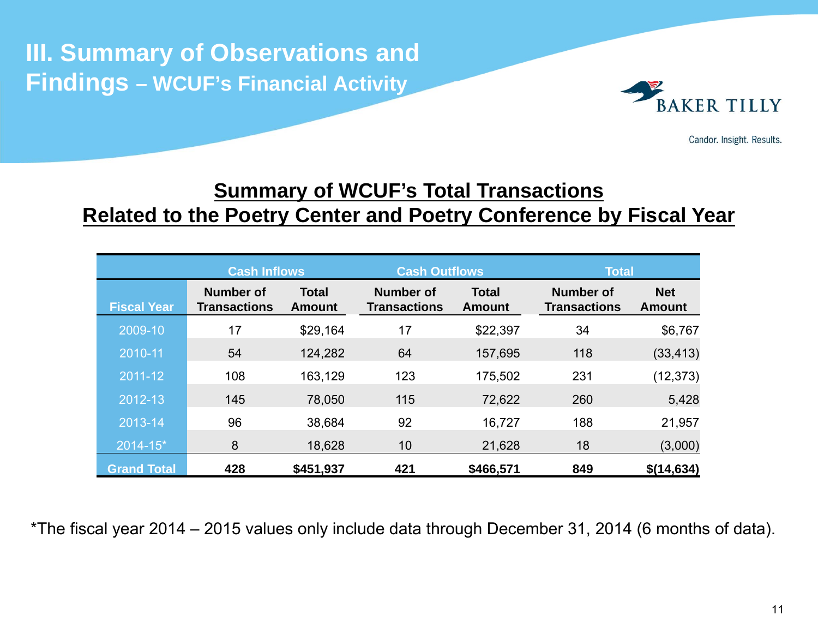**III. Summary of Observations and Findings – WCUF's Financial Activity** 



Candor. Insight. Results.

## **Summary of WCUF's Total Transactions Related to the Poetry Center and Poetry Conference by Fiscal Year**

|                    | <b>Cash Inflows</b>                                                      |           |                                         | <b>Cash Outflows</b>          | <b>Total</b> |                             |  |
|--------------------|--------------------------------------------------------------------------|-----------|-----------------------------------------|-------------------------------|--------------|-----------------------------|--|
| <b>Fiscal Year</b> | <b>Total</b><br><b>Number of</b><br><b>Transactions</b><br><b>Amount</b> |           | <b>Number of</b><br><b>Transactions</b> | <b>Total</b><br><b>Amount</b> |              | <b>Net</b><br><b>Amount</b> |  |
| $2009 - 10$        | 17                                                                       | \$29,164  | 17                                      | \$22,397                      | 34           | \$6,767                     |  |
| 2010-11            | 54                                                                       | 124,282   | 64                                      | 157,695                       | 118          | (33, 413)                   |  |
| 2011-12            | 108                                                                      | 163,129   | 123                                     | 175,502                       | 231          | (12, 373)                   |  |
| $2012 - 13$        | 145                                                                      | 78,050    | 115                                     | 72,622                        | 260          | 5,428                       |  |
| 2013-14            | 96                                                                       | 38,684    | 92                                      | 16,727                        | 188          | 21,957                      |  |
| 2014-15*           | 8                                                                        | 18,628    | 10                                      | 21,628                        | 18           | (3,000)                     |  |
| <b>Grand Total</b> | 428                                                                      | \$451,937 | 421                                     | \$466,571                     | 849          | \$(14,634)                  |  |

\*The fiscal year 2014 – 2015 values only include data through December 31, 2014 (6 months of data).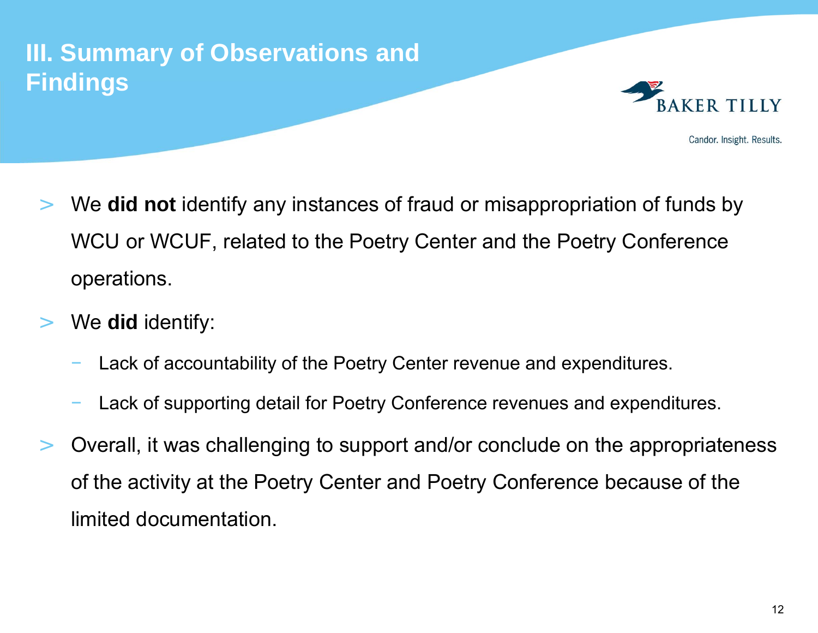# **III. Summary of Observations and Findings**



- > We **did not** identify any instances of fraud or misappropriation of funds by WCU or WCUF, related to the Poetry Center and the Poetry Conference operations.
- $>$  We **did** identify:
	- Lack of accountability of the Poetry Center revenue and expenditures.
	- Lack of supporting detail for Poetry Conference revenues and expenditures.
- $\geq$  Overall, it was challenging to support and/or conclude on the appropriateness of the activity at the Poetry Center and Poetry Conference because of the limited documentation.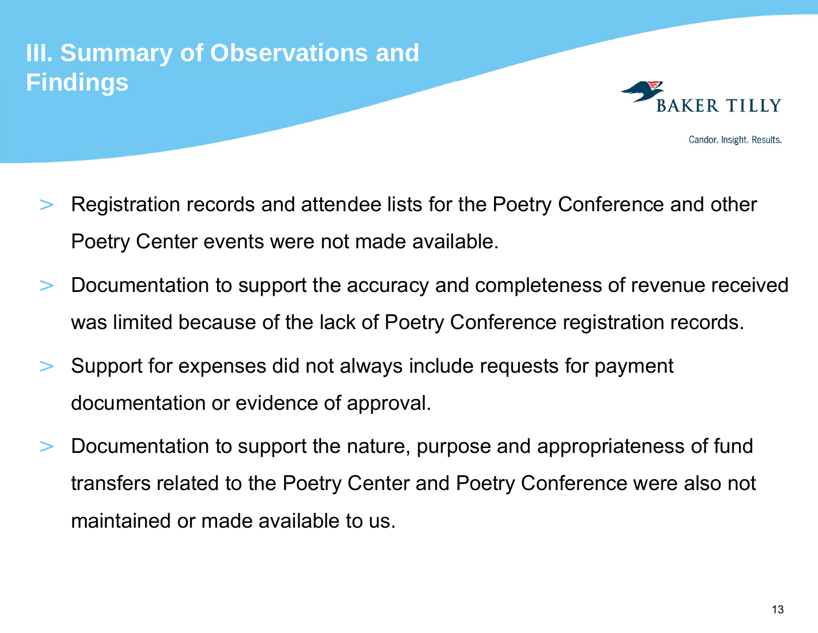# **III. Summary of Observations and Findings**



- > Registration records and attendee lists for the Poetry Conference and other Poetry Center events were not made available.
- $\geq$  Documentation to support the accuracy and completeness of revenue received was limited because of the lack of Poetry Conference registration records.
- $>$  Support for expenses did not always include requests for payment documentation or evidence of approval.
- $\geq$  Documentation to support the nature, purpose and appropriateness of fund transfers related to the Poetry Center and Poetry Conference were also not maintained or made available to us.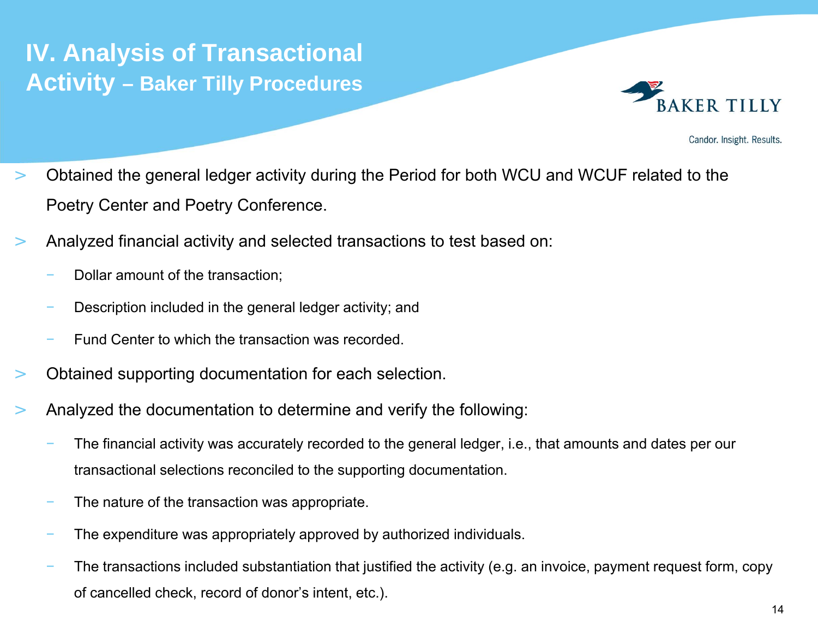# **IV. Analysis of Transactional Activity – Baker Tilly Procedures**



- $>$  Obtained the general ledger activity during the Period for both WCU and WCUF related to the Poetry Center and Poetry Conference.
- $>$  Analyzed financial activity and selected transactions to test based on:
	- Dollar amount of the transaction;
	- Description included in the general ledger activity; and
	- Fund Center to which the transaction was recorded.
- >Obtained supporting documentation for each selection.
- > Analyzed the documentation to determine and verify the following:
	- The financial activity was accurately recorded to the general ledger, i.e., that amounts and dates per our transactional selections reconciled to the supporting documentation.
	- The nature of the transaction was appropriate.
	- The expenditure was appropriately approved by authorized individuals.
	- The transactions included substantiation that justified the activity (e.g. an invoice, payment request form, copy of cancelled check, record of donor's intent, etc.).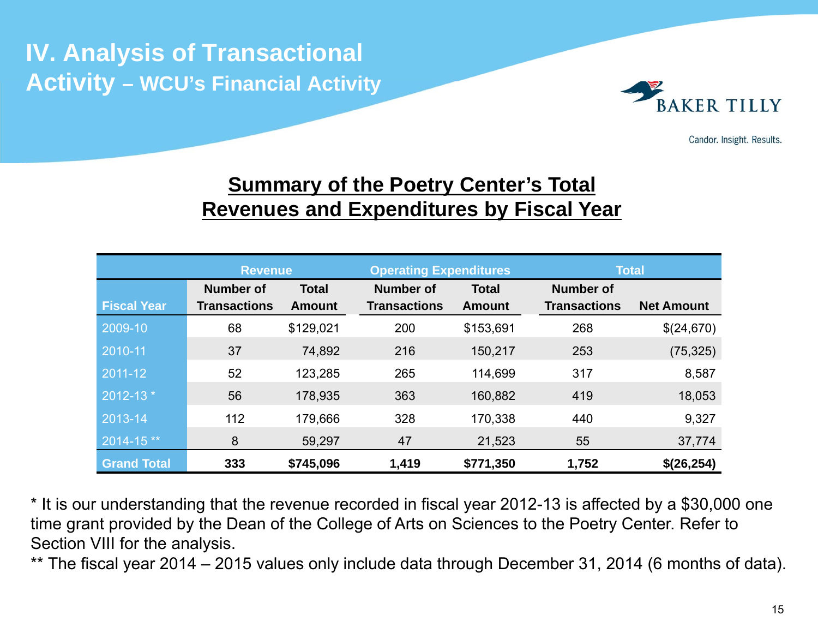# **IV. Analysis of Transactional Activity – WCU's Financial Activity**



Candor. Insight. Results.

## **Summary of the Poetry Center's Total Revenues and Expenditures by Fiscal Year**

|                    | <b>Revenue</b>                   |               | <b>Operating Expenditures</b>    |               | <b>Total</b>        |                   |  |
|--------------------|----------------------------------|---------------|----------------------------------|---------------|---------------------|-------------------|--|
|                    | <b>Number of</b><br><b>Total</b> |               | <b>Number of</b><br><b>Total</b> |               | <b>Number of</b>    |                   |  |
| <b>Fiscal Year</b> | <b>Transactions</b>              | <b>Amount</b> | <b>Transactions</b>              | <b>Amount</b> | <b>Transactions</b> | <b>Net Amount</b> |  |
| 2009-10            | 68                               | \$129,021     | 200                              | \$153,691     | 268                 | \$(24,670)        |  |
| 2010-11            | 37                               | 74,892        | 216                              | 150,217       | 253                 | (75, 325)         |  |
| 2011-12            | 52                               | 123,285       | 265                              | 114,699       | 317                 | 8,587             |  |
| 2012-13 *          | 56                               | 178,935       | 363                              | 160,882       | 419                 | 18,053            |  |
| 2013-14            | 112                              | 179,666       | 328                              | 170,338       | 440                 | 9,327             |  |
| 2014-15**          | 8                                | 59,297        | 47                               | 21,523        | 55                  | 37,774            |  |
| <b>Grand Total</b> | 333                              | \$745,096     | 1,419                            | \$771,350     | 1,752               | \$(26,254)        |  |

\* It is our understanding that the revenue recorded in fiscal year 2012-13 is affected by a \$30,000 one time grant provided by the Dean of the College of Arts on Sciences to the Poetry Center. Refer to Section VIII for the analysis.

\*\* The fiscal year 2014 – 2015 values only include data through December 31, 2014 (6 months of data).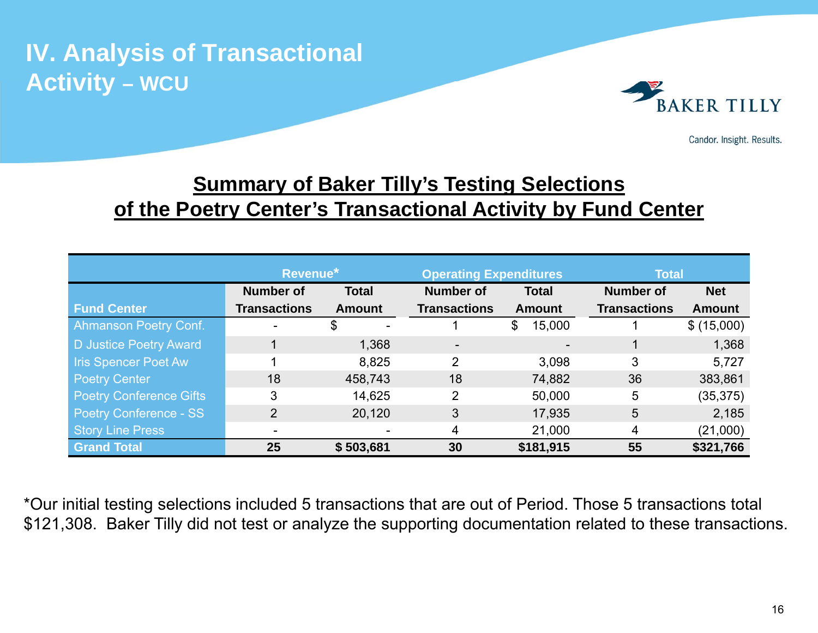

Candor. Insight. Results.

## **<u>Summary of Baker Tilly's Testing Selections</u> of the Poetry Center's Transactional Activity by Fund Center**

|                                | Revenue*                         |               | <b>Operating Expenditures</b> |               | <b>Total</b>        |               |  |
|--------------------------------|----------------------------------|---------------|-------------------------------|---------------|---------------------|---------------|--|
|                                | <b>Number of</b><br><b>Total</b> |               | <b>Number of</b>              | <b>Total</b>  | <b>Number of</b>    | <b>Net</b>    |  |
| <b>Fund Center</b>             | <b>Transactions</b>              | <b>Amount</b> |                               | <b>Amount</b> | <b>Transactions</b> | <b>Amount</b> |  |
| <b>Ahmanson Poetry Conf.</b>   |                                  | \$            |                               | 15,000<br>\$  |                     | \$ (15,000)   |  |
| D Justice Poetry Award         |                                  | 1,368         | $\overline{\phantom{a}}$      |               |                     | 1,368         |  |
| <b>Iris Spencer Poet Aw</b>    |                                  | 8,825         | 2                             | 3,098         | 3                   | 5,727         |  |
| <b>Poetry Center</b>           | 18                               | 458,743       | 18                            | 74,882        | 36                  | 383,861       |  |
| <b>Poetry Conference Gifts</b> | 3                                | 14,625        | $\overline{2}$                | 50,000        | 5                   | (35, 375)     |  |
| <b>Poetry Conference - SS</b>  | $\overline{2}$                   | 20,120        | 3                             | 17,935        | 5                   | 2,185         |  |
| <b>Story Line Press</b>        |                                  |               | 4                             | 21,000        | 4                   | (21,000)      |  |
| <b>Grand Total</b>             | 25                               | \$503,681     | 30                            | \$181,915     | 55                  | \$321,766     |  |

\*Our initial testing selections included 5 transactions that are out of Period. Those 5 transactions total \$121,308. Baker Tilly did not test or analyze the supporting documentation related to these transactions.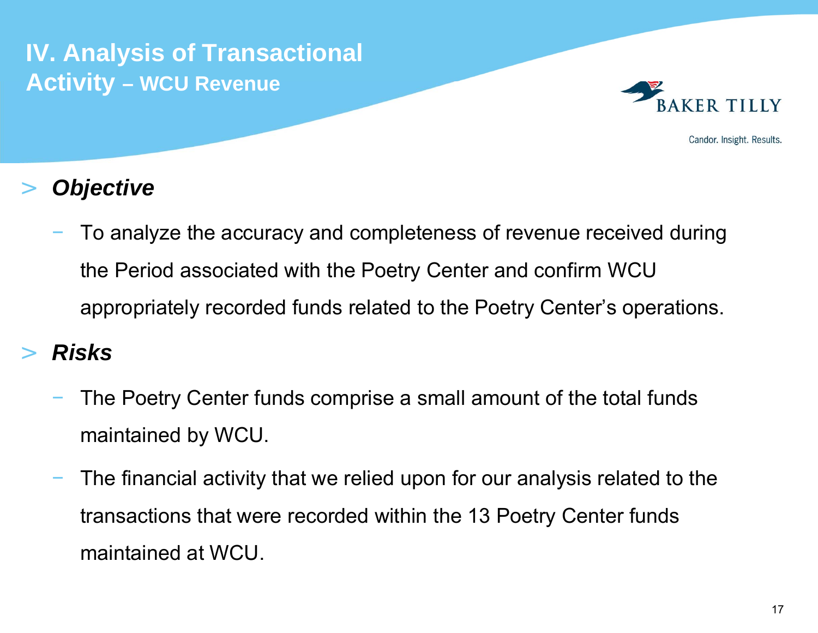

Candor. Insight. Results.

### >*Objective*

 To analyze the accuracy and completeness of revenue received during the Period associated with the Poetry Center and confirm WCU appropriately recorded funds related to the Poetry Center's operations.

### >*Risks*

- The Poetry Center funds comprise a small amount of the total funds maintained by WCU.
- The financial activity that we relied upon for our analysis related to the transactions that were recorded within the 13 Poetry Center funds maintained at WCU.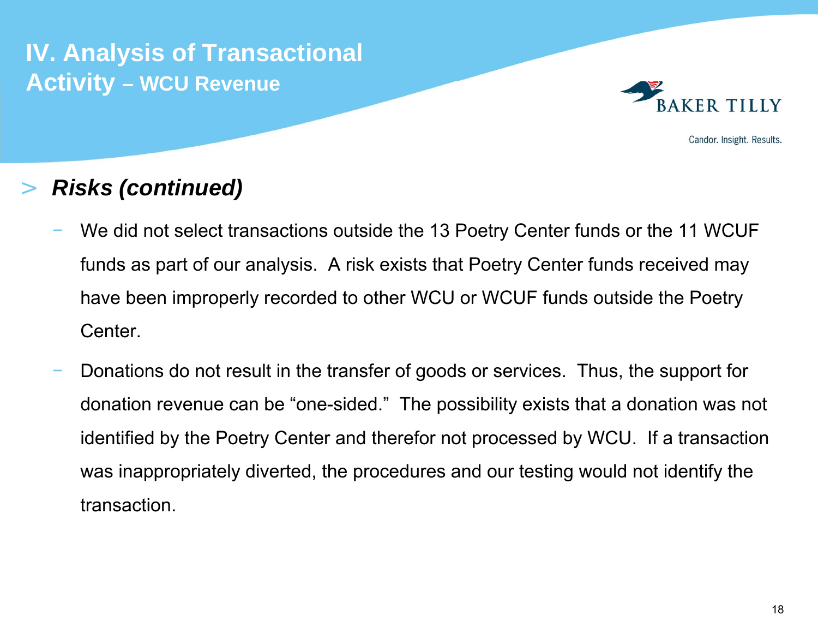

Candor. Insight. Results.

### >*Risks (continued)*

- We did not select transactions outside the 13 Poetry Center funds or the 11 WCUF funds as part of our analysis. A risk exists that Poetry Center funds received may have been improperly recorded to other WCU or WCUF funds outside the Poetry Center.
- Donations do not result in the transfer of goods or services. Thus, the support for donation revenue can be "one-sided." The possibility exists that a donation was not identified by the Poetry Center and therefor not processed by WCU. If a transaction was inappropriately diverted, the procedures and our testing would not identify the transaction.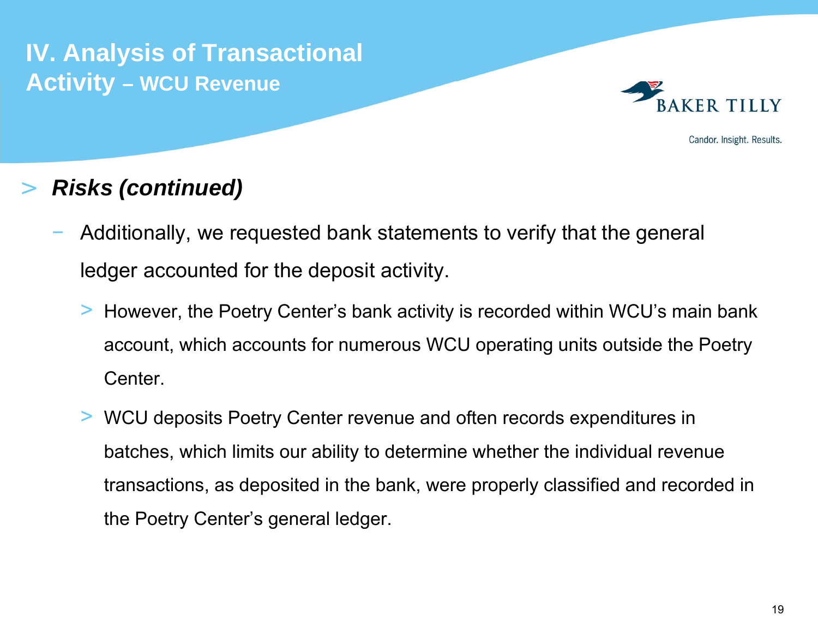

Candor. Insight. Results.

### >*Risks (continued)*

- Additionally, we requested bank statements to verify that the general ledger accounted for the deposit activity.
	- > However, the Poetry Center's bank activity is recorded within WCU's main bank account, which accounts for numerous WCU operating units outside the Poetry Center.
	- > WCU deposits Poetry Center revenue and often records expenditures in batches, which limits our ability to determine whether the individual revenue transactions, as deposited in the bank, were properly classified and recorded in the Poetry Center's general ledger.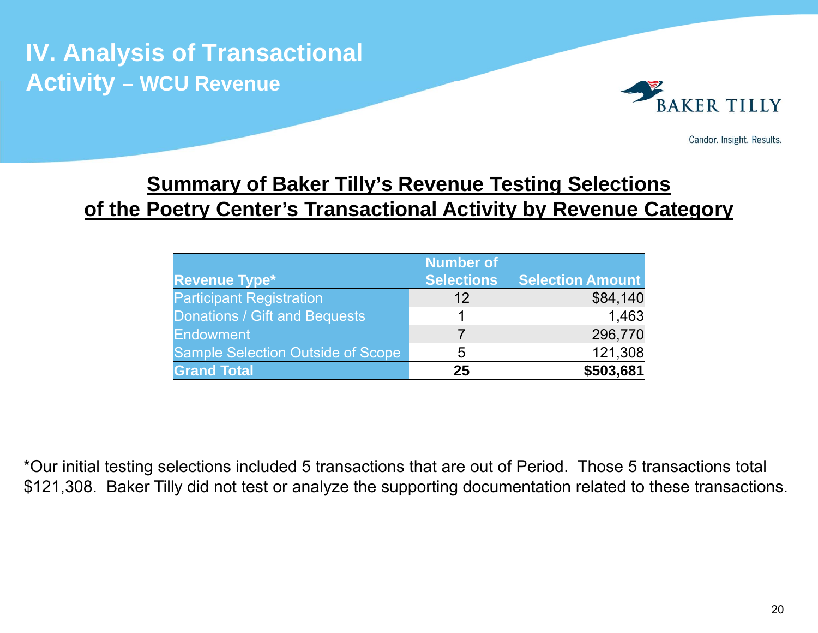

Candor. Insight. Results.

## **<u>Summary of Baker Tilly's Revenue Testing Selections</u> of the Poetry Center's Transactional Activity by Revenue Category**

|                                          | <b>Number of</b>  |                         |
|------------------------------------------|-------------------|-------------------------|
| <b>Revenue Type*</b>                     | <b>Selections</b> | <b>Selection Amount</b> |
| <b>Participant Registration</b>          | 12                | \$84,140                |
| Donations / Gift and Bequests            |                   | 1,463                   |
| <b>Endowment</b>                         |                   | 296,770                 |
| <b>Sample Selection Outside of Scope</b> | 5                 | 121,308                 |
| <b>Grand Total</b>                       | 25                | \$503,681               |

\*Our initial testing selections included 5 transactions that are out of Period. Those 5 transactions total \$121,308. Baker Tilly did not test or analyze the supporting documentation related to these transactions.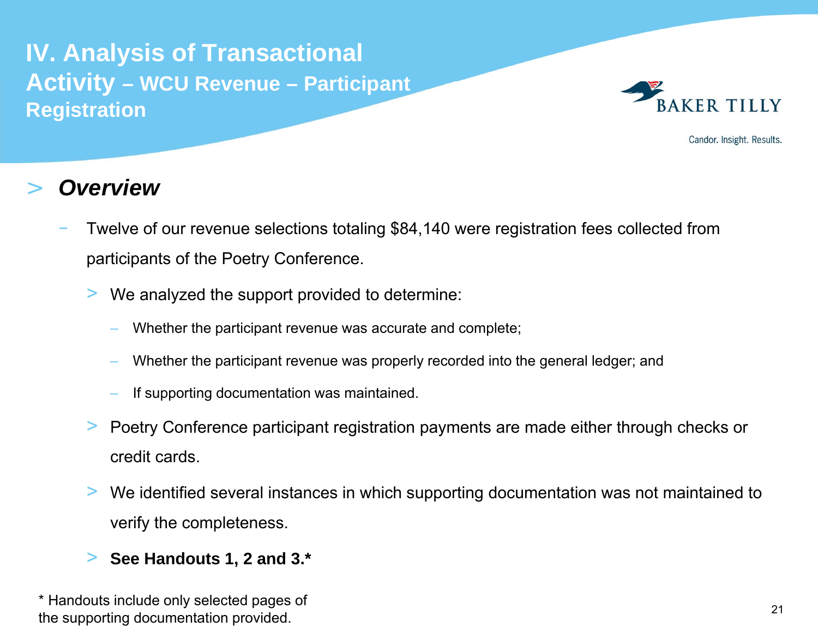

Candor. Insight. Results.

### >*Overview*

- Twelve of our revenue selections totaling \$84,140 were registration fees collected from participants of the Poetry Conference.
	- > We analyzed the support provided to determine:
		- Whether the participant revenue was accurate and complete;
		- Whether the participant revenue was properly recorded into the general ledger; and
		- If supporting documentation was maintained.
	- > Poetry Conference participant registration payments are made either through checks or credit cards.
	- > We identified several instances in which supporting documentation was not maintained to verify the completeness.
	- >**See Handouts 1, 2 and 3.\***

\* Handouts include only selected pages of the supporting documentation provided.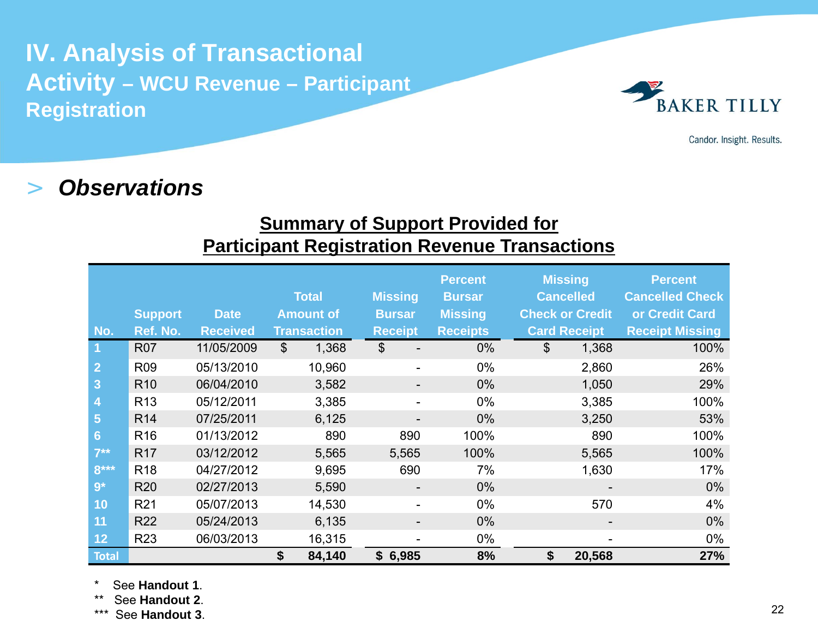

Candor. Insight. Results.

#### >*Observations*

### **Summary of Support Provided for Participant Registration Revenue Transactions**

|                | <b>Support</b>  | <b>Date</b>     | <b>Total</b><br><b>Amount of</b> |                    | <b>Missing</b><br><b>Bursar</b> |                          | <b>Percent</b><br><b>Bursar</b><br><b>Missing</b> | <b>Missing</b><br><b>Cancelled</b><br><b>Check or Credit</b> |                     | <b>Percent</b><br><b>Cancelled Check</b><br>or Credit Card |                        |
|----------------|-----------------|-----------------|----------------------------------|--------------------|---------------------------------|--------------------------|---------------------------------------------------|--------------------------------------------------------------|---------------------|------------------------------------------------------------|------------------------|
| No.            | Ref. No.        | <b>Received</b> |                                  | <b>Transaction</b> | <b>Receipt</b>                  |                          | <b>Receipts</b>                                   |                                                              | <b>Card Receipt</b> |                                                            | <b>Receipt Missing</b> |
| $\overline{1}$ | <b>R07</b>      | 11/05/2009      | $\mathbb{S}$                     | 1,368              | $\boldsymbol{\mathsf{S}}$       | $\overline{\phantom{a}}$ | $0\%$                                             | \$                                                           | 1,368               |                                                            | 100%                   |
| $\overline{2}$ | R <sub>09</sub> | 05/13/2010      |                                  | 10,960             |                                 | $\overline{\phantom{a}}$ | $0\%$                                             |                                                              | 2,860               |                                                            | 26%                    |
| 3              | R <sub>10</sub> | 06/04/2010      |                                  | 3,582              |                                 | $\overline{\phantom{a}}$ | $0\%$                                             |                                                              | 1,050               |                                                            | 29%                    |
| 4              | R <sub>13</sub> | 05/12/2011      |                                  | 3,385              |                                 | $\overline{\phantom{a}}$ | $0\%$                                             |                                                              | 3,385               |                                                            | 100%                   |
| 5              | R <sub>14</sub> | 07/25/2011      |                                  | 6,125              |                                 | $\overline{\phantom{a}}$ | $0\%$                                             |                                                              | 3,250               |                                                            | 53%                    |
| $6\phantom{1}$ | R <sub>16</sub> | 01/13/2012      |                                  | 890                |                                 | 890                      | 100%                                              |                                                              | 890                 |                                                            | 100%                   |
| $7**$          | R <sub>17</sub> | 03/12/2012      |                                  | 5,565              |                                 | 5,565                    | 100%                                              |                                                              | 5,565               |                                                            | 100%                   |
| $8***$         | R <sub>18</sub> | 04/27/2012      |                                  | 9,695              |                                 | 690                      | 7%                                                |                                                              | 1,630               |                                                            | 17%                    |
| $9*$           | <b>R20</b>      | 02/27/2013      |                                  | 5,590              |                                 | $\overline{\phantom{a}}$ | $0\%$                                             |                                                              |                     |                                                            | $0\%$                  |
| 10             | R <sub>21</sub> | 05/07/2013      |                                  | 14,530             |                                 | -                        | $0\%$                                             |                                                              | 570                 |                                                            | 4%                     |
| 11             | <b>R22</b>      | 05/24/2013      |                                  | 6,135              |                                 | $\overline{\phantom{a}}$ | $0\%$                                             |                                                              |                     |                                                            | $0\%$                  |
| 12             | <b>R23</b>      | 06/03/2013      |                                  | 16,315             |                                 | -                        | $0\%$                                             |                                                              |                     |                                                            | $0\%$                  |
| <b>Total</b>   |                 |                 | \$                               | 84,140             |                                 | \$6,985                  | 8%                                                | \$                                                           | 20,568              |                                                            | 27%                    |

See **Handout 1**.

\*\* See **Handout 2**.

\*\*\* See **Handout 3**.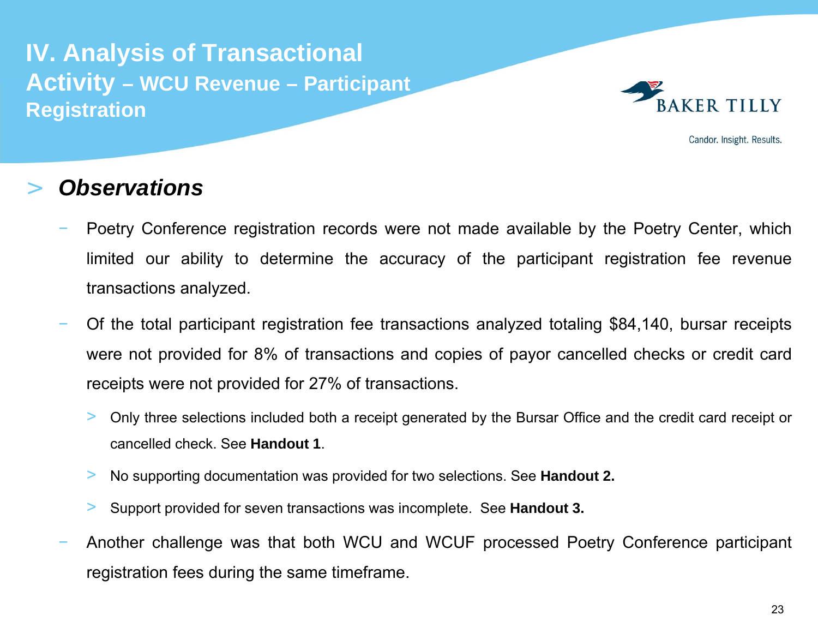

Candor. Insight. Results.

#### >*Observations*

- Poetry Conference registration records were not made available by the Poetry Center, which limited our ability to determine the accuracy of the participant registration fee revenue transactions analyzed.
- Of the total participant registration fee transactions analyzed totaling \$84,140, bursar receipts were not provided for 8% of transactions and copies of payor cancelled checks or credit card receipts were not provided for 27% of transactions.
	- > Only three selections included both <sup>a</sup> receipt generated by the Bursar Office and the credit card receipt or cancelled check. See **Handout 1**.
	- >No supporting documentation was provided for two selections. See **Handout 2.**
	- >Support provided for seven transactions was incomplete. See **Handout 3.**
- Another challenge was that both WCU and WCUF processed Poetry Conference participant registration fees during the same timeframe.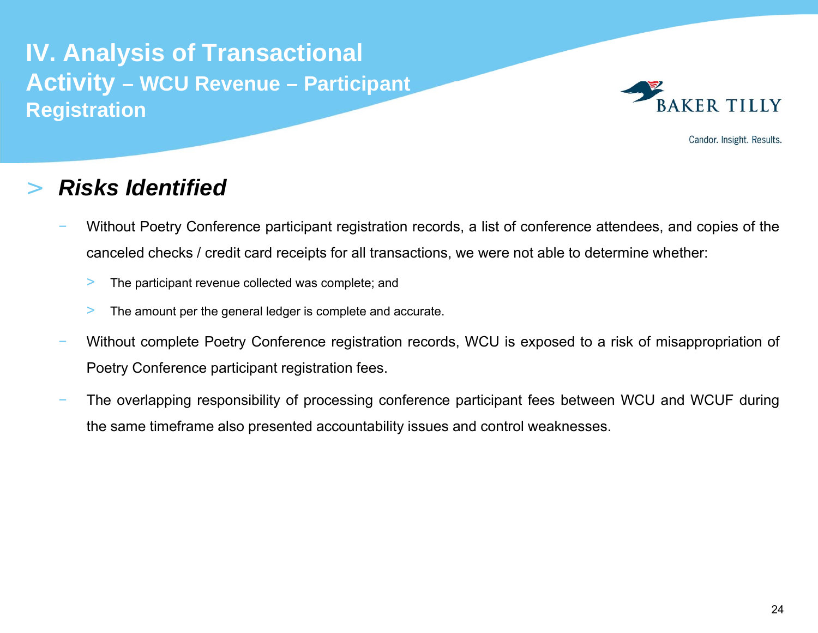

Candor. Insight. Results.

#### >*Risks Identified*

- Without Poetry Conference participant registration records, <sup>a</sup> list of conference attendees, and copies of the canceled checks / credit card receipts for all transactions, we were not able to determine whether:
	- >The participant revenue collected was complete; and
	- $>$ The amount per the general ledger is complete and accurate.
- Without complete Poetry Conference registration records, WCU is exposed to <sup>a</sup> risk of misappropriation of Poetry Conference participant registration fees.
- The overlapping responsibility of processing conference participant fees between WCU and WCUF during the same timeframe also presented accountability issues and control weaknesses.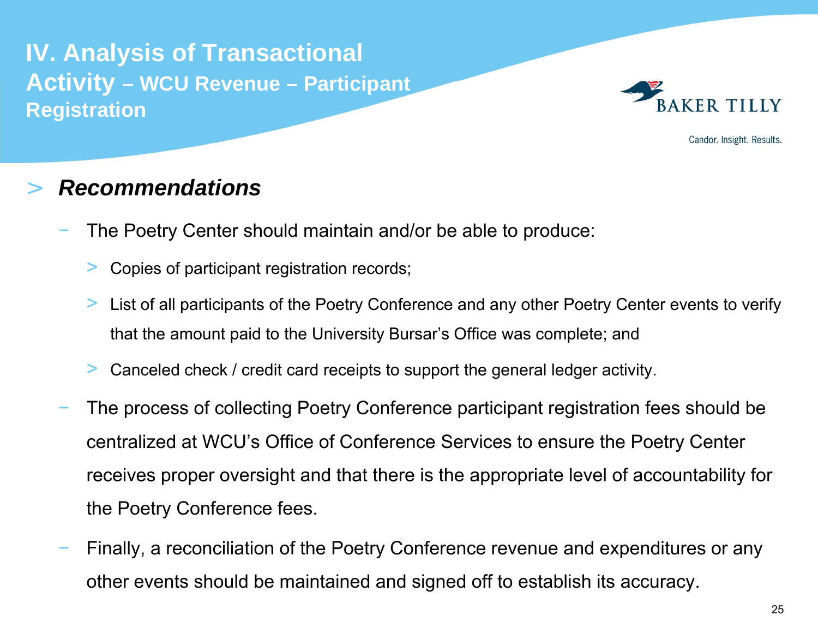

Candor. Insight. Results.

## *Recommendations*

>

- The Poetry Center should maintain and/or be able to produce:
	- >Copies of participant registration records;
	- > List of all participants of the Poetry Conference and any other Poetry Center events to verify that the amount paid to the University Bursar's Office was complete; and
	- >Canceled check / credit card receipts to support the general ledger activity.
- The process of collecting Poetry Conference participant registration fees should be centralized at WCU's Office of Conference Services to ensure the Poetry Center receives proper oversight and that there is the appropriate level of accountability for the Poetry Conference fees.
- Finally, a reconciliation of the Poetry Conference revenue and expenditures or any other events should be maintained and signed off to establish its accuracy.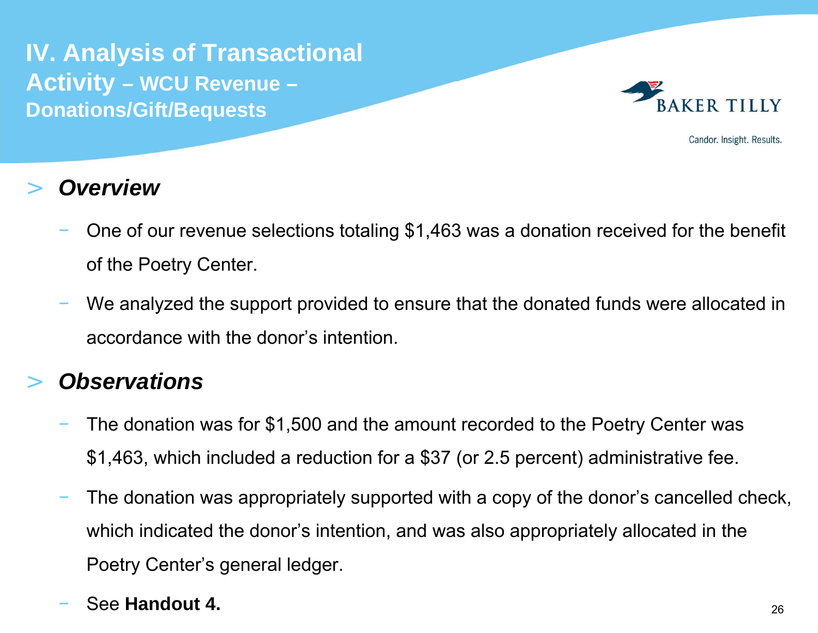**IV. Analysis of Transactional Activity – WCU Revenue – Donations/Gift/Bequests**



Candor. Insight. Results.

#### >*Overview*

- One of our revenue selections totaling \$1,463 was a donation received for the benefit of the Poetry Center.
- We analyzed the support provided to ensure that the donated funds were allocated in accordance with the donor's intention.

### >*Observations*

- The donation was for \$1,500 and the amount recorded to the Poetry Center was \$1,463, which included a reduction for a \$37 (or 2.5 percent) administrative fee.
- The donation was appropriately supported with a copy of the donor's cancelled check, which indicated the donor's intention, and was also appropriately allocated in the Poetry Center's general ledger.

### See **Handout 4.**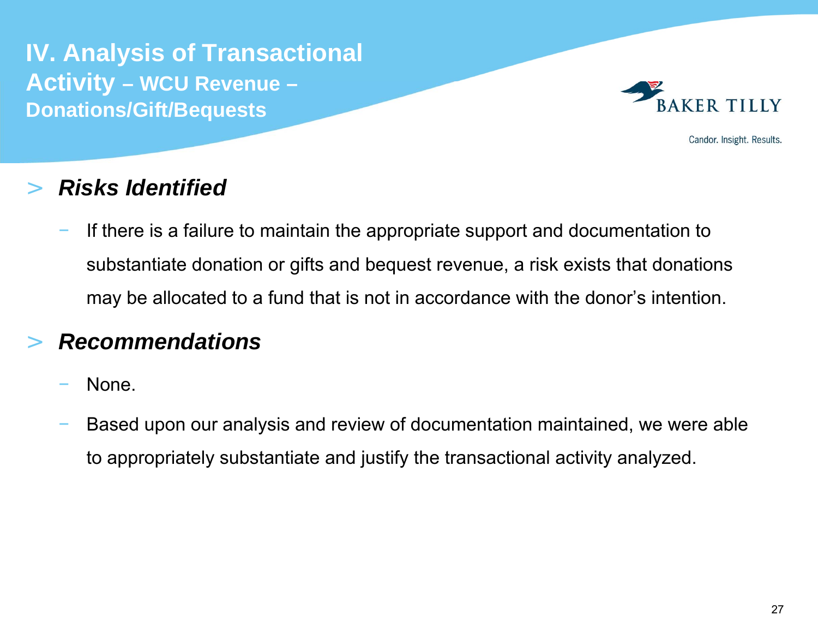**IV. Analysis of Transactional Activity – WCU Revenue – Donations/Gift/Bequests**



Candor. Insight. Results.

### >*Risks Identified*

 If there is a failure to maintain the appropriate support and documentation to substantiate donation or gifts and bequest revenue, a risk exists that donations may be allocated to a fund that is not in accordance with the donor's intention.

### >*Recommendations*

- None.
- Based upon our analysis and review of documentation maintained, we were able to appropriately substantiate and justify the transactional activity analyzed.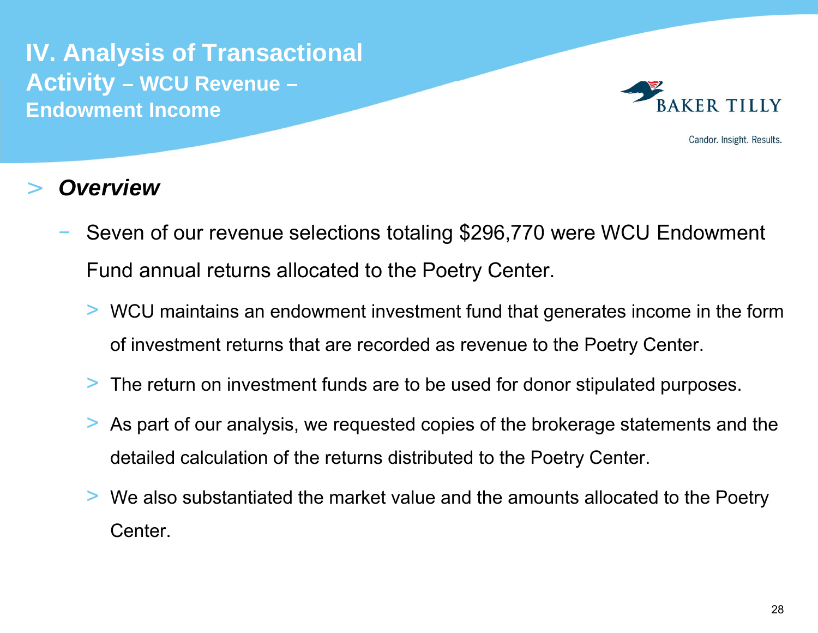**IV. Analysis of Transactional Activity – WCU Revenue – Endowment Income**



Candor. Insight. Results.

#### >*Overview*

- Seven of our revenue selections totaling \$296,770 were WCU Endowment Fund annual returns allocated to the Poetry Center.
	- > WCU maintains an endowment investment fund that generates income in the form of investment returns that are recorded as revenue to the Poetry Center.
	- >The return on investment funds are to be used for donor stipulated purposes.
	- > As part of our analysis, we requested copies of the brokerage statements and the detailed calculation of the returns distributed to the Poetry Center.
	- > We also substantiated the market value and the amounts allocated to the Poetry Center.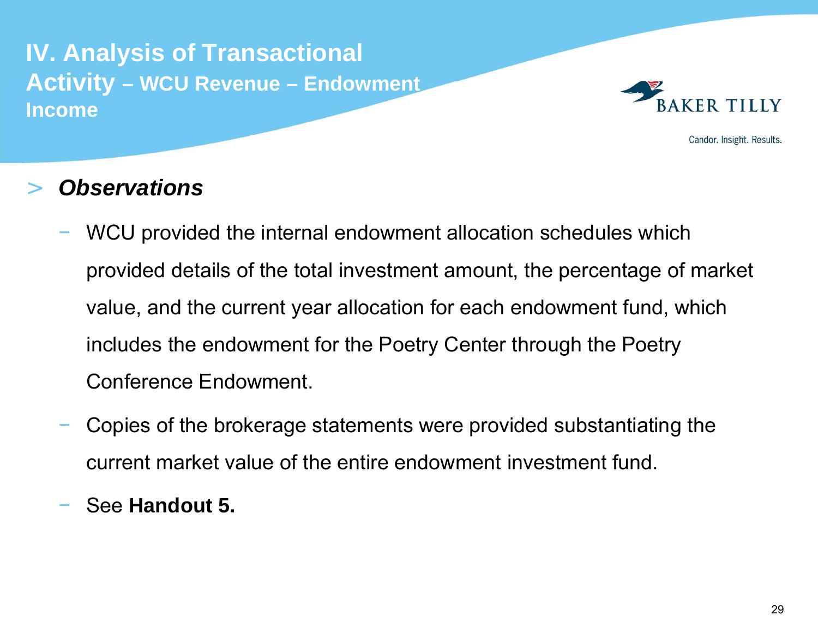**IV. Analysis of Transactional Activity – WCU Revenue – Endowment Income**



Candor. Insight. Results.

#### >*Observations*

- WCU provided the internal endowment allocation schedules which provided details of the total investment amount, the percentage of market value, and the current year allocation for each endowment fund, which includes the endowment for the Poetry Center through the Poetry Conference Endowment.
- Copies of the brokerage statements were provided substantiating the current market value of the entire endowment investment fund.
- See **Handout 5.**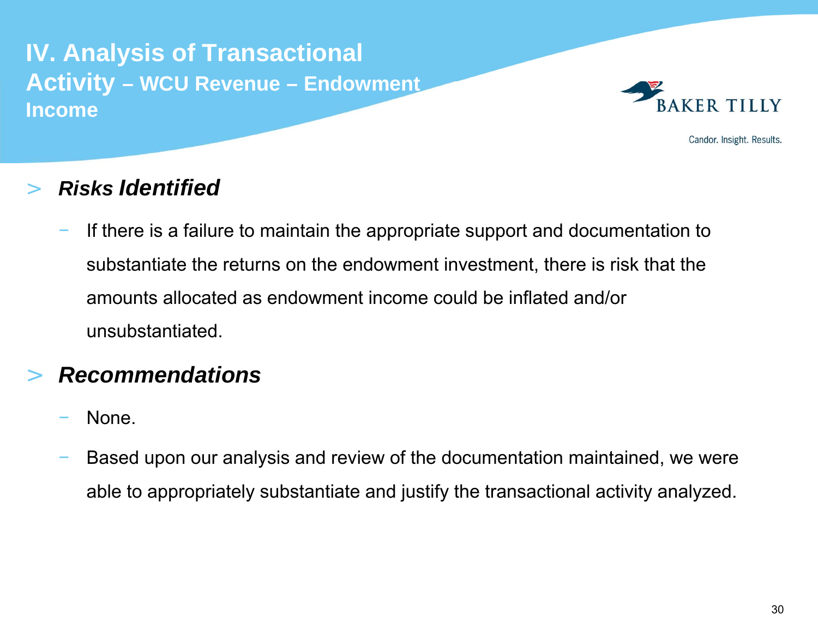# **IV. Analysis of Transactional Activity – WCU Revenue – Endowment Income**



Candor. Insight. Results.

### >*Risks Identified*

 If there is a failure to maintain the appropriate support and documentation to substantiate the returns on the endowment investment, there is risk that the amounts allocated as endowment income could be inflated and/or unsubstantiated.

### >*Recommendations*

- None.
- Based upon our analysis and review of the documentation maintained, we were able to appropriately substantiate and justify the transactional activity analyzed.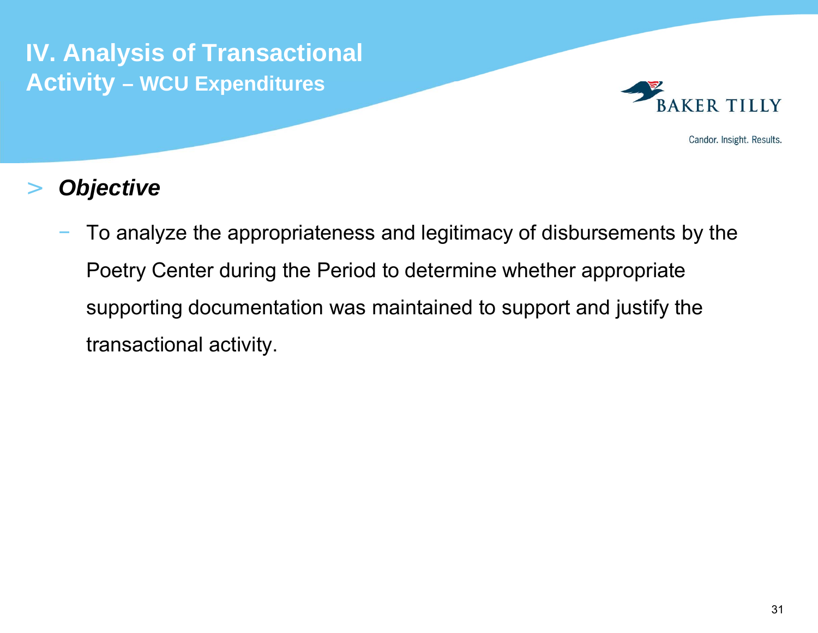**IV. Analysis of Transactional Activity – WCU Expenditures**



Candor. Insight. Results.

### >*Objective*

 To analyze the appropriateness and legitimacy of disbursements by the Poetry Center during the Period to determine whether appropriate supporting documentation was maintained to support and justify the transactional activity.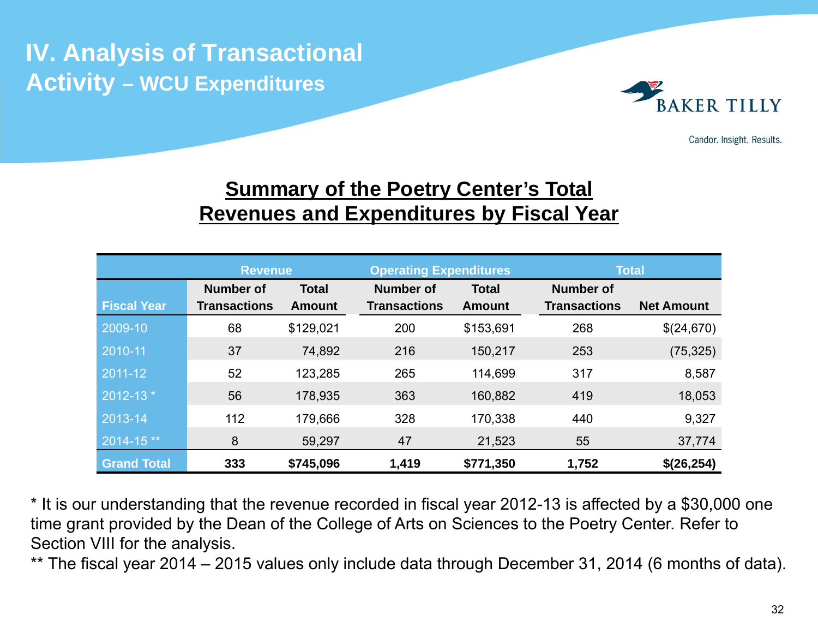**IV. Analysis of Transactional Activity – WCU Expenditures**



Candor. Insight. Results.

# **Summary of the Poetry Center's Total Revenues and Expenditures by Fiscal Year**

|                    | <b>Revenue</b>      |               | <b>Operating Expenditures</b> |               | <b>Total</b>        |                   |
|--------------------|---------------------|---------------|-------------------------------|---------------|---------------------|-------------------|
|                    | <b>Number of</b>    | <b>Total</b>  | <b>Number of</b>              | <b>Total</b>  | <b>Number of</b>    |                   |
| <b>Fiscal Year</b> | <b>Transactions</b> | <b>Amount</b> | <b>Transactions</b>           | <b>Amount</b> | <b>Transactions</b> | <b>Net Amount</b> |
| 2009-10            | 68                  | \$129,021     | 200                           | \$153,691     | 268                 | \$(24,670)        |
| 2010-11            | 37                  | 74,892        | 216                           | 150,217       | 253                 | (75, 325)         |
| 2011-12            | 52                  | 123,285       | 265                           | 114,699       | 317                 | 8,587             |
| 2012-13 *          | 56                  | 178,935       | 363                           | 160,882       | 419                 | 18,053            |
| 2013-14            | 112                 | 179,666       | 328                           | 170,338       | 440                 | 9,327             |
| 2014-15**          | 8                   | 59,297        | 47                            | 21,523        | 55                  | 37,774            |
| <b>Grand Total</b> | 333                 | \$745,096     | 1,419                         | \$771,350     | 1,752               | \$(26,254)        |

\* It is our understanding that the revenue recorded in fiscal year 2012-13 is affected by a \$30,000 one time grant provided by the Dean of the College of Arts on Sciences to the Poetry Center. Refer to Section VIII for the analysis.

\*\* The fiscal year 2014 – 2015 values only include data through December 31, 2014 (6 months of data).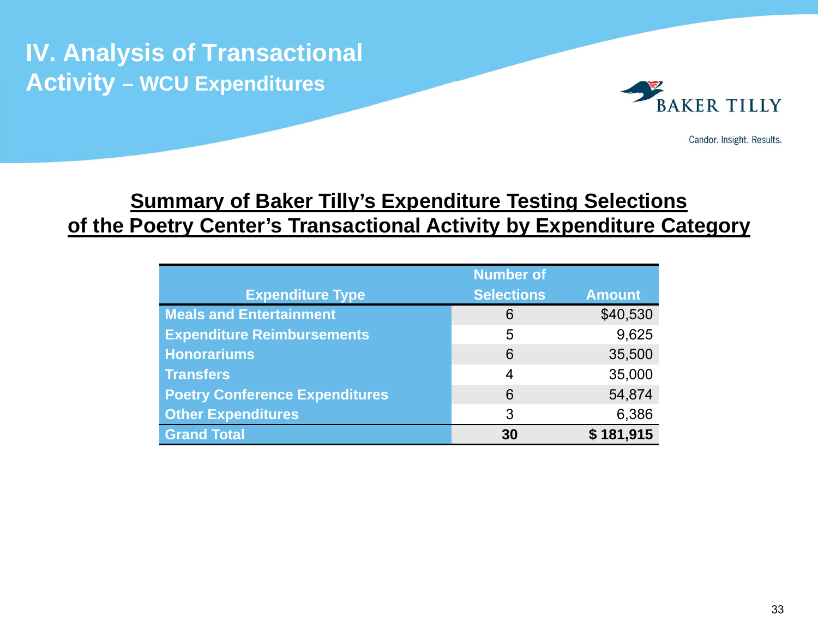**IV. Analysis of Transactional Activity – WCU Expenditures**



Candor. Insight. Results.

# **Summary of Baker Tilly's Expenditure Testing Selections of the Poetry Center's Transactional Activity by Expenditure Category**

|                                       | <b>Number of</b>  |               |  |
|---------------------------------------|-------------------|---------------|--|
| <b>Expenditure Type</b>               | <b>Selections</b> | <b>Amount</b> |  |
| <b>Meals and Entertainment</b>        | 6                 | \$40,530      |  |
| <b>Expenditure Reimbursements</b>     | 5                 | 9,625         |  |
| <b>Honorariums</b>                    | 6                 | 35,500        |  |
| <b>Transfers</b>                      | 4                 | 35,000        |  |
| <b>Poetry Conference Expenditures</b> | 6                 | 54,874        |  |
| <b>Other Expenditures</b>             | 3                 | 6,386         |  |
| <b>Grand Total</b>                    | 30                | \$181,915     |  |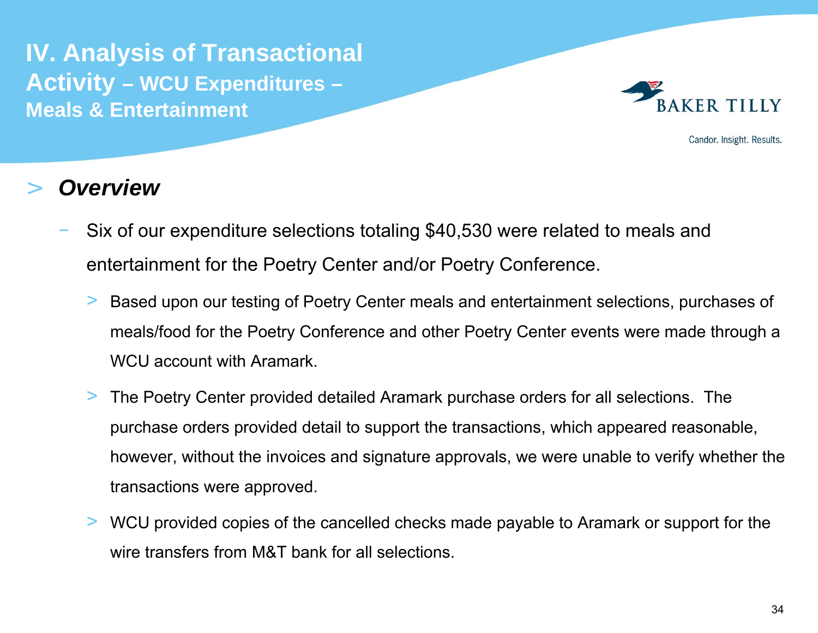

Candor. Insight. Results.

- Six of our expenditure selections totaling \$40,530 were related to meals and entertainment for the Poetry Center and/or Poetry Conference.
	- > Based upon our testing of Poetry Center meals and entertainment selections, purchases of meals/food for the Poetry Conference and other Poetry Center events were made through a WCU account with Aramark.
	- > The Poetry Center provided detailed Aramark purchase orders for all selections. The purchase orders provided detail to support the transactions, which appeared reasonable, however, without the invoices and signature approvals, we were unable to verify whether the transactions were approved.
	- > WCU provided copies of the cancelled checks made payable to Aramark or support for the wire transfers from M&T bank for all selections.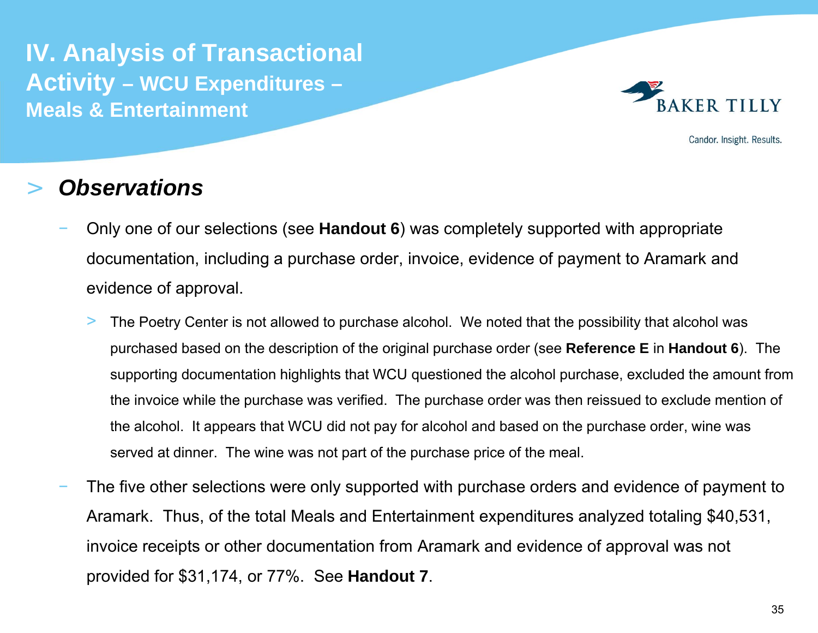

Candor. Insight. Results.

- Only one of our selections (see **Handout 6**) was completely supported with appropriate documentation, including a purchase order, invoice, evidence of payment to Aramark and evidence of approval.
	- > The Poetry Center is not allowed to purchase alcohol. We noted that the possibility that alcohol was purchased based on the description of the original purchase order (see **Reference E** in **Handout 6**). The supporting documentation highlights that WCU questioned the alcohol purchase, excluded the amount from the invoice while the purchase was verified. The purchase order was then reissued to exclude mention of the alcohol. It appears that WCU did not pay for alcohol and based on the purchase order, wine was served at dinner. The wine was not part of the purchase price of the meal.
- The five other selections were only supported with purchase orders and evidence of payment to Aramark. Thus, of the total Meals and Entertainment expenditures analyzed totaling \$40,531, invoice receipts or other documentation from Aramark and evidence of approval was not provided for \$31,174, or 77%. See **Handout 7**.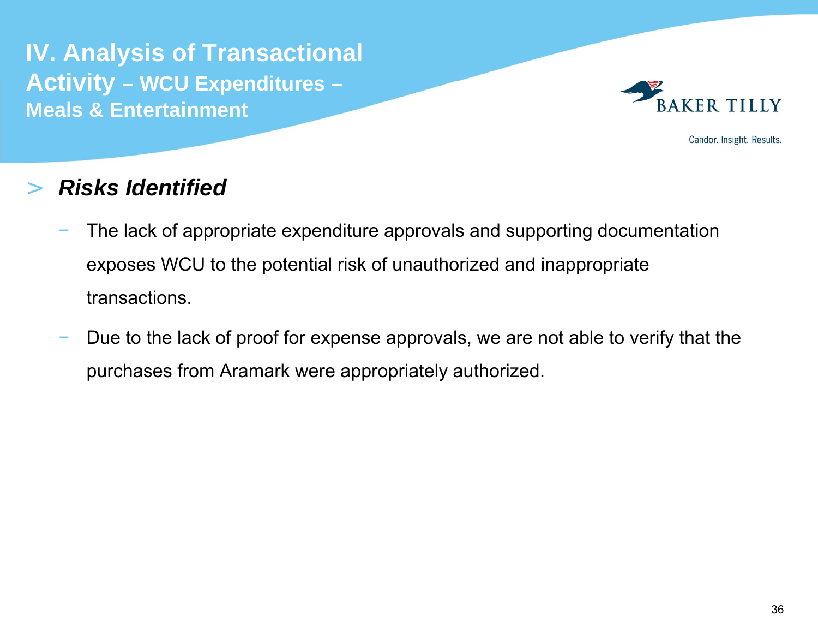

Candor. Insight. Results.

### >*Risks Identified*

- The lack of appropriate expenditure approvals and supporting documentation exposes WCU to the potential risk of unauthorized and inappropriate transactions.
- Due to the lack of proof for expense approvals, we are not able to verify that the purchases from Aramark were appropriately authorized.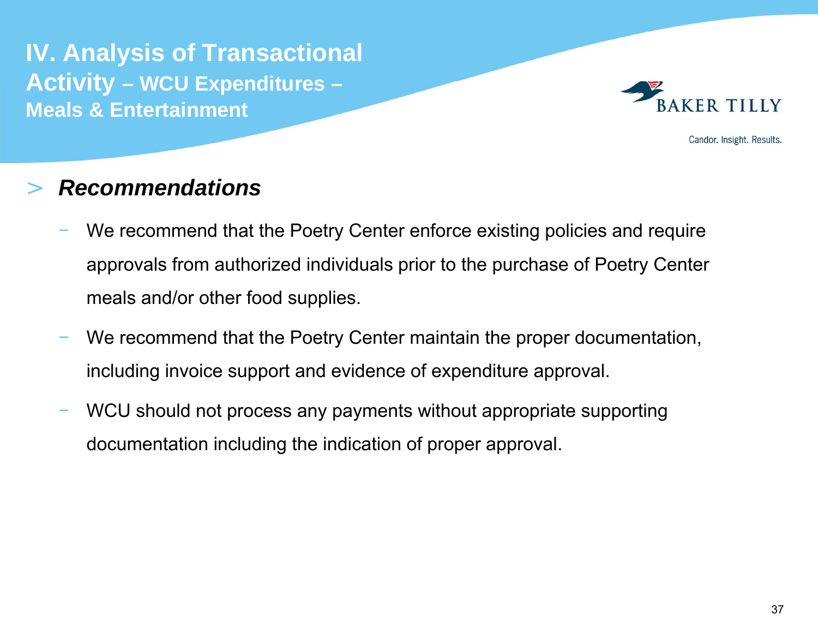

Candor. Insight. Results.

### >*Recommendations*

- We recommend that the Poetry Center enforce existing policies and require approvals from authorized individuals prior to the purchase of Poetry Center meals and/or other food supplies.
- We recommend that the Poetry Center maintain the proper documentation, including invoice support and evidence of expenditure approval.
- WCU should not process any payments without appropriate supporting documentation including the indication of proper approval.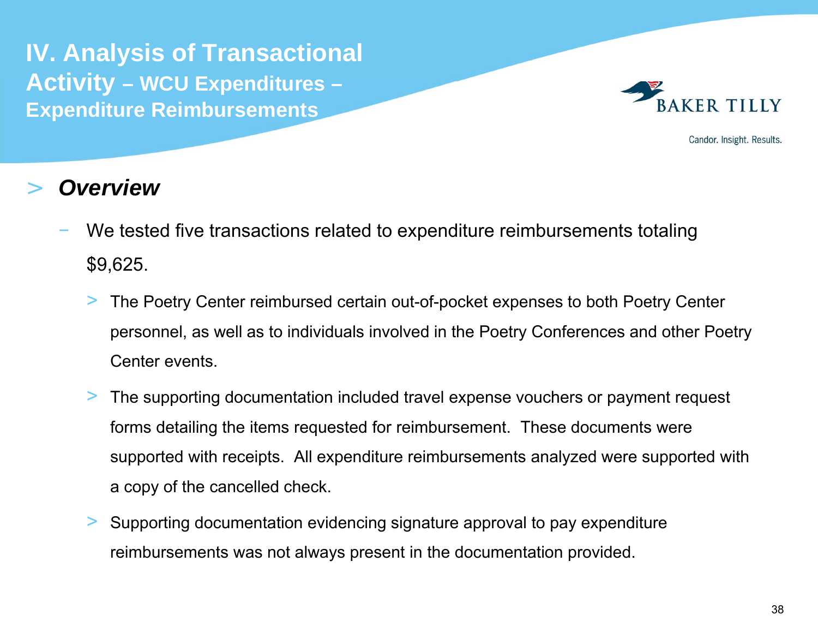**IV. Analysis of Transactional Activity – WCU Expenditures – Expenditure Reimbursements** 



Candor. Insight. Results.

- We tested five transactions related to expenditure reimbursements totaling \$9,625.
	- > The Poetry Center reimbursed certain out-of-pocket expenses to both Poetry Center personnel, as well as to individuals involved in the Poetry Conferences and other Poetry Center events.
	- > The supporting documentation included travel expense vouchers or payment request forms detailing the items requested for reimbursement. These documents were supported with receipts. All expenditure reimbursements analyzed were supported with a copy of the cancelled check.
	- > Supporting documentation evidencing signature approval to pay expenditure reimbursements was not always present in the documentation provided.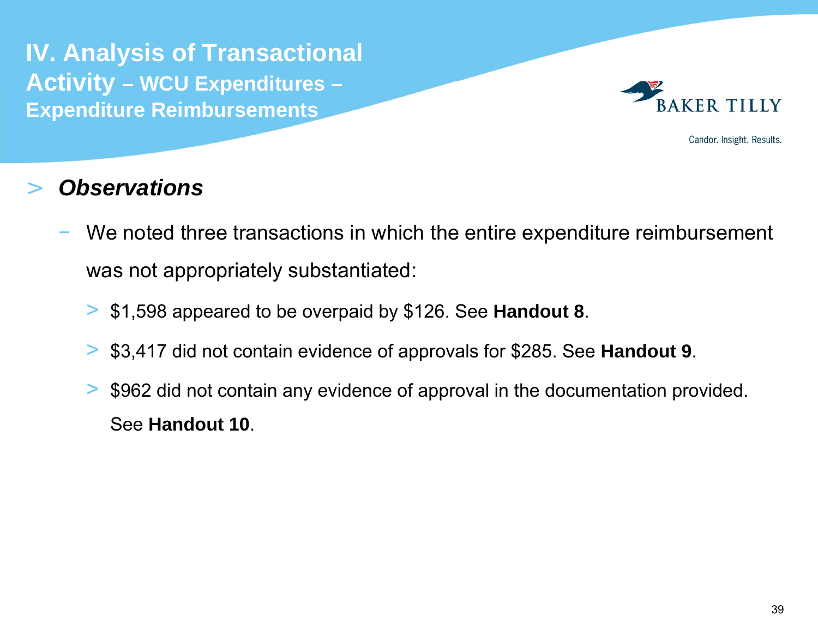**IV. Analysis of Transactional Activity – WCU Expenditures – Expenditure Reimbursements** 



Candor. Insight. Results.

- We noted three transactions in which the entire expenditure reimbursement was not appropriately substantiated:
	- > \$1,598 appeared to be overpaid by \$126. See **Handout 8**.
	- > \$3,417 did not contain evidence of approvals for \$285. See **Handout 9**.
	- > \$962 did not contain any evidence of approval in the documentation provided. See **Handout 10**.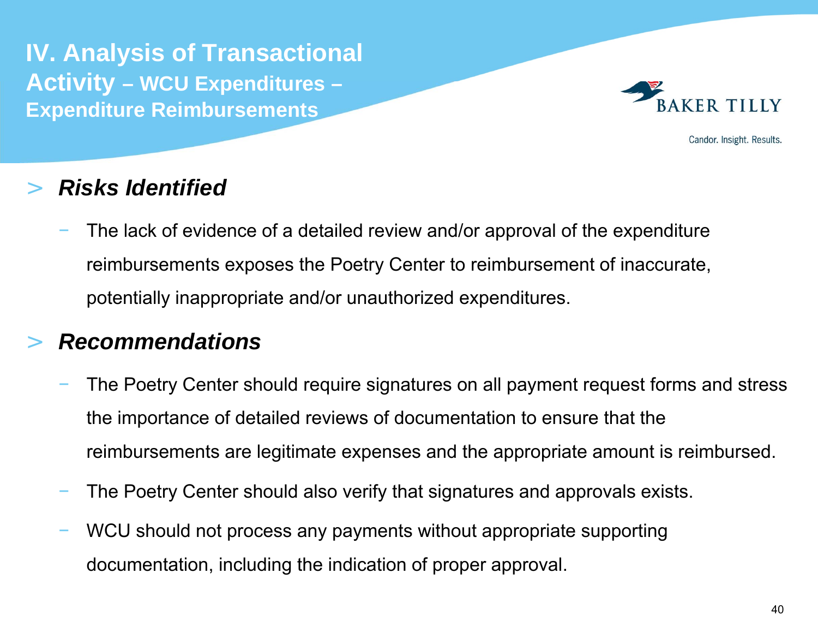**IV. Analysis of Transactional Activity – WCU Expenditures – Expenditure Reimbursements** 



Candor. Insight. Results.

## >*Risks Identified*

 The lack of evidence of a detailed review and/or approval of the expenditure reimbursements exposes the Poetry Center to reimbursement of inaccurate, potentially inappropriate and/or unauthorized expenditures.

# >*Recommendations*

- The Poetry Center should require signatures on all payment request forms and stress the importance of detailed reviews of documentation to ensure that the reimbursements are legitimate expenses and the appropriate amount is reimbursed.
- The Poetry Center should also verify that signatures and approvals exists.
- WCU should not process any payments without appropriate supporting documentation, including the indication of proper approval.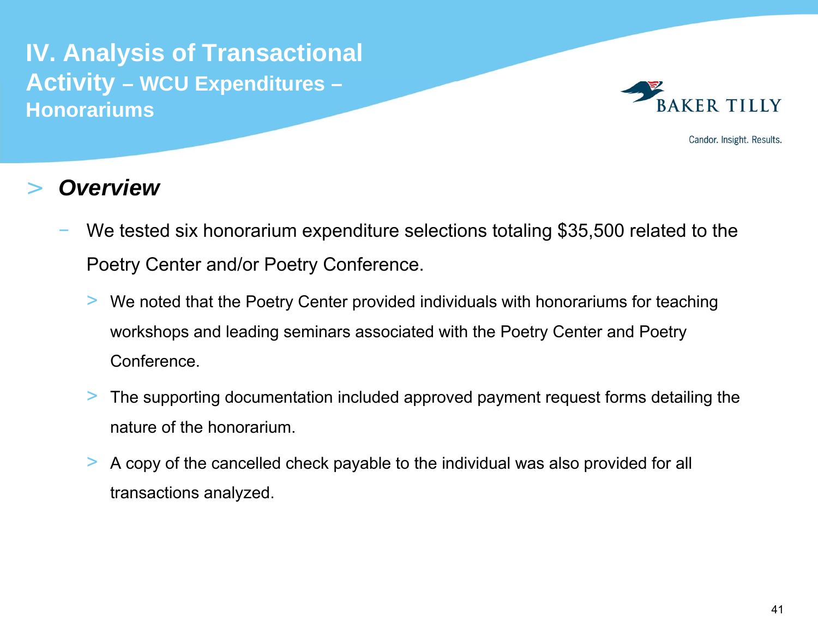**IV. Analysis of Transactional Activity – WCU Expenditures – Honorariums** 



Candor. Insight. Results.

- We tested six honorarium expenditure selections totaling \$35,500 related to the Poetry Center and/or Poetry Conference.
	- > We noted that the Poetry Center provided individuals with honorariums for teaching workshops and leading seminars associated with the Poetry Center and Poetry Conference.
	- > The supporting documentation included approved payment request forms detailing the nature of the honorarium.
	- > A copy of the cancelled check payable to the individual was also provided for all transactions analyzed.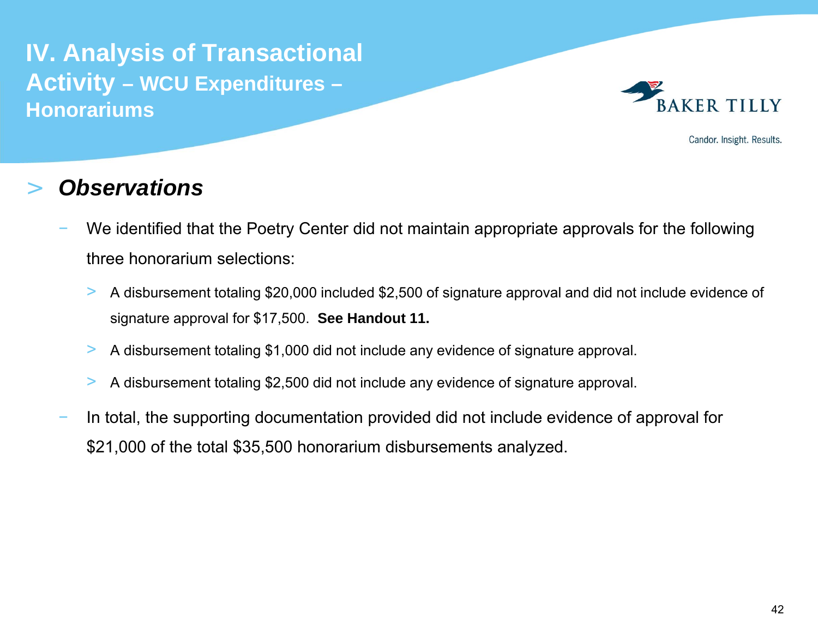**IV. Analysis of Transactional Activity – WCU Expenditures – Honorariums** 



Candor. Insight. Results.

- We identified that the Poetry Center did not maintain appropriate approvals for the following three honorarium selections:
	- > A disbursement totaling \$20,000 included \$2,500 of signature approval and did not include evidence of signature approval for \$17,500. **See Handout 11.**
	- >A disbursement totaling \$1,000 did not include any evidence of signature approval.
	- >A disbursement totaling \$2,500 did not include any evidence of signature approval.
- In total, the supporting documentation provided did not include evidence of approval for \$21,000 of the total \$35,500 honorarium disbursements analyzed.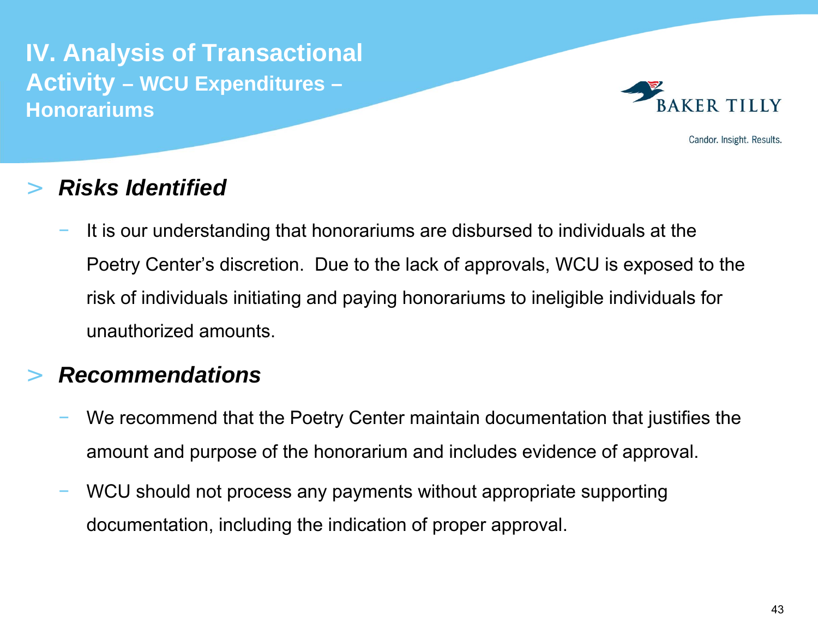**IV. Analysis of Transactional Activity – WCU Expenditures – Honorariums** 



Candor. Insight. Results.

### >*Risks Identified*

 It is our understanding that honorariums are disbursed to individuals at the Poetry Center's discretion. Due to the lack of approvals, WCU is exposed to the risk of individuals initiating and paying honorariums to ineligible individuals for unauthorized amounts.

## >*Recommendations*

- We recommend that the Poetry Center maintain documentation that justifies the amount and purpose of the honorarium and includes evidence of approval.
- WCU should not process any payments without appropriate supporting documentation, including the indication of proper approval.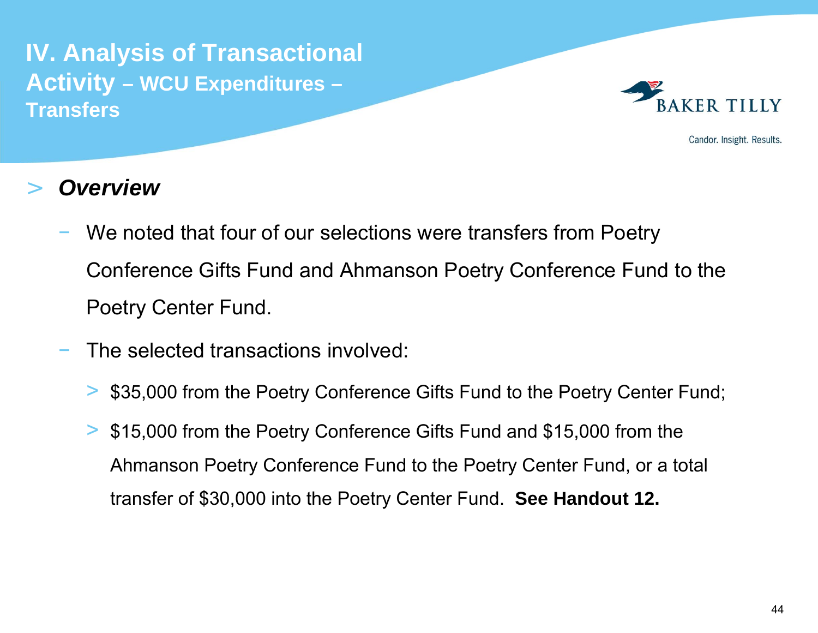**IV. Analysis of Transactional Activity – WCU Expenditures – Transfers**



Candor. Insight. Results.

- We noted that four of our selections were transfers from Poetry Conference Gifts Fund and Ahmanson Poetry Conference Fund to the Poetry Center Fund.
- The selected transactions involved:
	- >\$35,000 from the Poetry Conference Gifts Fund to the Poetry Center Fund;
	- > \$15,000 from the Poetry Conference Gifts Fund and \$15,000 from the Ahmanson Poetry Conference Fund to the Poetry Center Fund, or a total transfer of \$30,000 into the Poetry Center Fund. **See Handout 12.**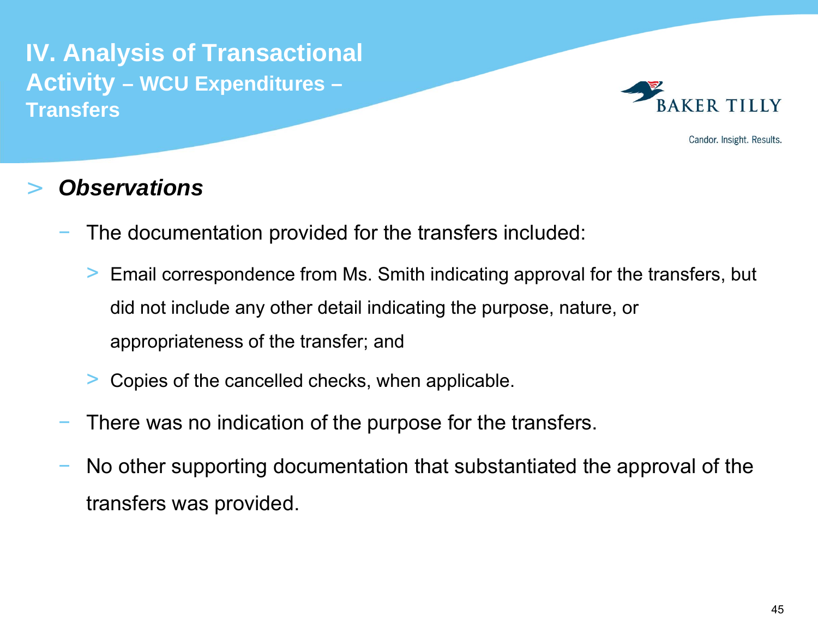**IV. Analysis of Transactional Activity – WCU Expenditures – Transfers**



Candor. Insight. Results.

- The documentation provided for the transfers included:
	- > Email correspondence from Ms. Smith indicating approval for the transfers, but did not include any other detail indicating the purpose, nature, or appropriateness of the transfer; and
	- >Copies of the cancelled checks, when applicable.
- There was no indication of the purpose for the transfers.
- No other supporting documentation that substantiated the approval of the transfers was provided.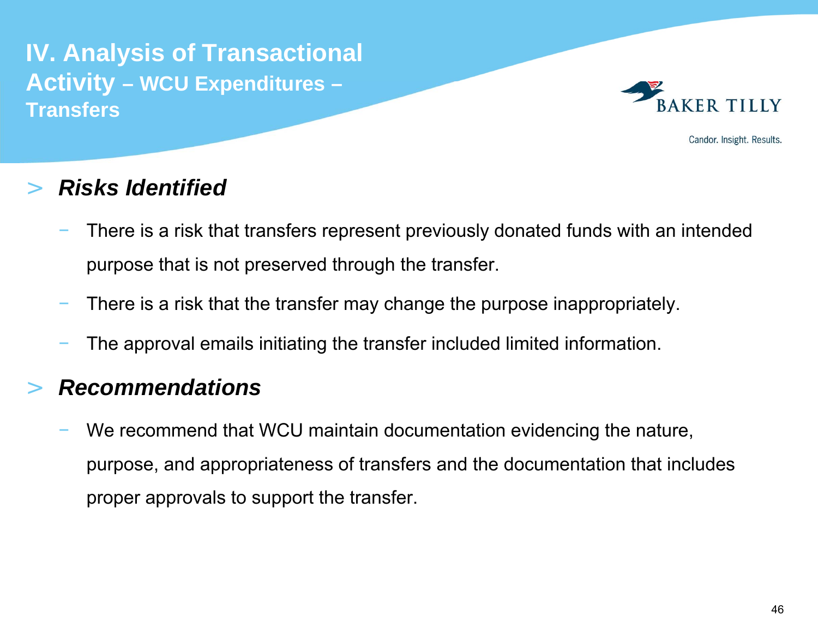**IV. Analysis of Transactional Activity – WCU Expenditures – Transfers**



Candor. Insight. Results.

### >*Risks Identified*

- There is a risk that transfers represent previously donated funds with an intended purpose that is not preserved through the transfer.
- There is a risk that the transfer may change the purpose inappropriately.
- The approval emails initiating the transfer included limited information.

## >*Recommendations*

 We recommend that WCU maintain documentation evidencing the nature, purpose, and appropriateness of transfers and the documentation that includes proper approvals to support the transfer.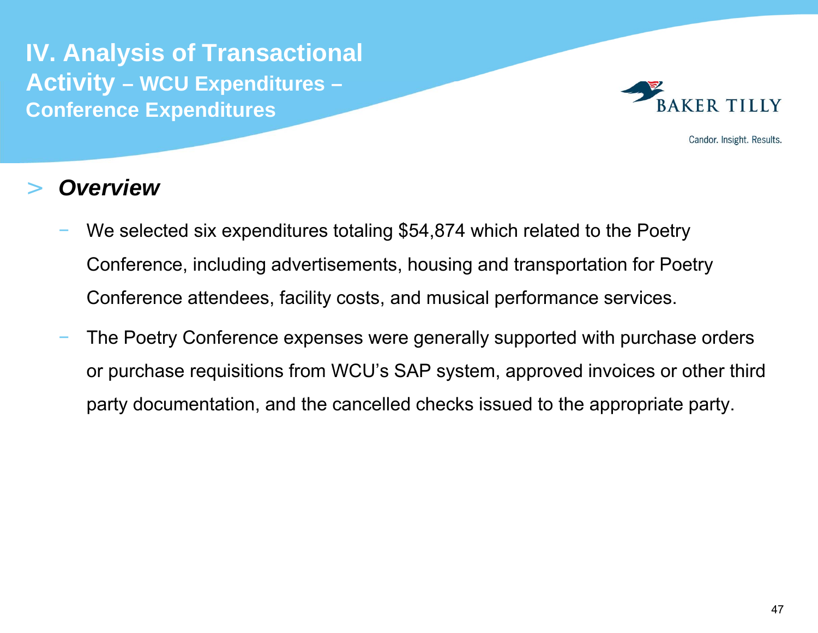**IV. Analysis of Transactional Activity – WCU Expenditures – Conference Expenditures**



Candor. Insight. Results.

- We selected six expenditures totaling \$54,874 which related to the Poetry Conference, including advertisements, housing and transportation for Poetry Conference attendees, facility costs, and musical performance services.
- The Poetry Conference expenses were generally supported with purchase orders or purchase requisitions from WCU's SAP system, approved invoices or other third party documentation, and the cancelled checks issued to the appropriate party.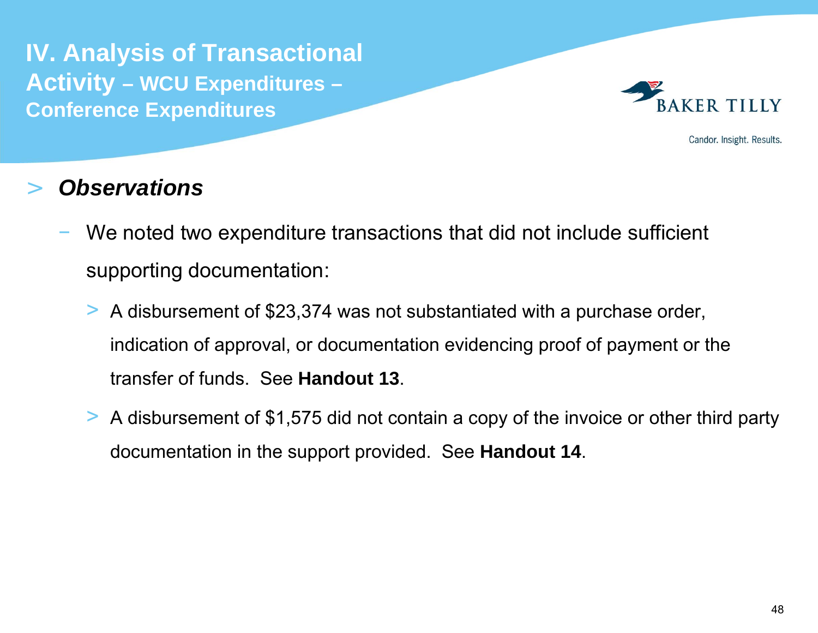**IV. Analysis of Transactional Activity – WCU Expenditures – Conference Expenditures**



Candor. Insight. Results.

- We noted two expenditure transactions that did not include sufficient supporting documentation:
	- > A disbursement of \$23,374 was not substantiated with a purchase order, indication of approval, or documentation evidencing proof of payment or the transfer of funds. See **Handout 13**.
	- > A disbursement of \$1,575 did not contain a copy of the invoice or other third party documentation in the support provided. See **Handout 14**.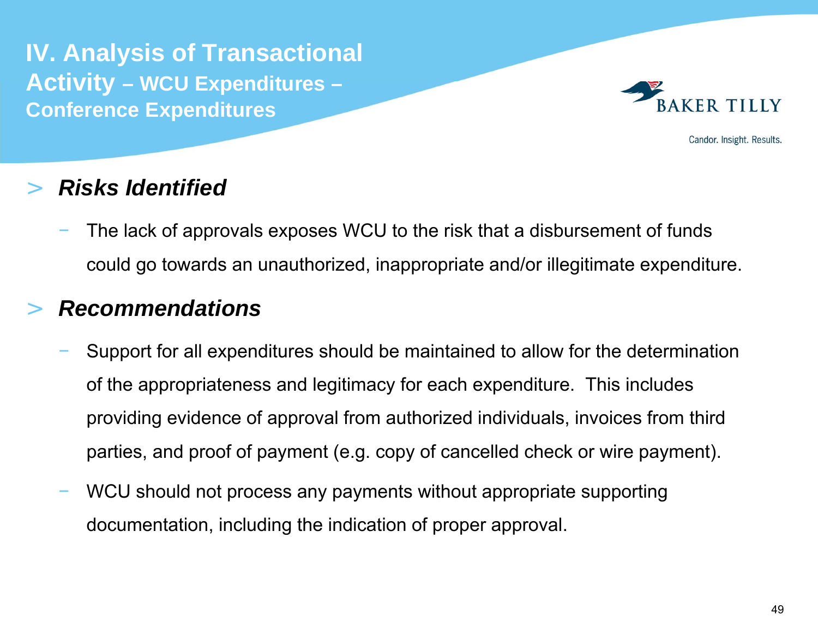**IV. Analysis of Transactional Activity – WCU Expenditures – Conference Expenditures**



Candor. Insight. Results.

## >*Risks Identified*

 The lack of approvals exposes WCU to the risk that a disbursement of funds could go towards an unauthorized, inappropriate and/or illegitimate expenditure.

# >*Recommendations*

- Support for all expenditures should be maintained to allow for the determination of the appropriateness and legitimacy for each expenditure. This includes providing evidence of approval from authorized individuals, invoices from third parties, and proof of payment (e.g. copy of cancelled check or wire payment).
- WCU should not process any payments without appropriate supporting documentation, including the indication of proper approval.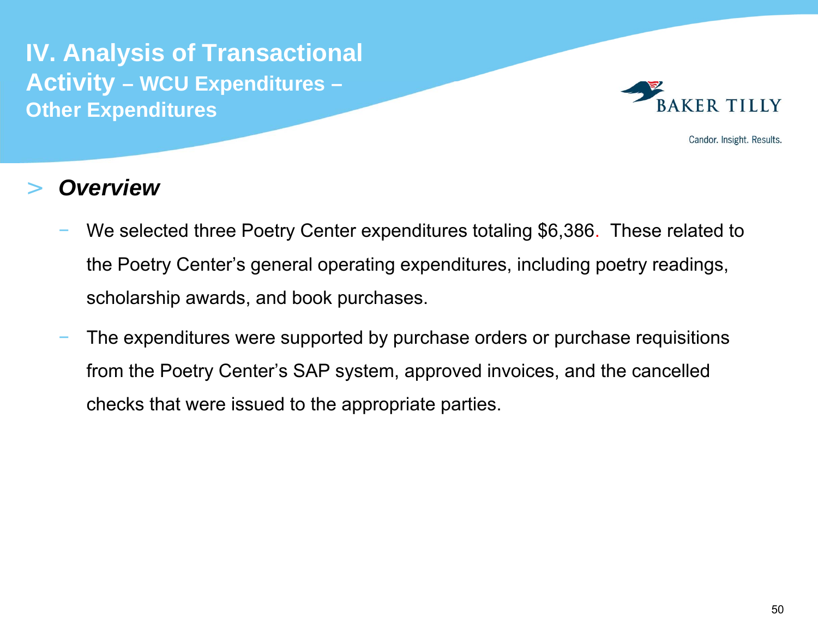**IV. Analysis of Transactional Activity – WCU Expenditures – Other Expenditures**



Candor. Insight. Results.

- We selected three Poetry Center expenditures totaling \$6,386. These related to the Poetry Center's general operating expenditures, including poetry readings, scholarship awards, and book purchases.
- The expenditures were supported by purchase orders or purchase requisitions from the Poetry Center's SAP system, approved invoices, and the cancelled checks that were issued to the appropriate parties.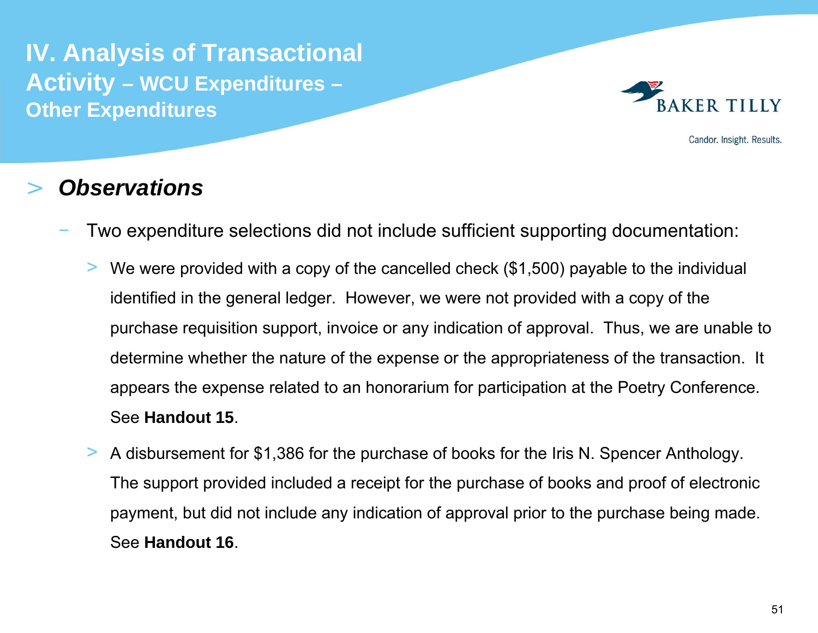**IV. Analysis of Transactional Activity – WCU Expenditures – Other Expenditures**



Candor. Insight. Results.

- Two expenditure selections did not include sufficient supporting documentation:
	- > We were provided with a copy of the cancelled check (\$1,500) payable to the individual identified in the general ledger. However, we were not provided with a copy of the purchase requisition support, invoice or any indication of approval. Thus, we are unable to determine whether the nature of the expense or the appropriateness of the transaction. It appears the expense related to an honorarium for participation at the Poetry Conference. See **Handout 15**.
	- > A disbursement for \$1,386 for the purchase of books for the Iris N. Spencer Anthology. The support provided included a receipt for the purchase of books and proof of electronic payment, but did not include any indication of approval prior to the purchase being made. See **Handout 16**.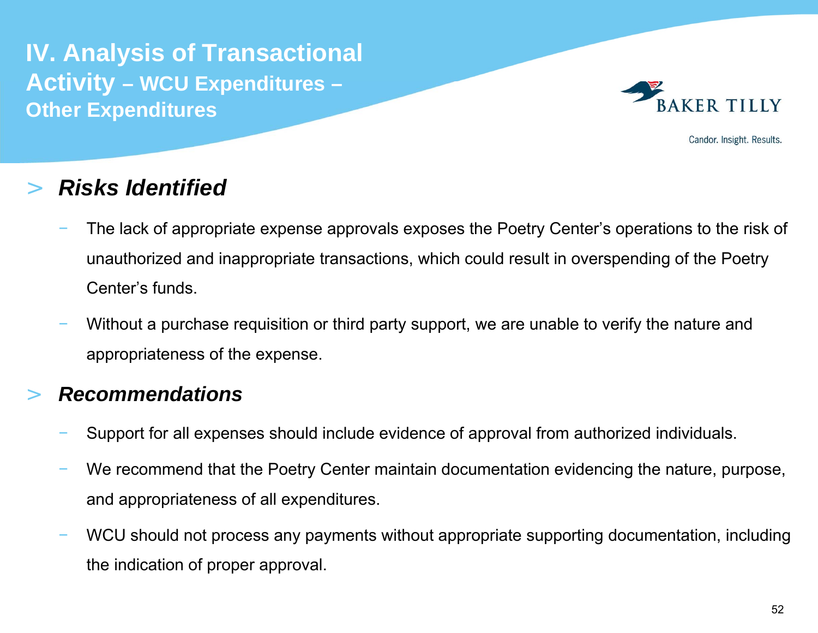**IV. Analysis of Transactional Activity – WCU Expenditures – Other Expenditures**



Candor. Insight. Results.

### >*Risks Identified*

- The lack of appropriate expense approvals exposes the Poetry Center's operations to the risk of unauthorized and inappropriate transactions, which could result in overspending of the Poetry Center's funds.
- Without a purchase requisition or third party support, we are unable to verify the nature and appropriateness of the expense.

### >*Recommendations*

- Support for all expenses should include evidence of approval from authorized individuals.
- We recommend that the Poetry Center maintain documentation evidencing the nature, purpose, and appropriateness of all expenditures.
- WCU should not process any payments without appropriate supporting documentation, including the indication of proper approval.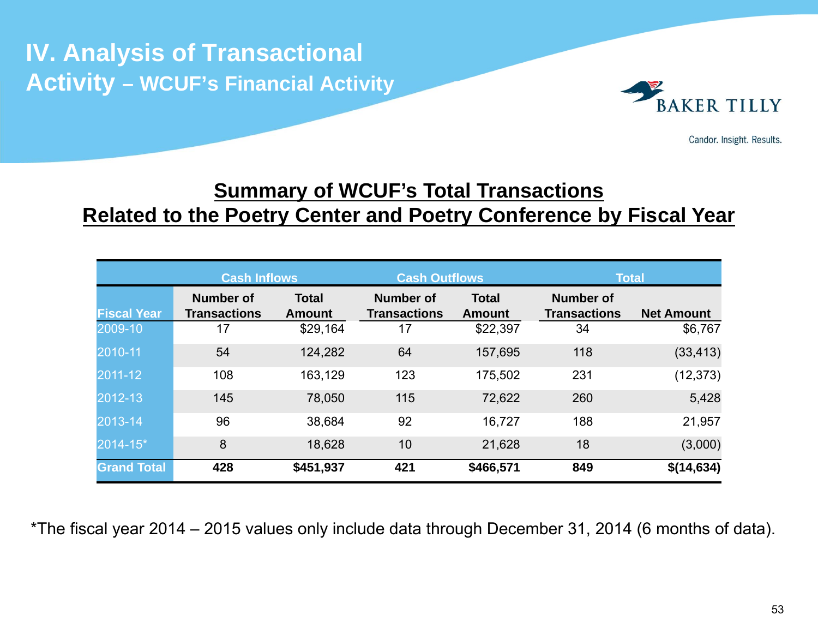# **IV. Analysis of Transactional Activity – WCUF's Financial Activity**



Candor. Insight. Results.

# **<u>Summary of WCUF's Total Transactions</u> Related to the Poetry Center and Poetry Conference by Fiscal Year**

|                    | <b>Cash Inflows</b>                     |                               | <b>Cash Outflows</b>                    |                               | <b>Total</b>                            |                   |
|--------------------|-----------------------------------------|-------------------------------|-----------------------------------------|-------------------------------|-----------------------------------------|-------------------|
| <b>Fiscal Year</b> | <b>Number of</b><br><b>Transactions</b> | <b>Total</b><br><b>Amount</b> | <b>Number of</b><br><b>Transactions</b> | <b>Total</b><br><b>Amount</b> | <b>Number of</b><br><b>Transactions</b> | <b>Net Amount</b> |
| 2009-10            | 17                                      | \$29,164                      | 17                                      | \$22,397                      | 34                                      | \$6,767           |
| 2010-11            | 54                                      | 124,282                       | 64                                      | 157,695                       | 118                                     | (33, 413)         |
| 2011-12            | 108                                     | 163,129                       | 123                                     | 175,502                       | 231                                     | (12, 373)         |
| 2012-13            | 145                                     | 78,050                        | 115                                     | 72,622                        | 260                                     | 5,428             |
| 2013-14            | 96                                      | 38,684                        | 92                                      | 16,727                        | 188                                     | 21,957            |
| 2014-15*           | 8                                       | 18,628                        | 10                                      | 21,628                        | 18                                      | (3,000)           |
| <b>Grand Total</b> | 428                                     | \$451,937                     | 421                                     | \$466,571                     | 849                                     | \$(14,634)        |

\*The fiscal year 2014 – 2015 values only include data through December 31, 2014 (6 months of data).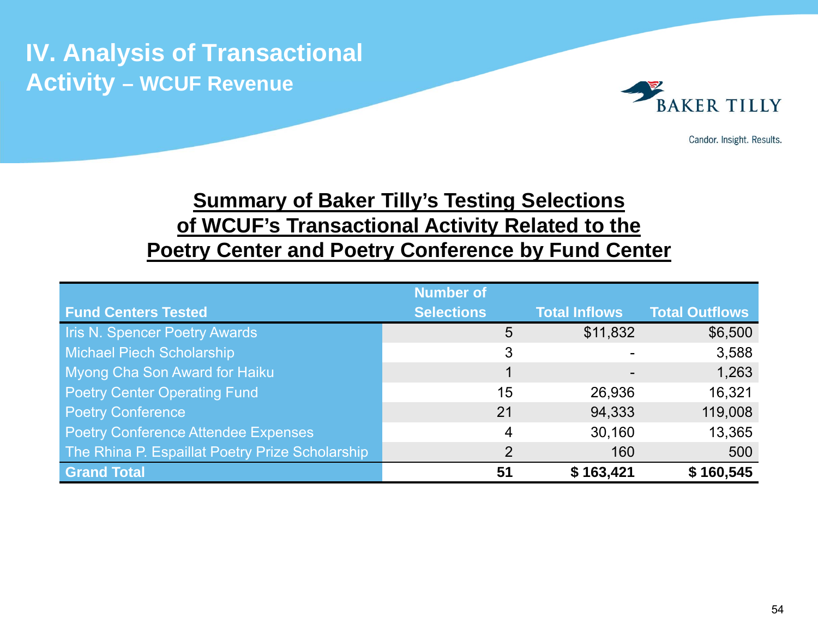

Candor. Insight. Results.

# **Summary of Baker Tilly's Testing Selections of WCUF's Transactional Activity Related to the Poetry Center and Poetry Conference by Fund Center**

|                                                 | <b>Number of</b>  |                      |                       |
|-------------------------------------------------|-------------------|----------------------|-----------------------|
| <b>Fund Centers Tested</b>                      | <b>Selections</b> | <b>Total Inflows</b> | <b>Total Outflows</b> |
| <b>Iris N. Spencer Poetry Awards</b>            | 5                 | \$11,832             | \$6,500               |
| <b>Michael Piech Scholarship</b>                | 3                 |                      | 3,588                 |
| Myong Cha Son Award for Haiku                   | 1                 |                      | 1,263                 |
| <b>Poetry Center Operating Fund</b>             | 15                | 26,936               | 16,321                |
| <b>Poetry Conference</b>                        | 21                | 94,333               | 119,008               |
| <b>Poetry Conference Attendee Expenses</b>      | 4                 | 30,160               | 13,365                |
| The Rhina P. Espaillat Poetry Prize Scholarship | 2                 | 160                  | 500                   |
| <b>Grand Total</b>                              | 51                | \$163,421            | \$160,545             |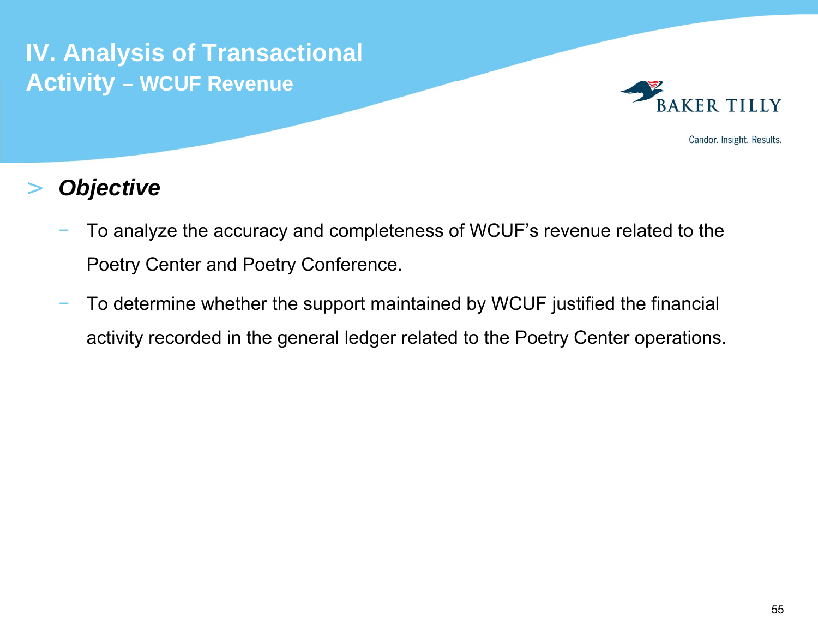

Candor. Insight. Results.

# >*Objective*

- To analyze the accuracy and completeness of WCUF's revenue related to the Poetry Center and Poetry Conference.
- To determine whether the support maintained by WCUF justified the financial activity recorded in the general ledger related to the Poetry Center operations.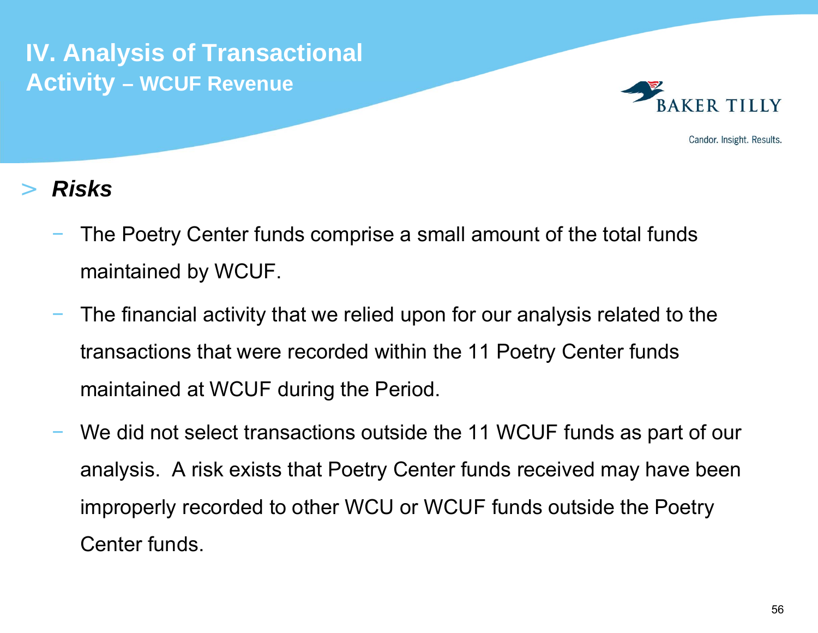

Candor. Insight. Results.

# >*Risks*

- The Poetry Center funds comprise a small amount of the total funds maintained by WCUF.
- The financial activity that we relied upon for our analysis related to the transactions that were recorded within the 11 Poetry Center funds maintained at WCUF during the Period.
- We did not select transactions outside the 11 WCUF funds as part of our analysis. A risk exists that Poetry Center funds received may have been improperly recorded to other WCU or WCUF funds outside the Poetry Center funds.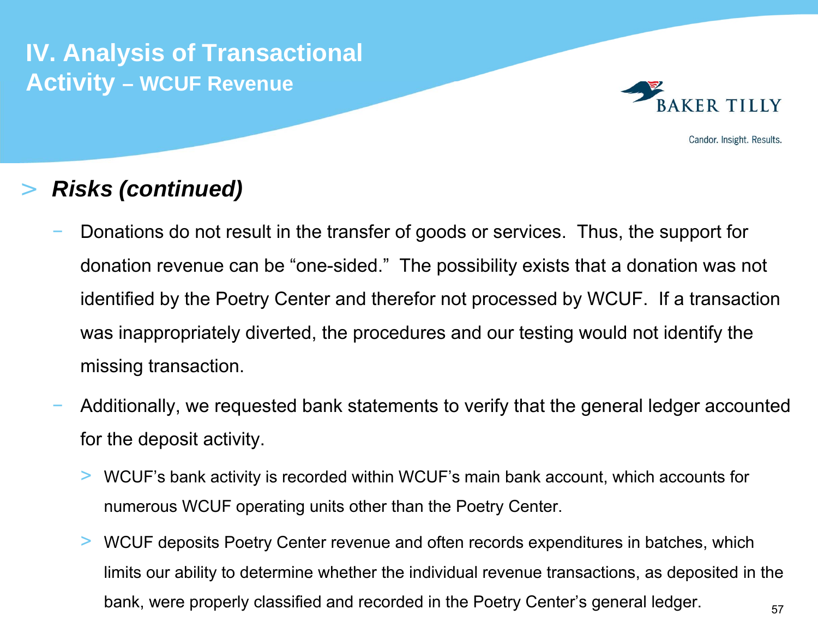

Candor. Insight. Results.

## >*Risks (continued)*

- Donations do not result in the transfer of goods or services. Thus, the support for donation revenue can be "one-sided." The possibility exists that a donation was not identified by the Poetry Center and therefor not processed by WCUF. If a transaction was inappropriately diverted, the procedures and our testing would not identify the missing transaction.
- Additionally, we requested bank statements to verify that the general ledger accounted for the deposit activity.
	- $>$  WCUF's bank activity is recorded within WCUF's main bank account, which accounts for numerous WCUF operating units other than the Poetry Center.
	- 57> WCUF deposits Poetry Center revenue and often records expenditures in batches, which limits our ability to determine whether the individual revenue transactions, as deposited in the bank, were properly classified and recorded in the Poetry Center's general ledger.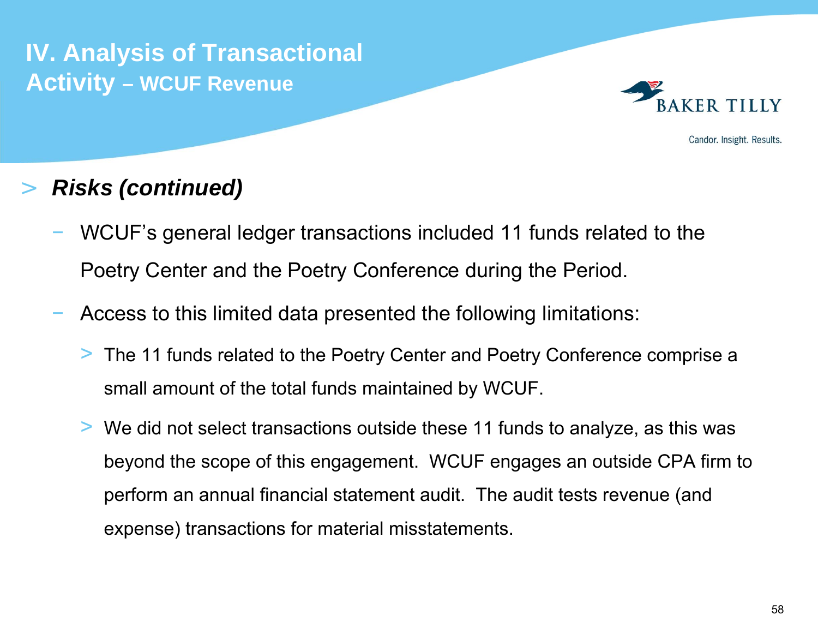

Candor. Insight. Results.

# >*Risks (continued)*

- WCUF's general ledger transactions included 11 funds related to the Poetry Center and the Poetry Conference during the Period.
- Access to this limited data presented the following limitations:
	- > The 11 funds related to the Poetry Center and Poetry Conference comprise a small amount of the total funds maintained by WCUF.
	- > We did not select transactions outside these 11 funds to analyze, as this was beyond the scope of this engagement. WCUF engages an outside CPA firm to perform an annual financial statement audit. The audit tests revenue (and expense) transactions for material misstatements.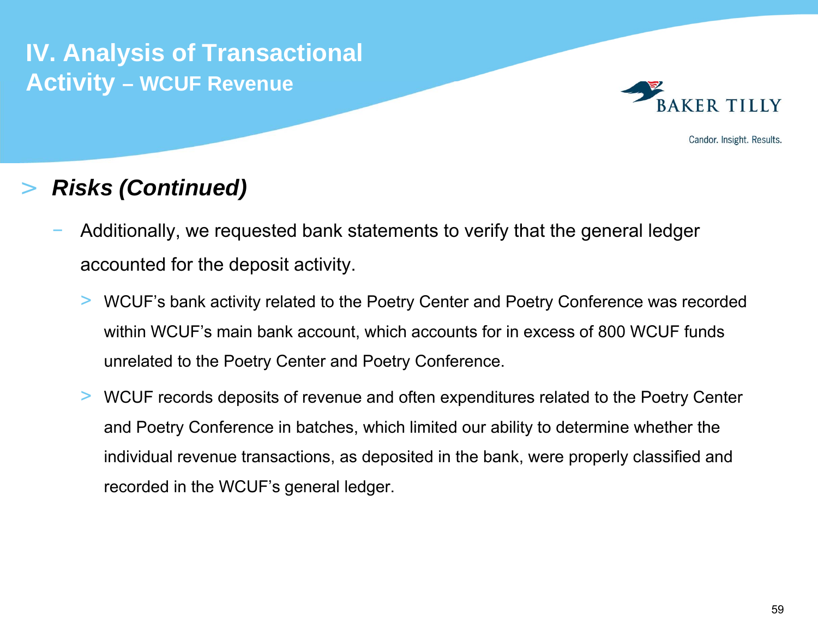

Candor. Insight. Results.

# >*Risks (Continued)*

- Additionally, we requested bank statements to verify that the general ledger accounted for the deposit activity.
	- > WCUF's bank activity related to the Poetry Center and Poetry Conference was recorded within WCUF's main bank account, which accounts for in excess of 800 WCUF funds unrelated to the Poetry Center and Poetry Conference.
	- > WCUF records deposits of revenue and often expenditures related to the Poetry Center and Poetry Conference in batches, which limited our ability to determine whether the individual revenue transactions, as deposited in the bank, were properly classified and recorded in the WCUF's general ledger.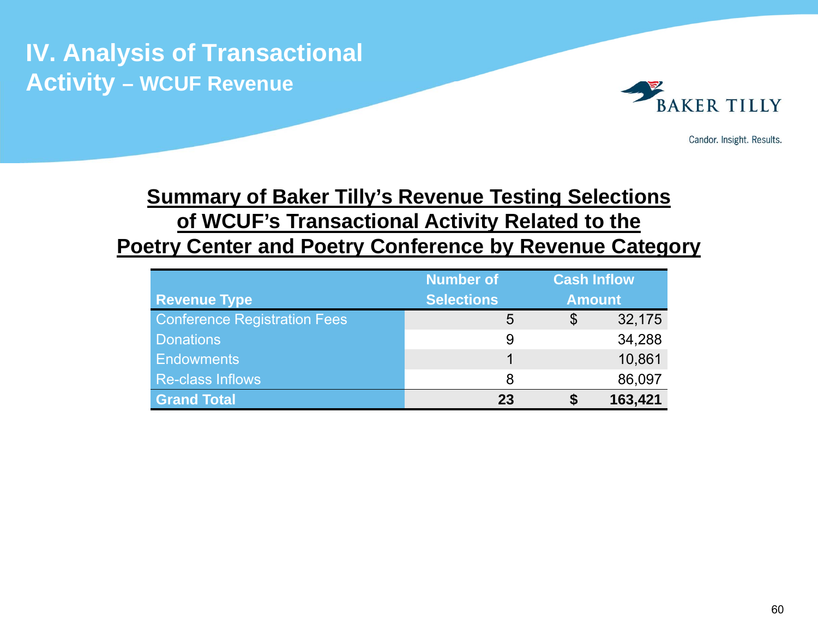

Candor. Insight. Results.

# **Summary of Baker Tilly's Revenue Testing Selections of WCUF's Transactional Activity Related to the Poetry Center and Poetry Conference by Revenue Category**

|                                     | <b>Number of</b>  | <b>Cash Inflow</b> |               |  |
|-------------------------------------|-------------------|--------------------|---------------|--|
| <b>Revenue Type</b>                 | <b>Selections</b> |                    | <b>Amount</b> |  |
| <b>Conference Registration Fees</b> | 5                 | \$                 | 32,175        |  |
| <b>Donations</b>                    | 9                 |                    | 34,288        |  |
| <b>Endowments</b>                   |                   |                    | 10,861        |  |
| <b>Re-class Inflows</b>             | 8                 |                    | 86,097        |  |
| <b>Grand Total</b>                  | 23                |                    | 163,421       |  |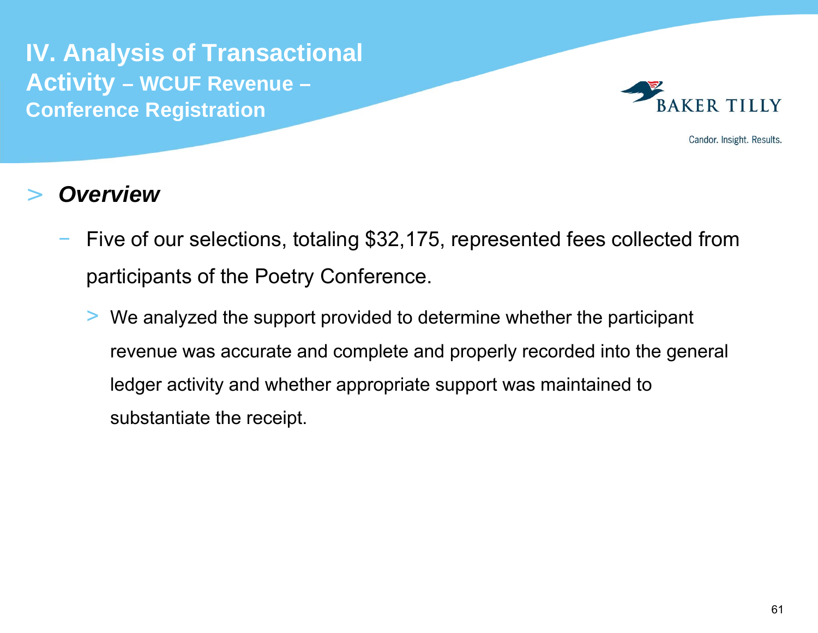

Candor. Insight. Results.

- Five of our selections, totaling \$32,175, represented fees collected from participants of the Poetry Conference.
	- > We analyzed the support provided to determine whether the participant revenue was accurate and complete and properly recorded into the general ledger activity and whether appropriate support was maintained to substantiate the receipt.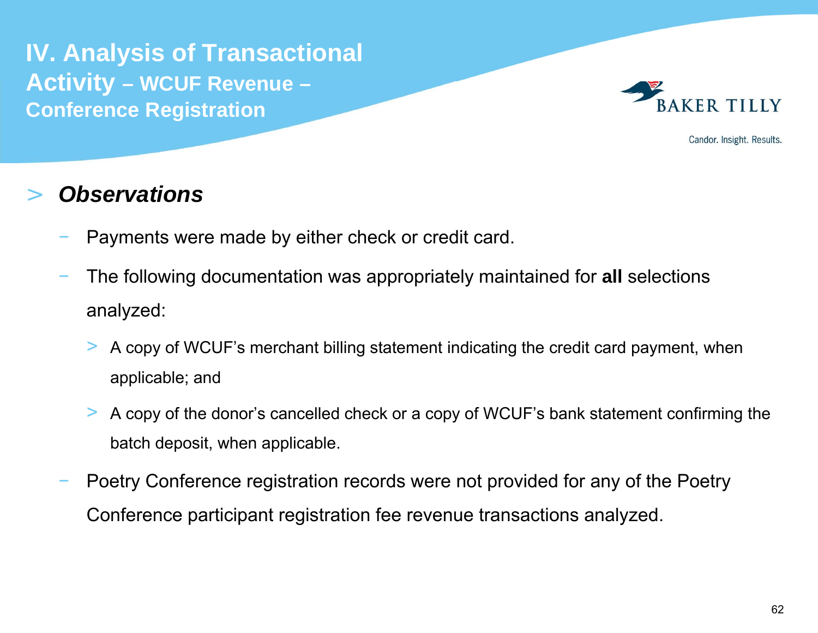

Candor. Insight. Results.

- Payments were made by either check or credit card.
- The following documentation was appropriately maintained for **all** selections analyzed:
	- > A copy of WCUF's merchant billing statement indicating the credit card payment, when applicable; and
	- > A copy of the donor's cancelled check or a copy of WCUF's bank statement confirming the batch deposit, when applicable.
- Poetry Conference registration records were not provided for any of the Poetry Conference participant registration fee revenue transactions analyzed.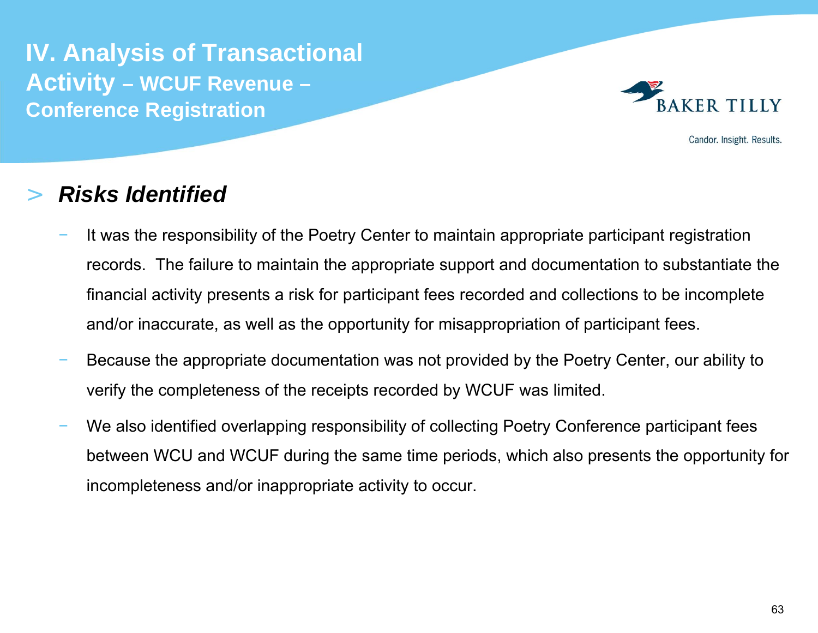

Candor. Insight. Results.

### >*Risks Identified*

- It was the responsibility of the Poetry Center to maintain appropriate participant registration records. The failure to maintain the appropriate support and documentation to substantiate the financial activity presents a risk for participant fees recorded and collections to be incomplete and/or inaccurate, as well as the opportunity for misappropriation of participant fees.
- Because the appropriate documentation was not provided by the Poetry Center, our ability to verify the completeness of the receipts recorded by WCUF was limited.
- We also identified overlapping responsibility of collecting Poetry Conference participant fees between WCU and WCUF during the same time periods, which also presents the opportunity for incompleteness and/or inappropriate activity to occur.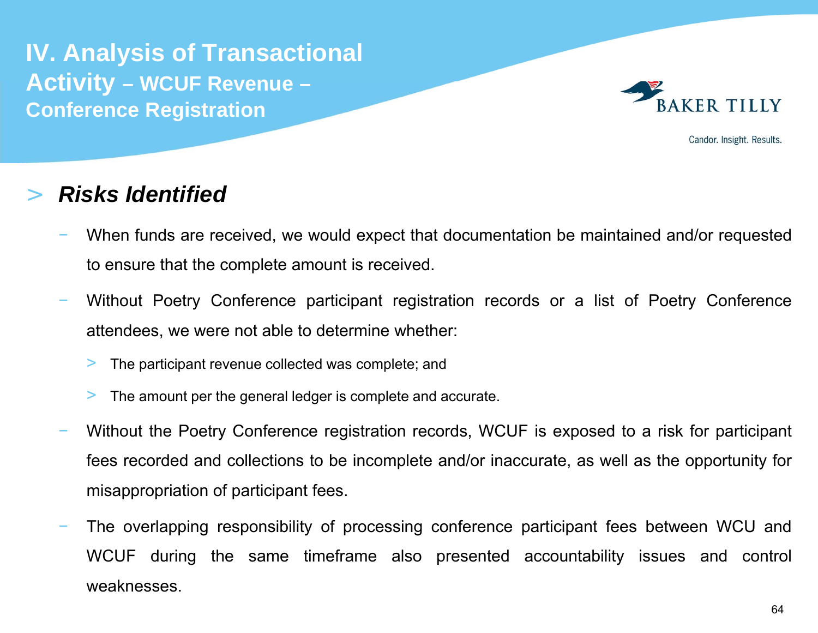

Candor. Insight. Results.

### >*Risks Identified*

- When funds are received, we would expect that documentation be maintained and/or requested to ensure that the complete amount is received.
- Without Poetry Conference participant registration records or <sup>a</sup> list of Poetry Conference attendees, we were not able to determine whether:
	- >The participant revenue collected was complete; and
	- >The amount per the general ledger is complete and accurate.
- Without the Poetry Conference registration records, WCUF is exposed to <sup>a</sup> risk for participant fees recorded and collections to be incomplete and/or inaccurate, as well as the opportunity for misappropriation of participant fees.
- The overlapping responsibility of processing conference participant fees between WCU and WCUF during the same timeframe also presented accountability issues and control weaknesses.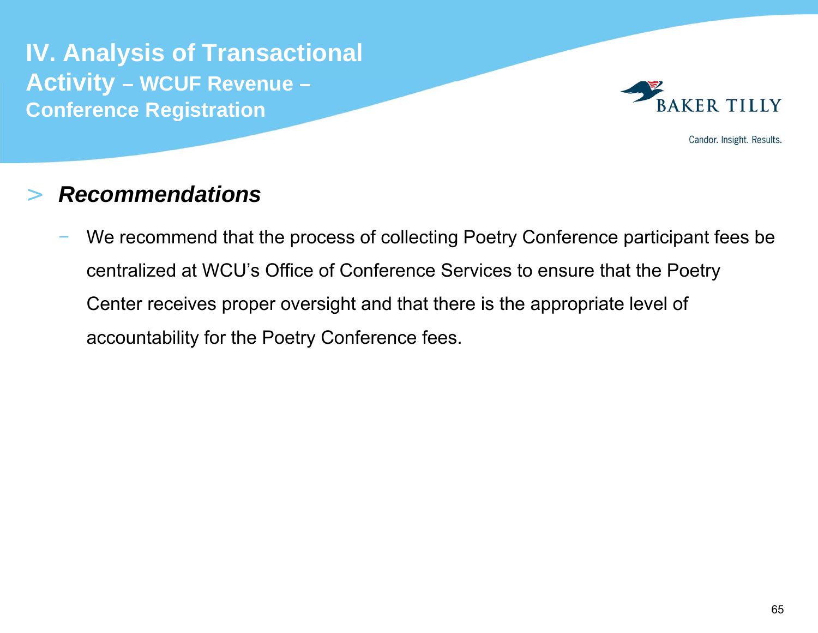

Candor. Insight. Results.

### >*Recommendations*

 We recommend that the process of collecting Poetry Conference participant fees be centralized at WCU's Office of Conference Services to ensure that the Poetry Center receives proper oversight and that there is the appropriate level of accountability for the Poetry Conference fees.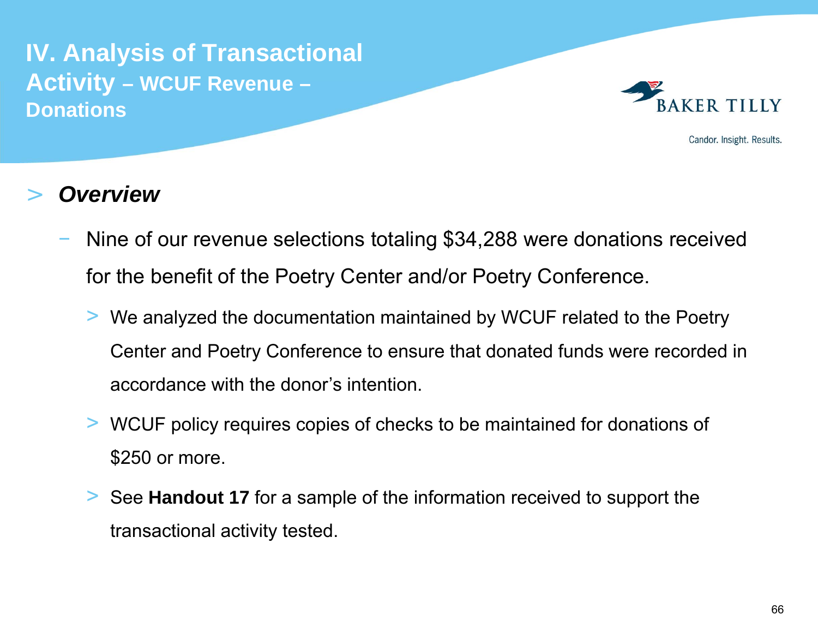

Candor. Insight. Results.

- Nine of our revenue selections totaling \$34,288 were donations received for the benefit of the Poetry Center and/or Poetry Conference.
	- > We analyzed the documentation maintained by WCUF related to the Poetry Center and Poetry Conference to ensure that donated funds were recorded in accordance with the donor's intention.
	- > WCUF policy requires copies of checks to be maintained for donations of \$250 or more.
	- > See **Handout 17** for a sample of the information received to support the transactional activity tested.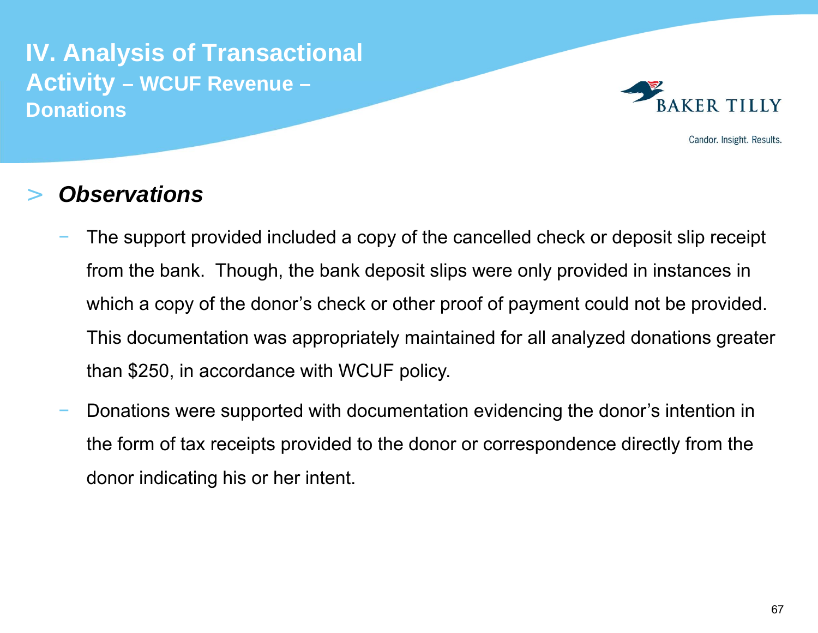

Candor. Insight. Results.

- The support provided included a copy of the cancelled check or deposit slip receipt from the bank. Though, the bank deposit slips were only provided in instances in which a copy of the donor's check or other proof of payment could not be provided. This documentation was appropriately maintained for all analyzed donations greater than \$250, in accordance with WCUF policy.
- Donations were supported with documentation evidencing the donor's intention in the form of tax receipts provided to the donor or correspondence directly from the donor indicating his or her intent.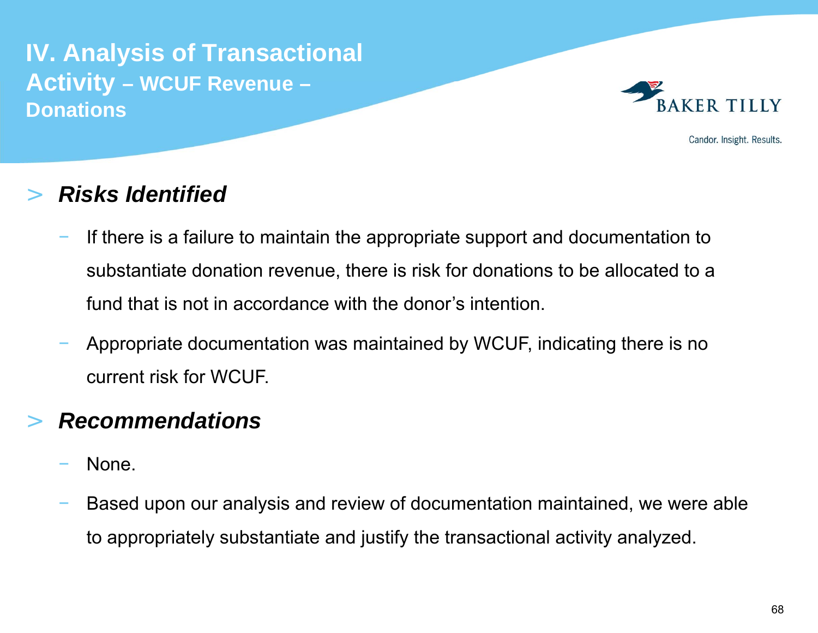**IV. Analysis of Transactional Activity – WCUF Revenue – Donations**



Candor. Insight. Results.

### >*Risks Identified*

- If there is a failure to maintain the appropriate support and documentation to substantiate donation revenue, there is risk for donations to be allocated to a fund that is not in accordance with the donor's intention.
- Appropriate documentation was maintained by WCUF, indicating there is no current risk for WCUF.

# >*Recommendations*

- None.
- Based upon our analysis and review of documentation maintained, we were able to appropriately substantiate and justify the transactional activity analyzed.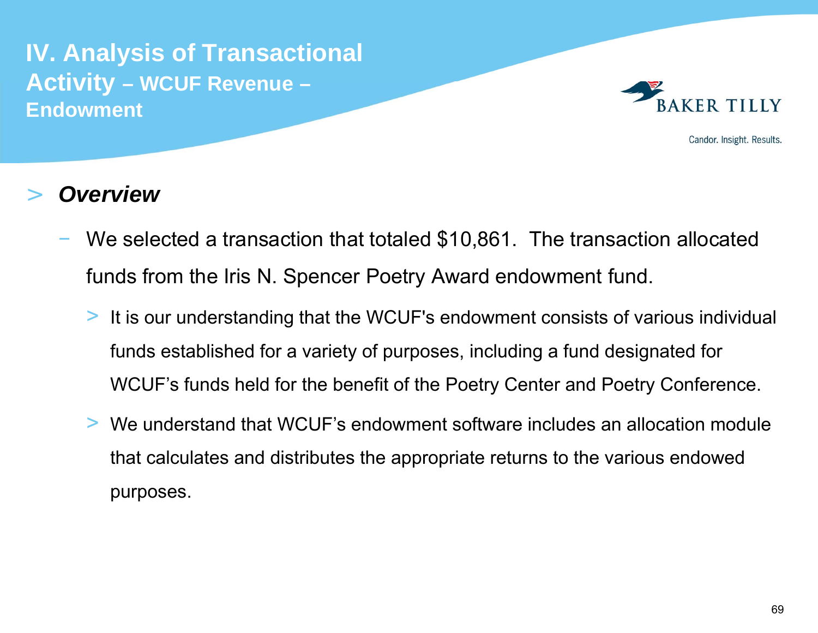**IV. Analysis of Transactional Activity – WCUF Revenue – Endowment**



Candor. Insight. Results.

- We selected a transaction that totaled \$10,861. The transaction allocated funds from the Iris N. Spencer Poetry Award endowment fund.
	- > It is our understanding that the WCUF's endowment consists of various individual funds established for a variety of purposes, including a fund designated for WCUF's funds held for the benefit of the Poetry Center and Poetry Conference.
	- > We understand that WCUF's endowment software includes an allocation module that calculates and distributes the appropriate returns to the various endowed purposes.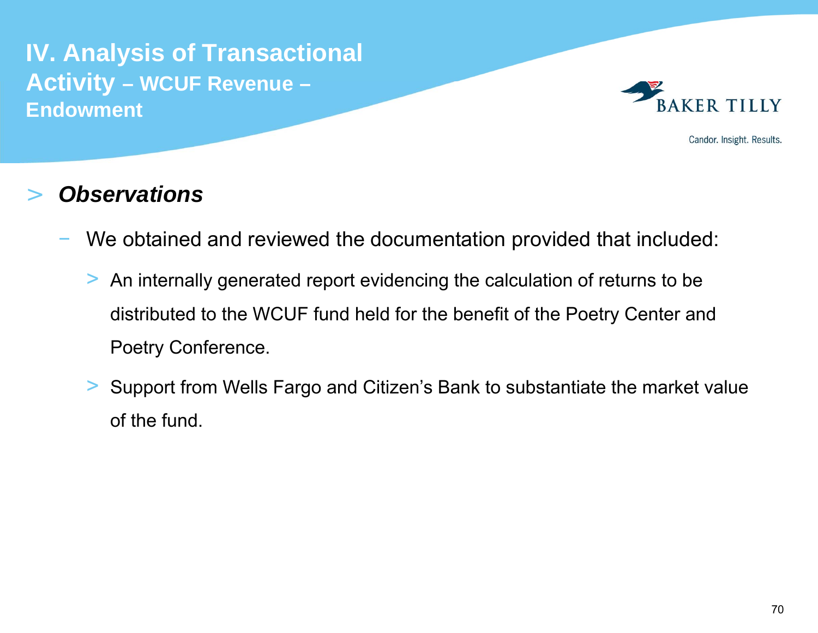**IV. Analysis of Transactional Activity – WCUF Revenue – Endowment**



Candor. Insight. Results.

- We obtained and reviewed the documentation provided that included:
	- > An internally generated report evidencing the calculation of returns to be distributed to the WCUF fund held for the benefit of the Poetry Center and Poetry Conference.
	- > Support from Wells Fargo and Citizen's Bank to substantiate the market value of the fund.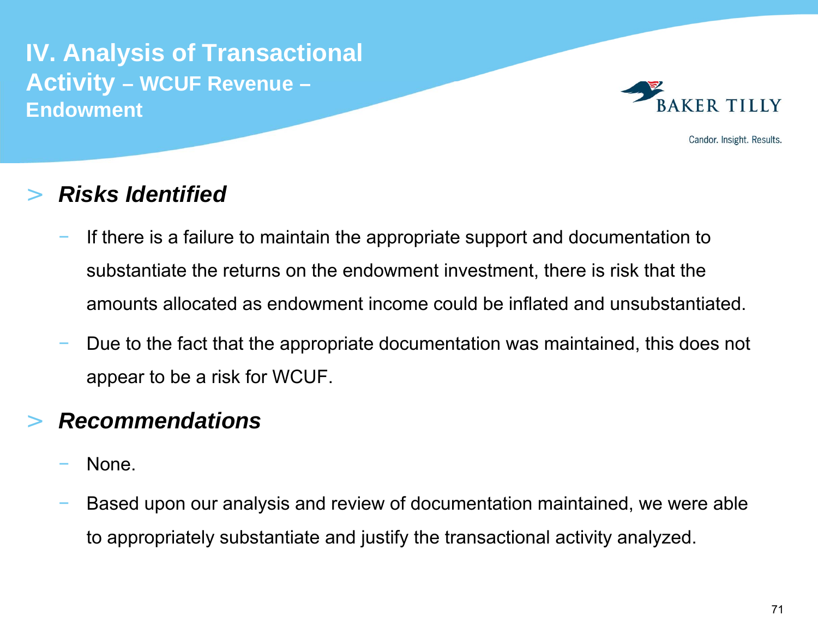**IV. Analysis of Transactional Activity – WCUF Revenue – Endowment**



Candor. Insight. Results.

### >*Risks Identified*

- If there is a failure to maintain the appropriate support and documentation to substantiate the returns on the endowment investment, there is risk that the amounts allocated as endowment income could be inflated and unsubstantiated.
- Due to the fact that the appropriate documentation was maintained, this does not appear to be a risk for WCUF.

# >*Recommendations*

- None.
- Based upon our analysis and review of documentation maintained, we were able to appropriately substantiate and justify the transactional activity analyzed.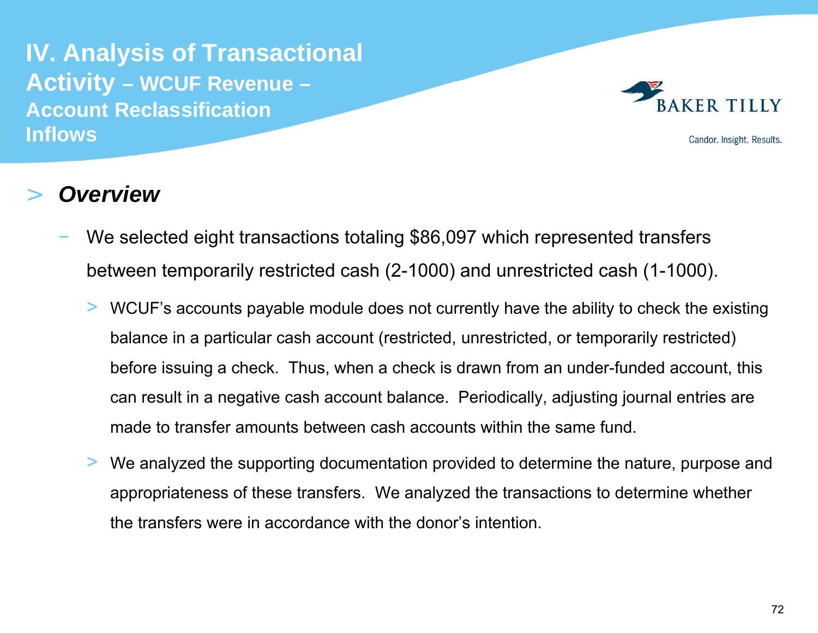**IV. Analysis of Transactional Activity – WCUF Revenue – Account Reclassification Inflows**



Candor. Insight. Results.

- We selected eight transactions totaling \$86,097 which represented transfers between temporarily restricted cash (2-1000) and unrestricted cash (1-1000).
	- > WCUF's accounts payable module does not currently have the ability to check the existing balance in a particular cash account (restricted, unrestricted, or temporarily restricted) before issuing a check. Thus, when a check is drawn from an under-funded account, this can result in a negative cash account balance. Periodically, adjusting journal entries are made to transfer amounts between cash accounts within the same fund.
	- > We analyzed the supporting documentation provided to determine the nature, purpose and appropriateness of these transfers. We analyzed the transactions to determine whether the transfers were in accordance with the donor's intention.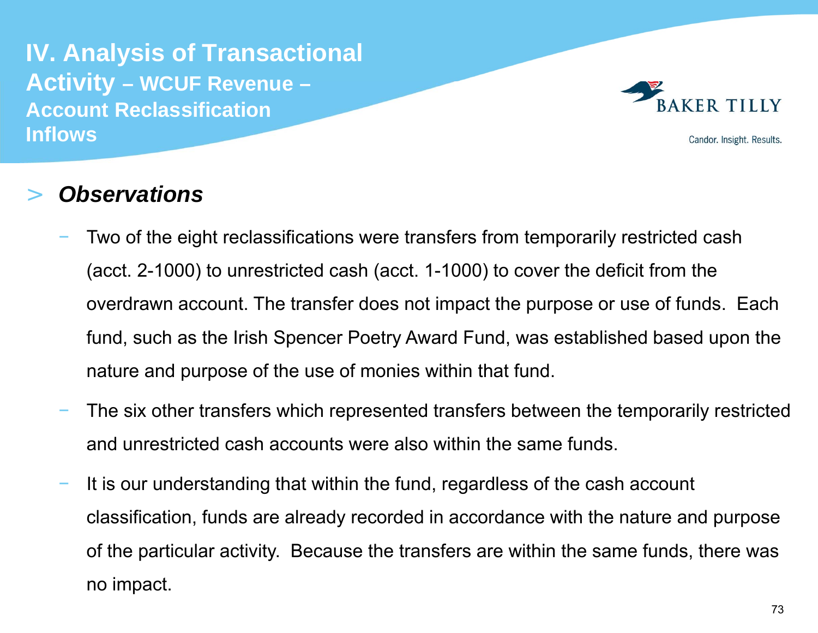**IV. Analysis of Transactional Activity – WCUF Revenue – Account Reclassification Inflows**



Candor. Insight. Results.

- Two of the eight reclassifications were transfers from temporarily restricted cash (acct. 2-1000) to unrestricted cash (acct. 1-1000) to cover the deficit from the overdrawn account. The transfer does not impact the purpose or use of funds. Each fund, such as the Irish Spencer Poetry Award Fund, was established based upon the nature and purpose of the use of monies within that fund.
- The six other transfers which represented transfers between the temporarily restricted and unrestricted cash accounts were also within the same funds.
- It is our understanding that within the fund, regardless of the cash account classification, funds are already recorded in accordance with the nature and purpose of the particular activity. Because the transfers are within the same funds, there was no impact.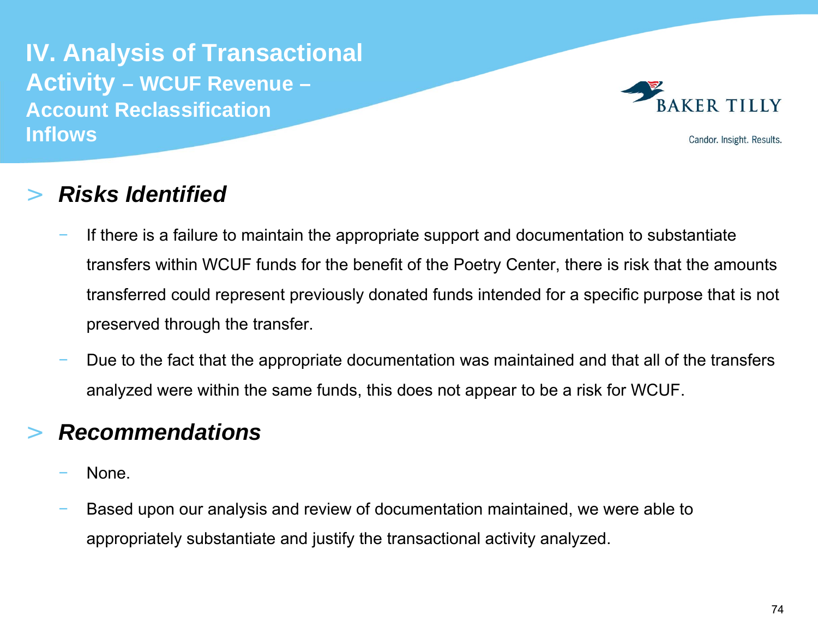**IV. Analysis of Transactional Activity – WCUF Revenue – Account Reclassification Inflows**



Candor. Insight. Results.

#### >*Risks Identified*

- If there is a failure to maintain the appropriate support and documentation to substantiate transfers within WCUF funds for the benefit of the Poetry Center, there is risk that the amounts transferred could represent previously donated funds intended for a specific purpose that is not preserved through the transfer.
- Due to the fact that the appropriate documentation was maintained and that all of the transfers analyzed were within the same funds, this does not appear to be a risk for WCUF.

# >*Recommendations*

- None.
- Based upon our analysis and review of documentation maintained, we were able to appropriately substantiate and justify the transactional activity analyzed.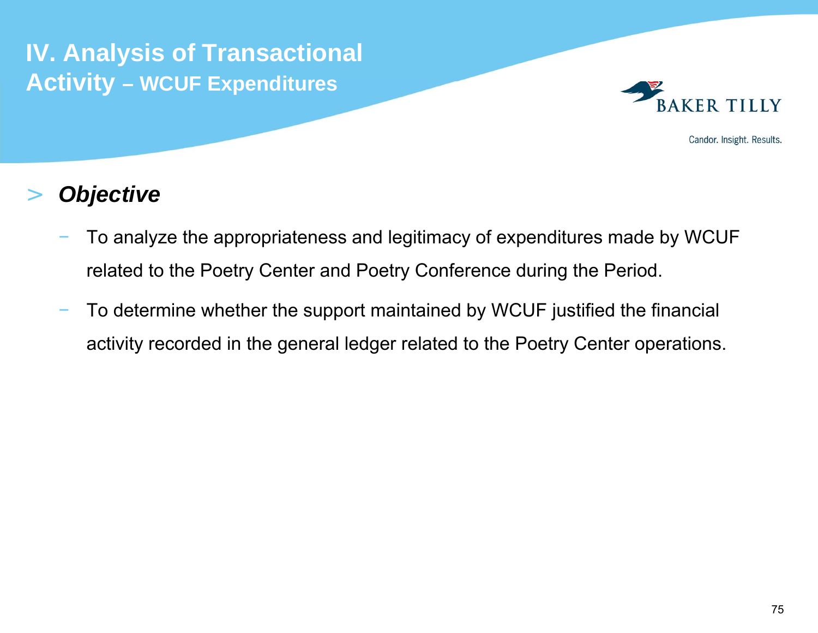**IV. Analysis of Transactional Activity – WCUF Expenditures**



Candor. Insight. Results.

### >*Objective*

- To analyze the appropriateness and legitimacy of expenditures made by WCUF related to the Poetry Center and Poetry Conference during the Period.
- To determine whether the support maintained by WCUF justified the financial activity recorded in the general ledger related to the Poetry Center operations.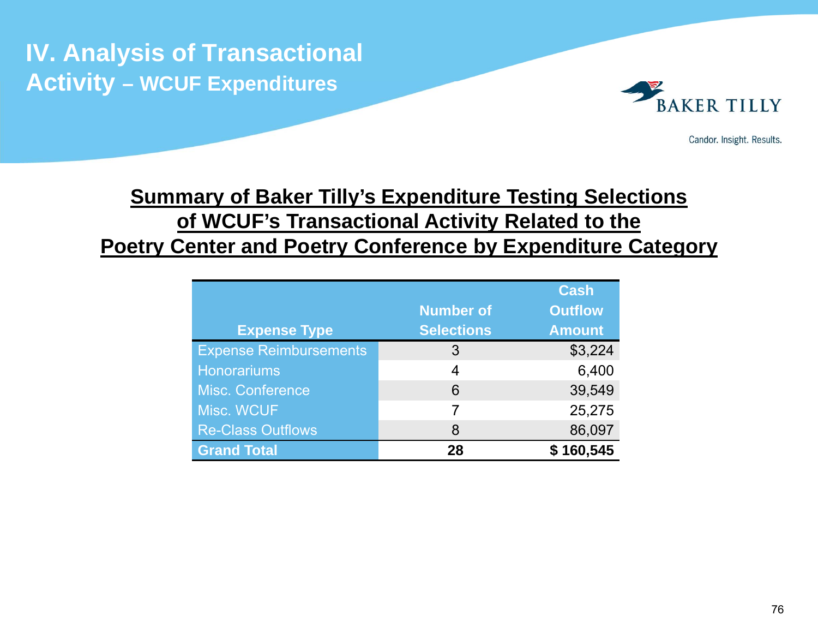**IV. Analysis of Transactional Activity – WCUF Expenditures**



Candor. Insight. Results.

# **Summary of Baker Tilly's Expenditure Testing Selections of WCUF's Transactional Activity Related to the Poetry Center and Poetry Conference by Expenditure Category**

|                               |                   | <b>Cash</b>    |
|-------------------------------|-------------------|----------------|
|                               | <b>Number of</b>  | <b>Outflow</b> |
| <b>Expense Type</b>           | <b>Selections</b> | <b>Amount</b>  |
| <b>Expense Reimbursements</b> | 3                 | \$3,224        |
| <b>Honorariums</b>            | 4                 | 6,400          |
| <b>Misc. Conference</b>       | 6                 | 39,549         |
| Misc. WCUF                    | 7                 | 25,275         |
| <b>Re-Class Outflows</b>      | 8                 | 86,097         |
| <b>Grand Total</b>            | 28                | 160,545        |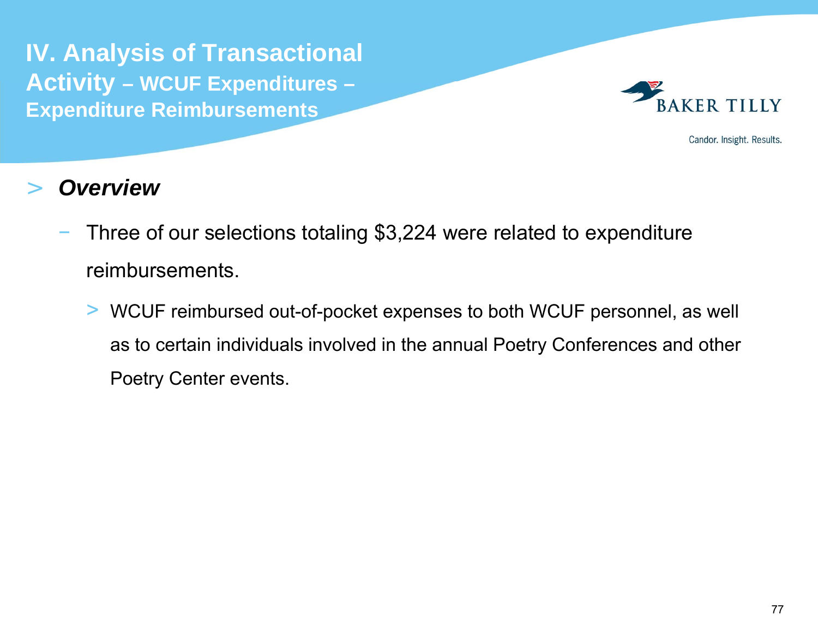**IV. Analysis of Transactional Activity – WCUF Expenditures – Expenditure Reimbursements**



Candor. Insight. Results.

- Three of our selections totaling \$3,224 were related to expenditure reimbursements.
	- > WCUF reimbursed out-of-pocket expenses to both WCUF personnel, as well as to certain individuals involved in the annual Poetry Conferences and other Poetry Center events.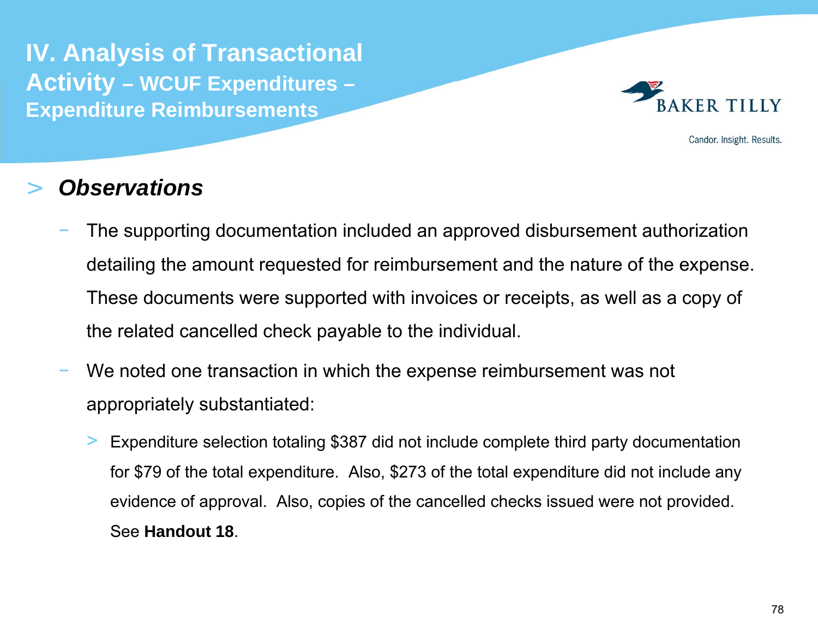**IV. Analysis of Transactional Activity – WCUF Expenditures – Expenditure Reimbursements**



Candor. Insight. Results.

- The supporting documentation included an approved disbursement authorization detailing the amount requested for reimbursement and the nature of the expense. These documents were supported with invoices or receipts, as well as a copy of the related cancelled check payable to the individual.
- We noted one transaction in which the expense reimbursement was not appropriately substantiated:
	- > Expenditure selection totaling \$387 did not include complete third party documentation for \$79 of the total expenditure. Also, \$273 of the total expenditure did not include any evidence of approval. Also, copies of the cancelled checks issued were not provided. See **Handout 18**.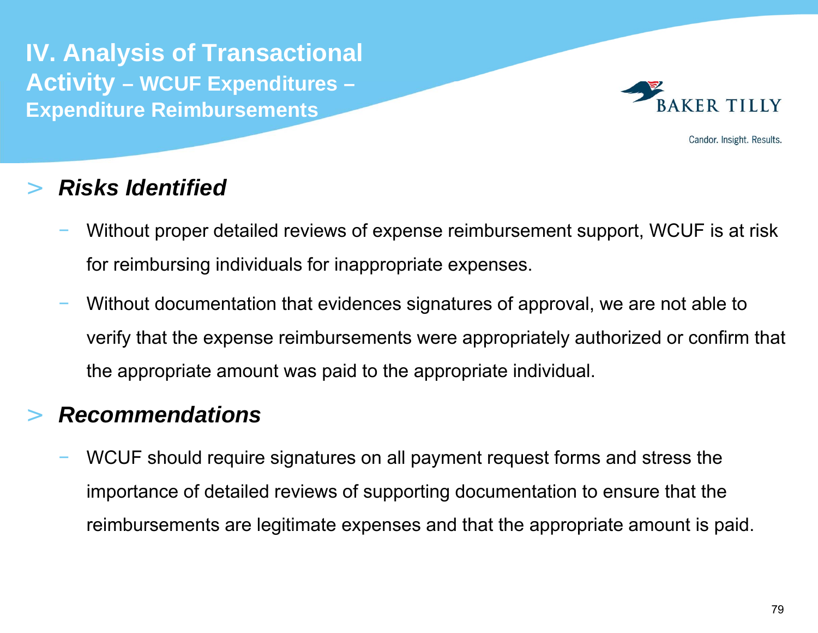**IV. Analysis of Transactional Activity – WCUF Expenditures – Expenditure Reimbursements**



Candor. Insight. Results.

# >*Risks Identified*

- Without proper detailed reviews of expense reimbursement support, WCUF is at risk for reimbursing individuals for inappropriate expenses.
- Without documentation that evidences signatures of approval, we are not able to verify that the expense reimbursements were appropriately authorized or confirm that the appropriate amount was paid to the appropriate individual.

# >*Recommendations*

 WCUF should require signatures on all payment request forms and stress the importance of detailed reviews of supporting documentation to ensure that the reimbursements are legitimate expenses and that the appropriate amount is paid.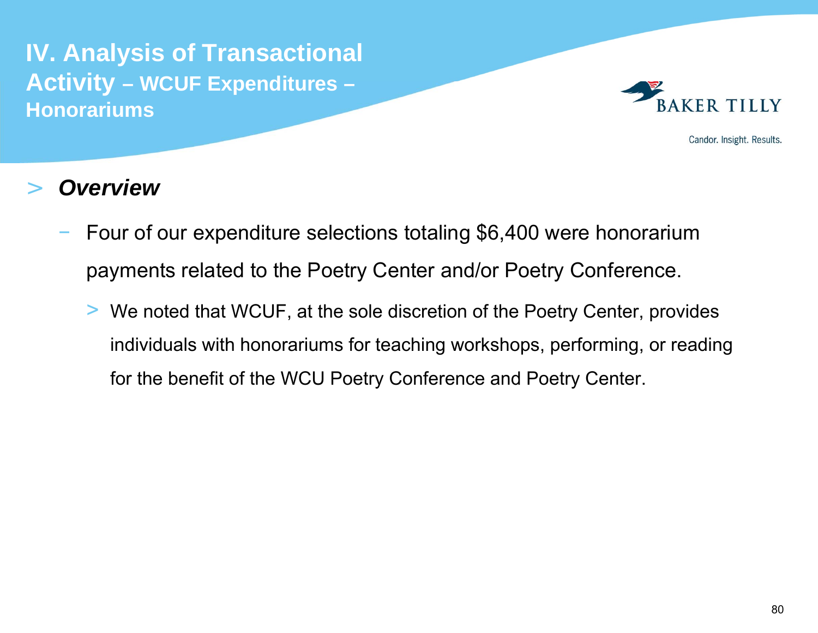

Candor. Insight. Results.

- Four of our expenditure selections totaling \$6,400 were honorarium payments related to the Poetry Center and/or Poetry Conference.
	- > We noted that WCUF, at the sole discretion of the Poetry Center, provides individuals with honorariums for teaching workshops, performing, or reading for the benefit of the WCU Poetry Conference and Poetry Center.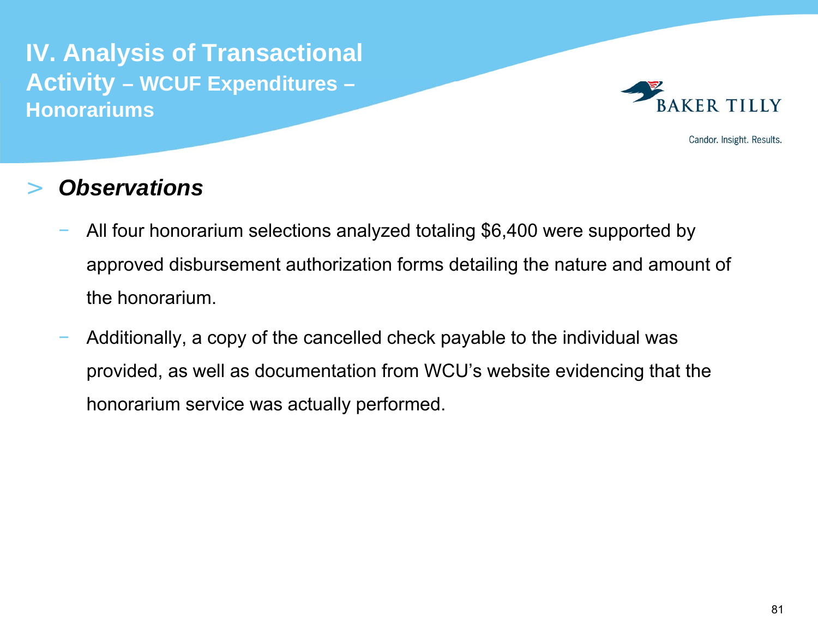

Candor. Insight. Results.

- All four honorarium selections analyzed totaling \$6,400 were supported by approved disbursement authorization forms detailing the nature and amount of the honorarium.
- Additionally, a copy of the cancelled check payable to the individual was provided, as well as documentation from WCU's website evidencing that the honorarium service was actually performed.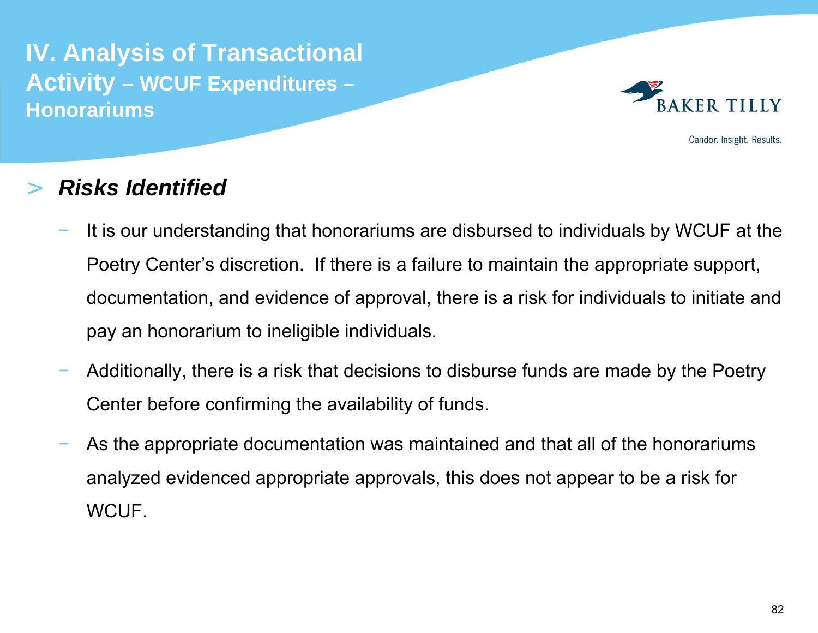

Candor. Insight. Results.

#### >*Risks Identified*

- It is our understanding that honorariums are disbursed to individuals by WCUF at the Poetry Center's discretion. If there is a failure to maintain the appropriate support, documentation, and evidence of approval, there is a risk for individuals to initiate and pay an honorarium to ineligible individuals.
- Additionally, there is a risk that decisions to disburse funds are made by the Poetry Center before confirming the availability of funds.
- As the appropriate documentation was maintained and that all of the honorariums analyzed evidenced appropriate approvals, this does not appear to be a risk for WCUF.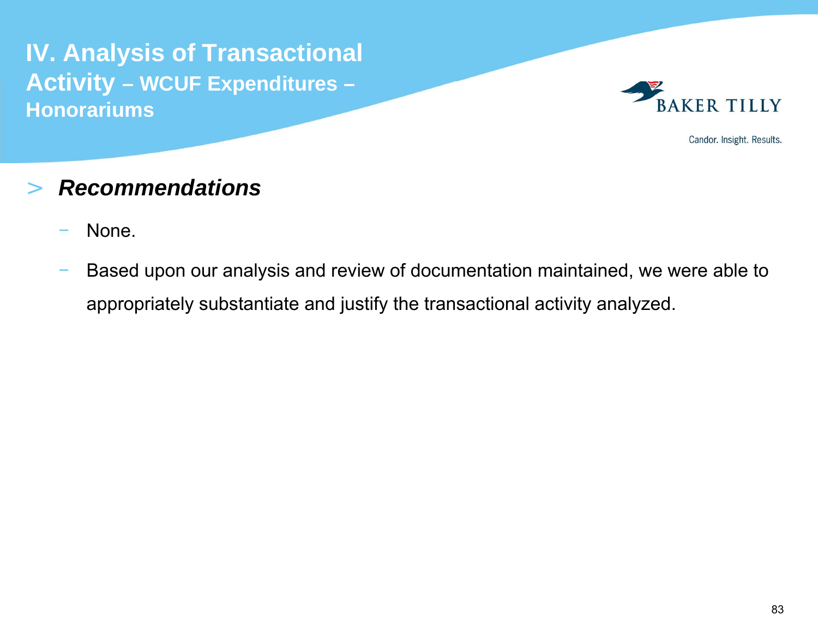

Candor. Insight. Results.

#### >*Recommendations*

- None.
- Based upon our analysis and review of documentation maintained, we were able to appropriately substantiate and justify the transactional activity analyzed.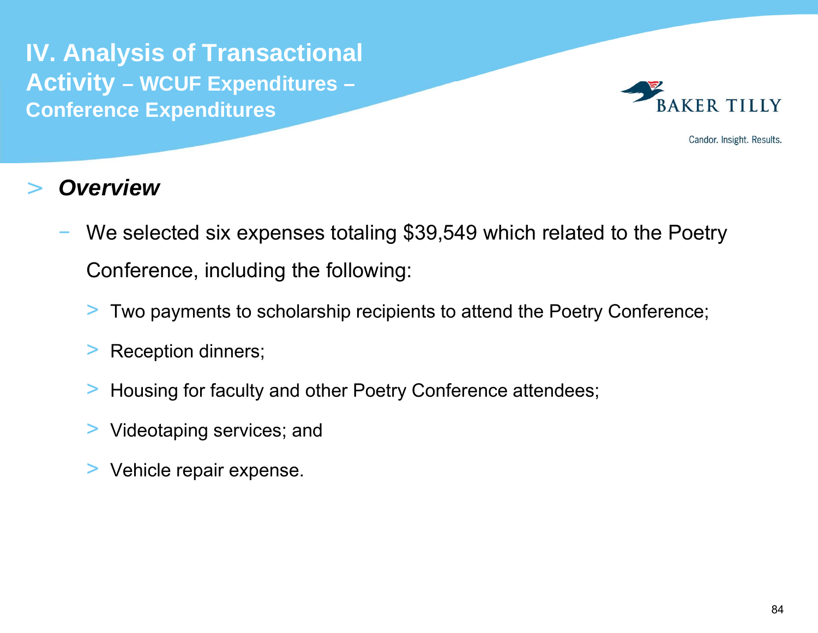**IV. Analysis of Transactional Activity – WCUF Expenditures – Conference Expenditures**



Candor. Insight. Results.

- We selected six expenses totaling \$39,549 which related to the Poetry Conference, including the following:
	- > Two payments to scholarship recipients to attend the Poetry Conference;
	- >Reception dinners;
	- >Housing for faculty and other Poetry Conference attendees;
	- > Videotaping services; and
	- >Vehicle repair expense.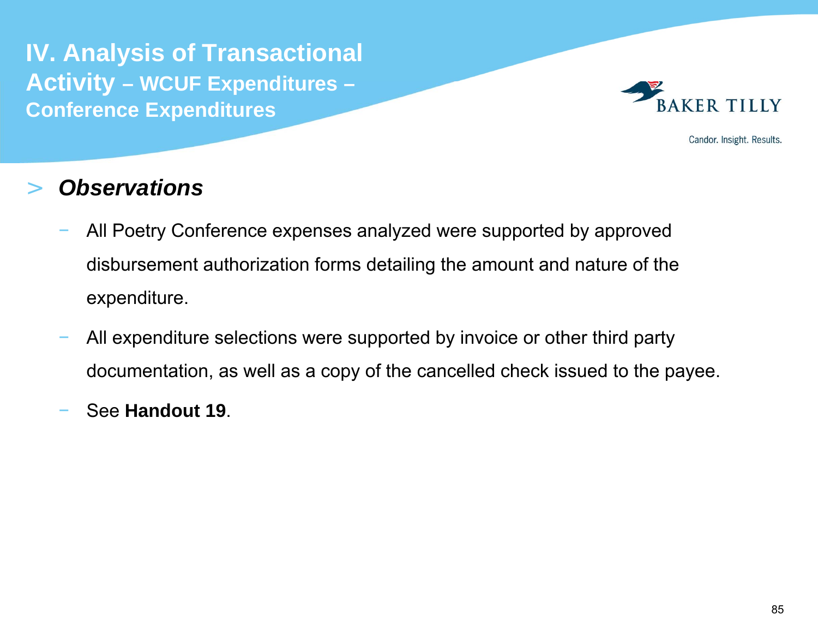**IV. Analysis of Transactional Activity – WCUF Expenditures – Conference Expenditures**



Candor. Insight. Results.

- All Poetry Conference expenses analyzed were supported by approved disbursement authorization forms detailing the amount and nature of the expenditure.
- All expenditure selections were supported by invoice or other third party documentation, as well as a copy of the cancelled check issued to the payee.
- See **Handout 19**.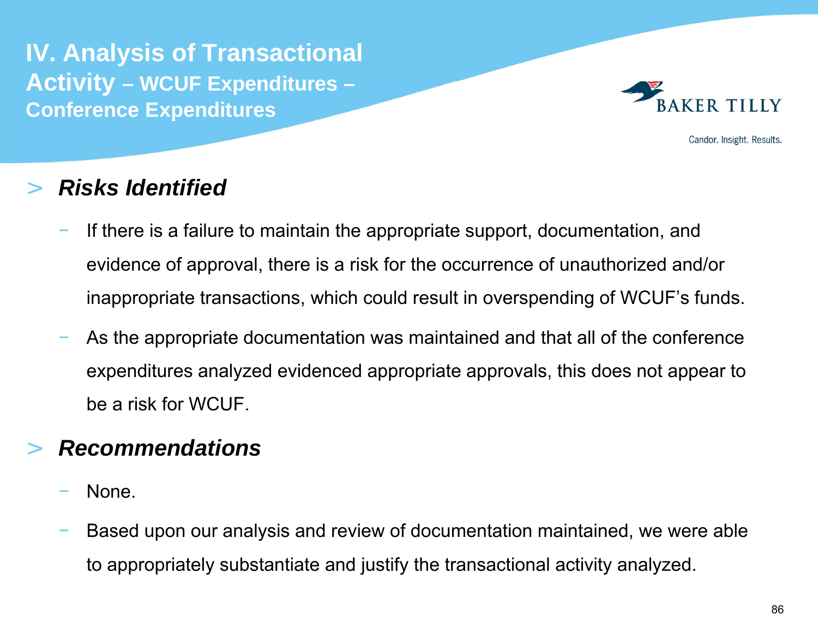**IV. Analysis of Transactional Activity – WCUF Expenditures – Conference Expenditures**



Candor. Insight. Results.

# >*Risks Identified*

- If there is a failure to maintain the appropriate support, documentation, and evidence of approval, there is a risk for the occurrence of unauthorized and/or inappropriate transactions, which could result in overspending of WCUF's funds.
- As the appropriate documentation was maintained and that all of the conference expenditures analyzed evidenced appropriate approvals, this does not appear to be a risk for WCUF.

# >*Recommendations*

- None.
- Based upon our analysis and review of documentation maintained, we were able to appropriately substantiate and justify the transactional activity analyzed.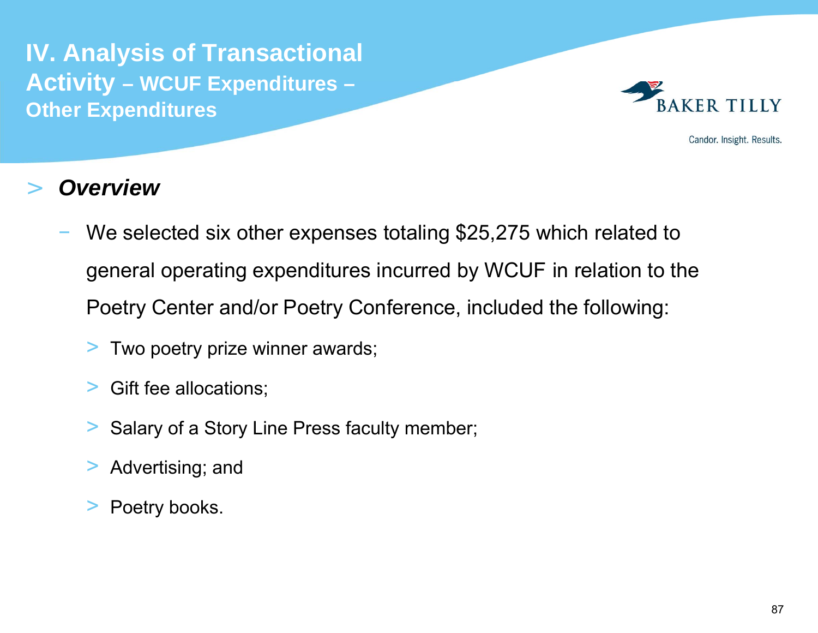**IV. Analysis of Transactional Activity – WCUF Expenditures – Other Expenditures**



Candor. Insight. Results.

- We selected six other expenses totaling \$25,275 which related to general operating expenditures incurred by WCUF in relation to the Poetry Center and/or Poetry Conference, included the following:
	- > Two poetry prize winner awards;
	- >Gift fee allocations;
	- >Salary of a Story Line Press faculty member;
	- $>$ Advertising; and
	- >Poetry books.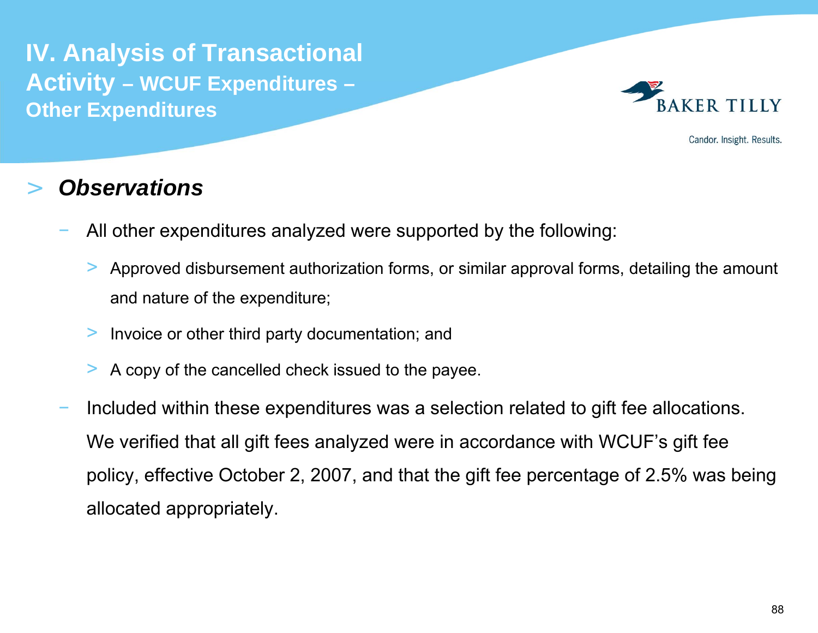**IV. Analysis of Transactional Activity – WCUF Expenditures – Other Expenditures**



Candor. Insight. Results.

- All other expenditures analyzed were supported by the following:
	- > Approved disbursement authorization forms, or similar approval forms, detailing the amount and nature of the expenditure;
	- >Invoice or other third party documentation; and
	- >A copy of the cancelled check issued to the payee.
- Included within these expenditures was a selection related to gift fee allocations. We verified that all gift fees analyzed were in accordance with WCUF's gift fee policy, effective October 2, 2007, and that the gift fee percentage of 2.5% was being allocated appropriately.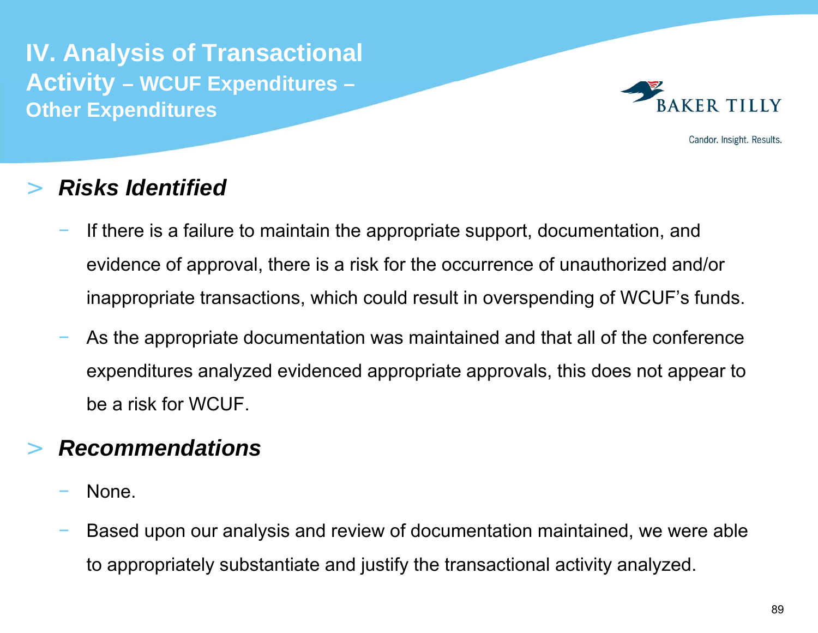**IV. Analysis of Transactional Activity – WCUF Expenditures – Other Expenditures**



Candor. Insight. Results.

### >*Risks Identified*

- If there is a failure to maintain the appropriate support, documentation, and evidence of approval, there is a risk for the occurrence of unauthorized and/or inappropriate transactions, which could result in overspending of WCUF's funds.
- As the appropriate documentation was maintained and that all of the conference expenditures analyzed evidenced appropriate approvals, this does not appear to be a risk for WCUF.

# >*Recommendations*

- None.
- Based upon our analysis and review of documentation maintained, we were able to appropriately substantiate and justify the transactional activity analyzed.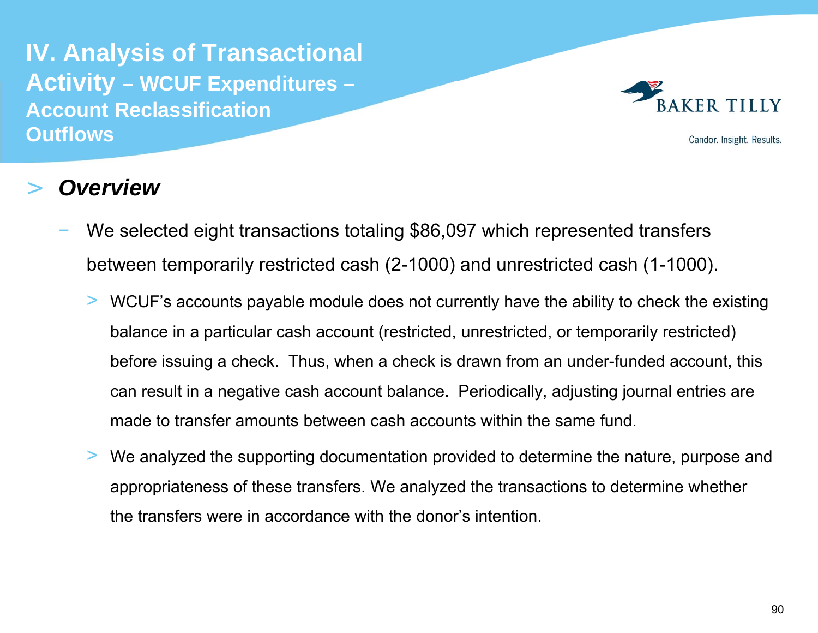**IV. Analysis of Transactional Activity – WCUF Expenditures – Account Reclassification Outflows**



Candor. Insight. Results.

- We selected eight transactions totaling \$86,097 which represented transfers between temporarily restricted cash (2-1000) and unrestricted cash (1-1000).
	- > WCUF's accounts payable module does not currently have the ability to check the existing balance in a particular cash account (restricted, unrestricted, or temporarily restricted) before issuing a check. Thus, when a check is drawn from an under-funded account, this can result in a negative cash account balance. Periodically, adjusting journal entries are made to transfer amounts between cash accounts within the same fund.
	- > We analyzed the supporting documentation provided to determine the nature, purpose and appropriateness of these transfers. We analyzed the transactions to determine whether the transfers were in accordance with the donor's intention.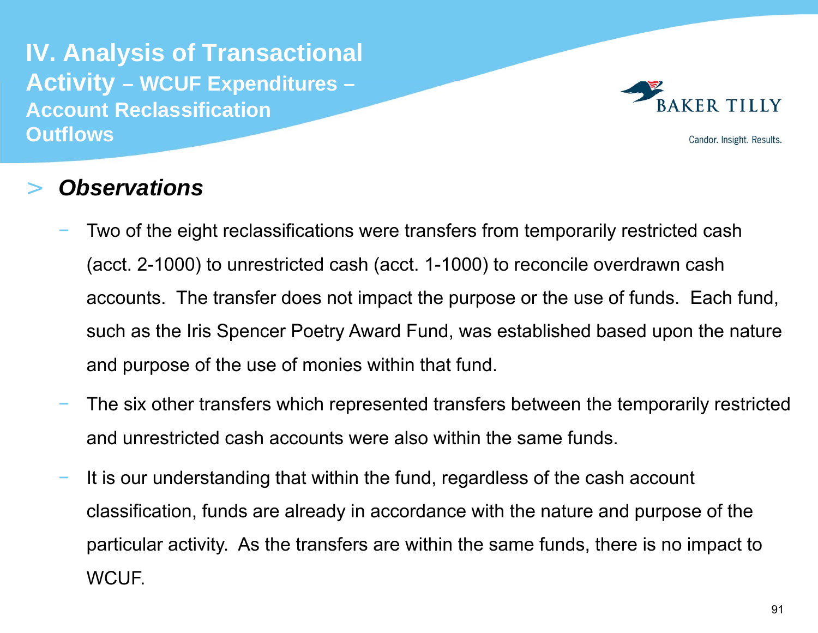**IV. Analysis of Transactional Activity – WCUF Expenditures – Account Reclassification Outflows**



Candor. Insight. Results.

- Two of the eight reclassifications were transfers from temporarily restricted cash (acct. 2-1000) to unrestricted cash (acct. 1-1000) to reconcile overdrawn cash accounts. The transfer does not impact the purpose or the use of funds. Each fund, such as the Iris Spencer Poetry Award Fund, was established based upon the nature and purpose of the use of monies within that fund.
- The six other transfers which represented transfers between the temporarily restricted and unrestricted cash accounts were also within the same funds.
- It is our understanding that within the fund, regardless of the cash account classification, funds are already in accordance with the nature and purpose of the particular activity. As the transfers are within the same funds, there is no impact to WCUF.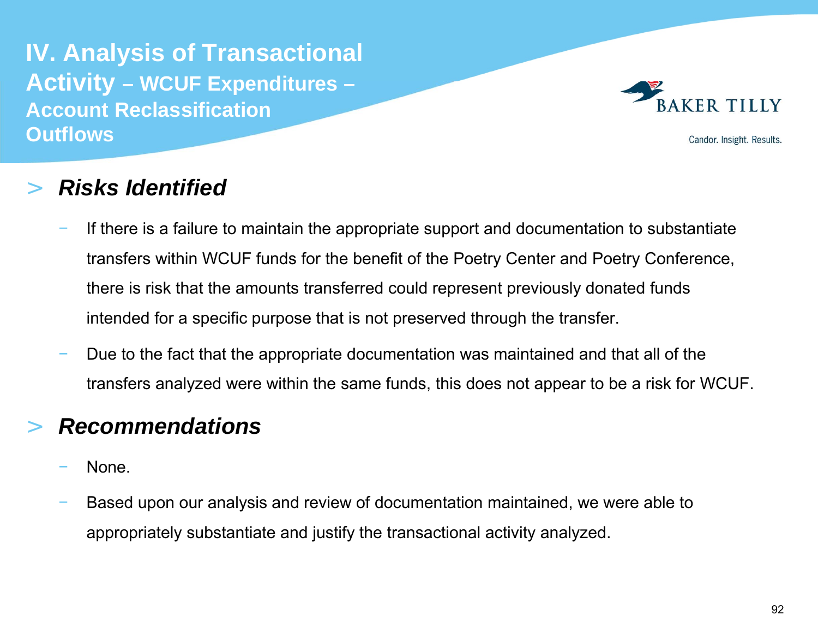**IV. Analysis of Transactional Activity – WCUF Expenditures – Account Reclassification Outflows**



Candor. Insight. Results.

#### >*Risks Identified*

- If there is a failure to maintain the appropriate support and documentation to substantiate transfers within WCUF funds for the benefit of the Poetry Center and Poetry Conference, there is risk that the amounts transferred could represent previously donated funds intended for a specific purpose that is not preserved through the transfer.
- Due to the fact that the appropriate documentation was maintained and that all of the transfers analyzed were within the same funds, this does not appear to be a risk for WCUF.

# >*Recommendations*

- None.
- Based upon our analysis and review of documentation maintained, we were able to appropriately substantiate and justify the transactional activity analyzed.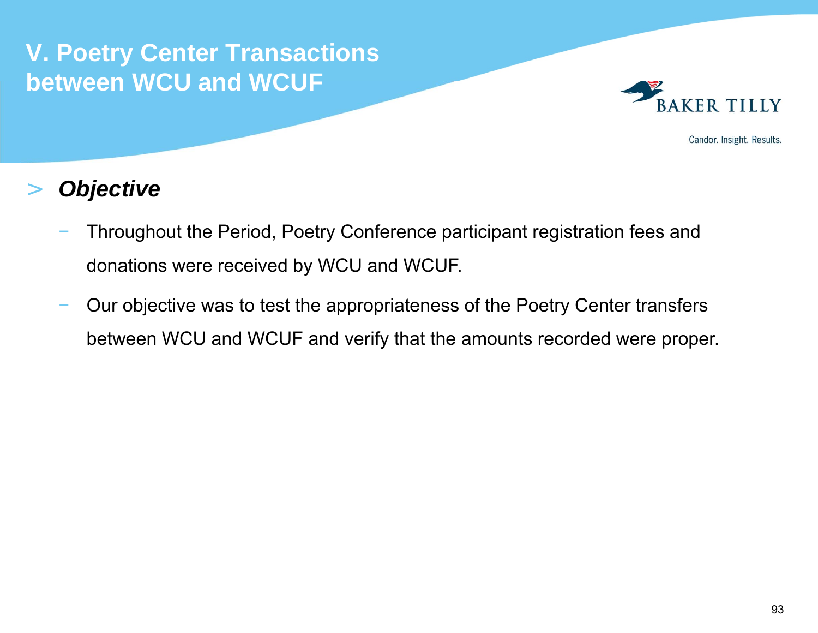

Candor. Insight. Results.

# >*Objective*

- Throughout the Period, Poetry Conference participant registration fees and donations were received by WCU and WCUF.
- Our objective was to test the appropriateness of the Poetry Center transfers between WCU and WCUF and verify that the amounts recorded were proper.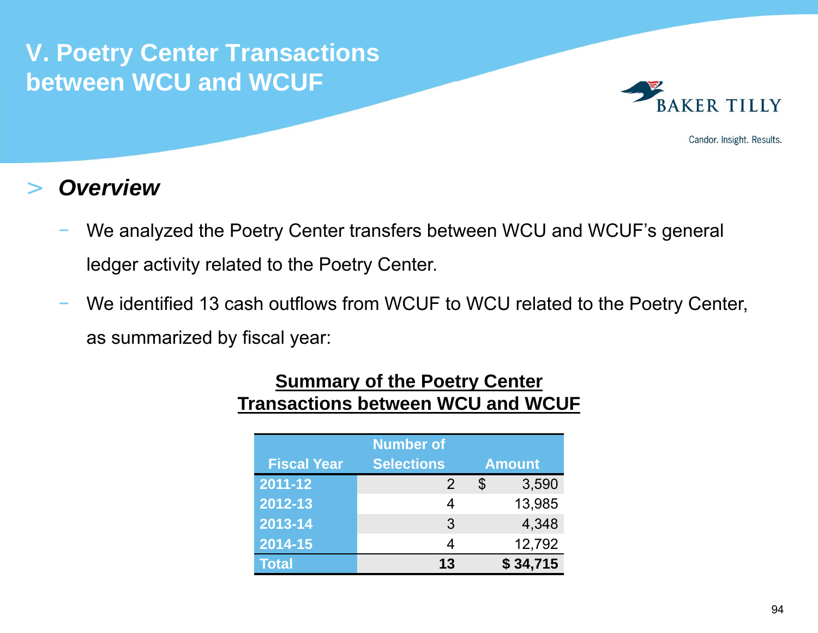

Candor. Insight. Results.

### >*Overview*

- We analyzed the Poetry Center transfers between WCU and WCUF's general ledger activity related to the Poetry Center.
- We identified 13 cash outflows from WCUF to WCU related to the Poetry Center, as summarized by fiscal year:

| <b>Number of</b><br><b>Selections</b><br><b>Fiscal Year</b><br><b>Amount</b> |    |    |          |  |
|------------------------------------------------------------------------------|----|----|----------|--|
| 2011-12                                                                      | 2  | \$ | 3,590    |  |
| 2012-13                                                                      |    |    | 13,985   |  |
| 2013-14                                                                      | 3  |    | 4,348    |  |
| 2014-15                                                                      |    |    | 12,792   |  |
| <b>Total</b>                                                                 | 13 |    | \$34,715 |  |

# **<u>Summary of the Poetry Center</u> Transactions between WCU and WCUF**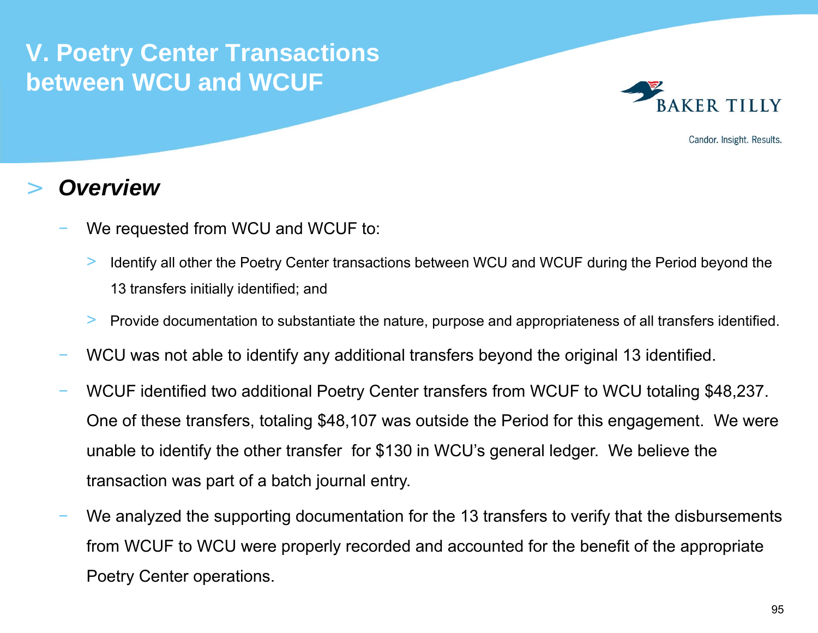

Candor. Insight. Results.

- We requested from WCU and WCUF to:
	- > Identify all other the Poetry Center transactions between WCU and WCUF during the Period beyond the 13 transfers initially identified; and
	- >Provide documentation to substantiate the nature, purpose and appropriateness of all transfers identified.
- WCU was not able to identify any additional transfers beyond the original 13 identified.
- WCUF identified two additional Poetry Center transfers from WCUF to WCU totaling \$48,237. One of these transfers, totaling \$48,107 was outside the Period for this engagement. We were unable to identify the other transfer for \$130 in WCU's general ledger. We believe the transaction was part of a batch journal entry.
- We analyzed the supporting documentation for the 13 transfers to verify that the disbursements from WCUF to WCU were properly recorded and accounted for the benefit of the appropriate Poetry Center operations.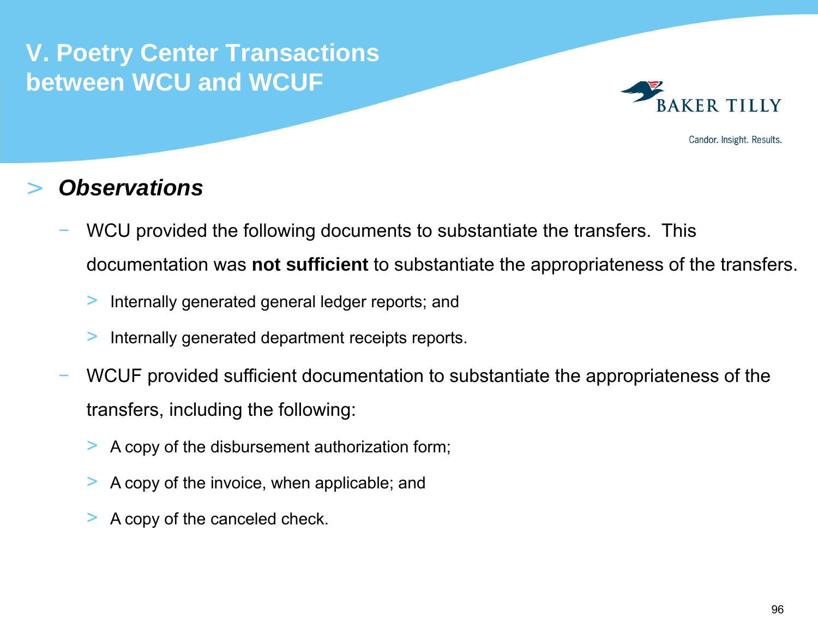

Candor. Insight. Results.

- WCU provided the following documents to substantiate the transfers. This documentation was **not sufficient** to substantiate the appropriateness of the transfers.
	- >Internally generated general ledger reports; and
	- >Internally generated department receipts reports.
- WCUF provided sufficient documentation to substantiate the appropriateness of the transfers, including the following:
	- >A copy of the disbursement authorization form;
	- >A copy of the invoice, when applicable; and
	- >A copy of the canceled check.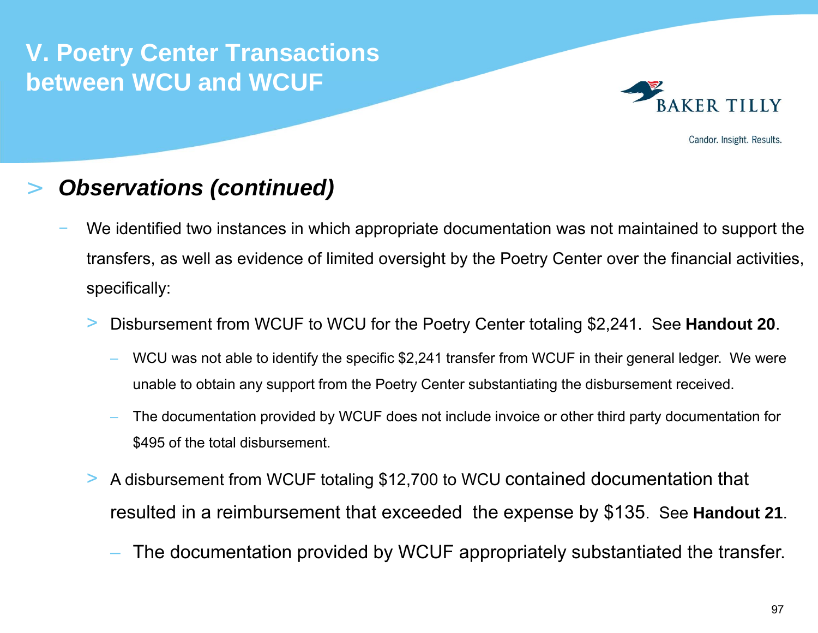

Candor. Insight. Results.

#### >*Observations (continued)*

- We identified two instances in which appropriate documentation was not maintained to support the transfers, as well as evidence of limited oversight by the Poetry Center over the financial activities, specifically:
	- > Disbursement from WCUF to WCU for the Poetry Center totaling \$2,241. See **Handout 20**.
		- WCU was not able to identify the specific \$2,241 transfer from WCUF in their general ledger. We were unable to obtain any support from the Poetry Center substantiating the disbursement received.
		- The documentation provided by WCUF does not include invoice or other third party documentation for \$495 of the total disbursement.
	- > A disbursement from WCUF totaling \$12,700 to WCU contained documentation that resulted in a reimbursement that exceeded the expense by \$135. See **Handout 21**.
		- The documentation provided by WCUF appropriately substantiated the transfer.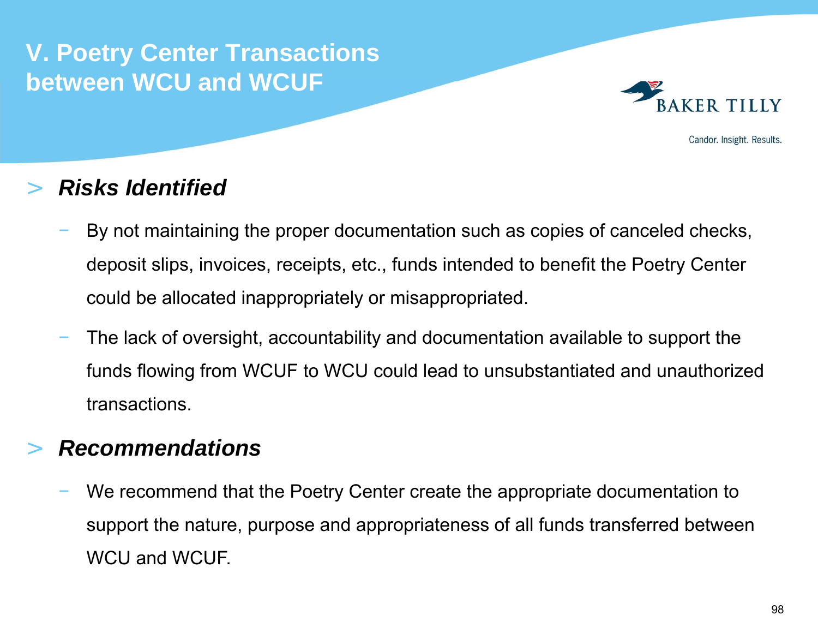

Candor. Insight. Results.

### >*Risks Identified*

- By not maintaining the proper documentation such as copies of canceled checks, deposit slips, invoices, receipts, etc., funds intended to benefit the Poetry Center could be allocated inappropriately or misappropriated.
- The lack of oversight, accountability and documentation available to support the funds flowing from WCUF to WCU could lead to unsubstantiated and unauthorized transactions.

# >*Recommendations*

 We recommend that the Poetry Center create the appropriate documentation to support the nature, purpose and appropriateness of all funds transferred between WCU and WCUF.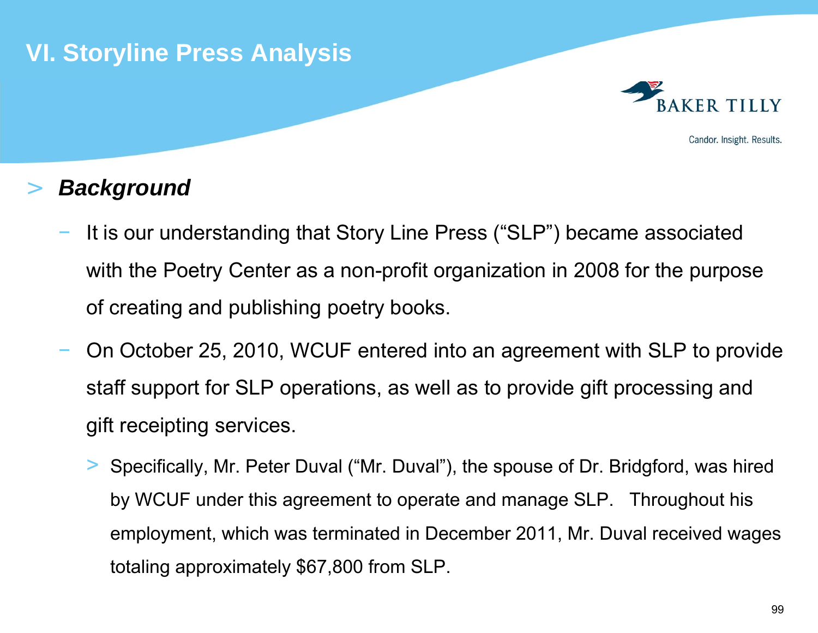

# >*Background*

- It is our understanding that Story Line Press ("SLP") became associated with the Poetry Center as a non-profit organization in 2008 for the purpose of creating and publishing poetry books.
- On October 25, 2010, WCUF entered into an agreement with SLP to provide staff support for SLP operations, as well as to provide gift processing and gift receipting services.
	- > Specifically, Mr. Peter Duval ("Mr. Duval"), the spouse of Dr. Bridgford, was hired by WCUF under this agreement to operate and manage SLP. Throughout his employment, which was terminated in December 2011, Mr. Duval received wages totaling approximately \$67,800 from SLP.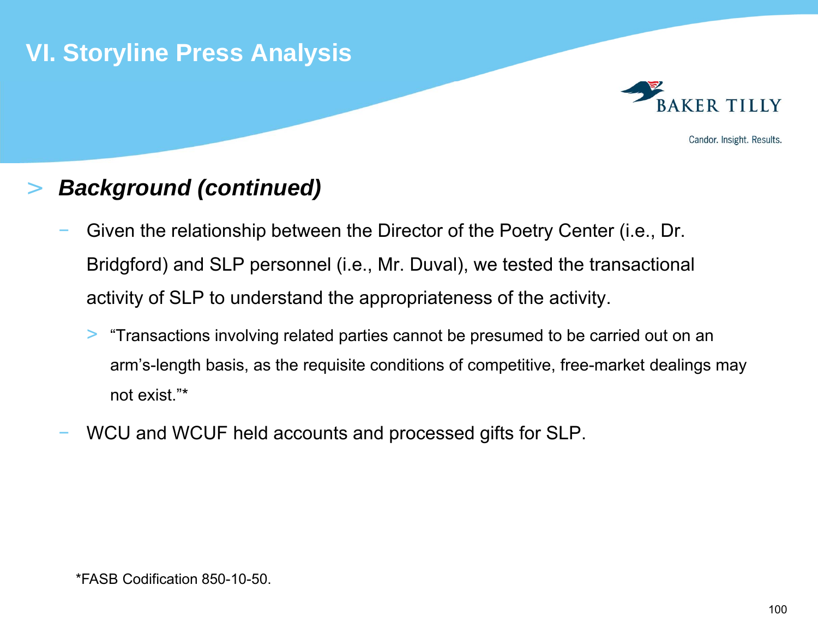

# >*Background (continued)*

- Given the relationship between the Director of the Poetry Center (i.e., Dr. Bridgford) and SLP personnel (i.e., Mr. Duval), we tested the transactional activity of SLP to understand the appropriateness of the activity.
	- > "Transactions involving related parties cannot be presumed to be carried out on an arm's-length basis, as the requisite conditions of competitive, free-market dealings may not exist."\*
- WCU and WCUF held accounts and processed gifts for SLP.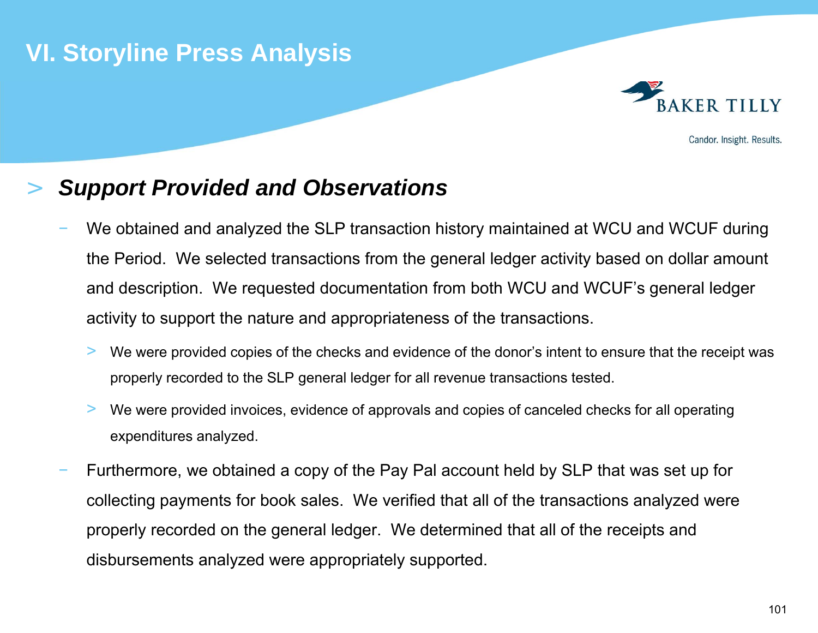

#### >*Support Provided and Observations*

- We obtained and analyzed the SLP transaction history maintained at WCU and WCUF during the Period. We selected transactions from the general ledger activity based on dollar amount and description. We requested documentation from both WCU and WCUF's general ledger activity to support the nature and appropriateness of the transactions.
	- > We were provided copies of the checks and evidence of the donor's intent to ensure that the receipt was properly recorded to the SLP general ledger for all revenue transactions tested.
	- > We were provided invoices, evidence of approvals and copies of canceled checks for all operating expenditures analyzed.
- Furthermore, we obtained a copy of the Pay Pal account held by SLP that was set up for collecting payments for book sales. We verified that all of the transactions analyzed were properly recorded on the general ledger. We determined that all of the receipts and disbursements analyzed were appropriately supported.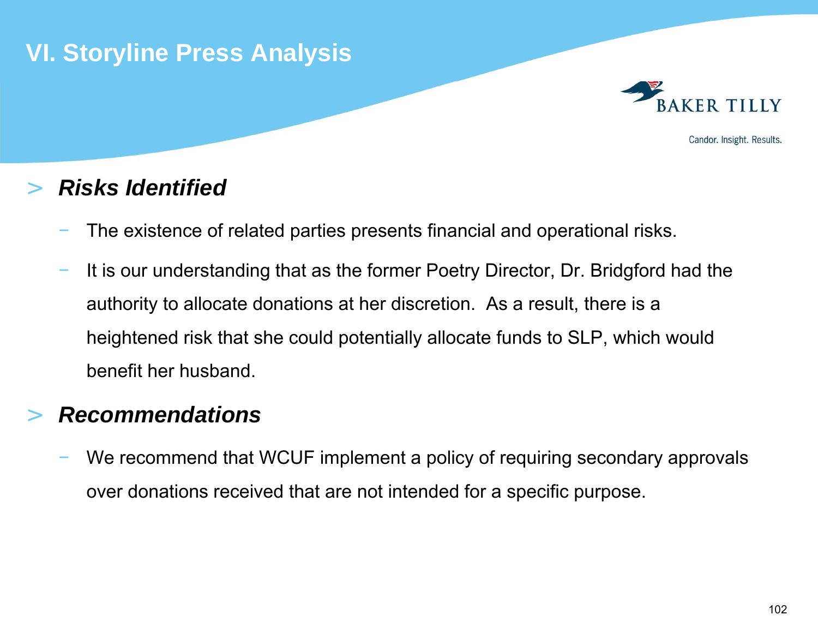# **VI. Storyline Press Analysis**



Candor. Insight. Results.

#### >*Risks Identified*

- The existence of related parties presents financial and operational risks.
- It is our understanding that as the former Poetry Director, Dr. Bridgford had the authority to allocate donations at her discretion. As a result, there is a heightened risk that she could potentially allocate funds to SLP, which would benefit her husband.

# >*Recommendations*

 We recommend that WCUF implement a policy of requiring secondary approvals over donations received that are not intended for a specific purpose.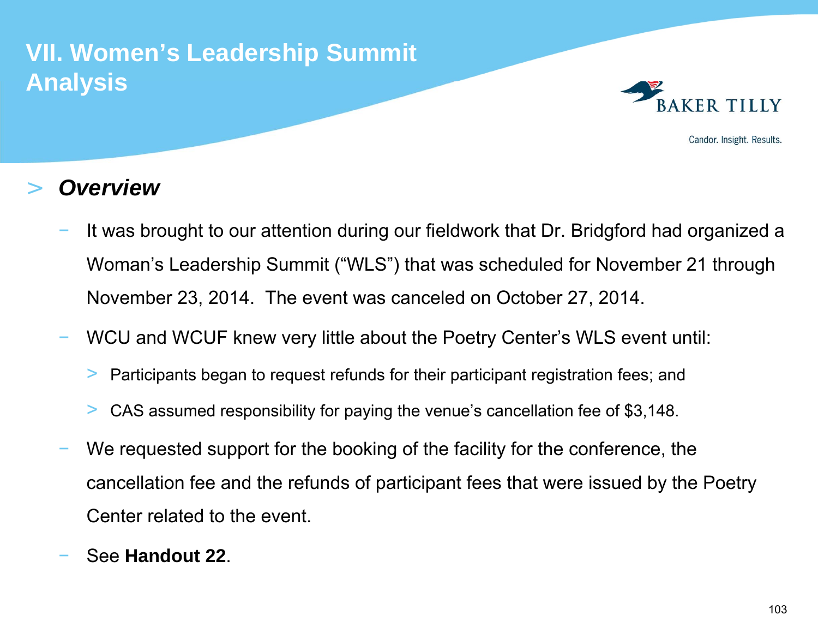# **VII. Women's Leadership Summit Analysis**



Candor. Insight. Results.

- It was brought to our attention during our fieldwork that Dr. Bridgford had organized a Woman's Leadership Summit ("WLS") that was scheduled for November 21 through November 23, 2014. The event was canceled on October 27, 2014.
- WCU and WCUF knew very little about the Poetry Center's WLS event until:
	- >Participants began to request refunds for their participant registration fees; and
	- >CAS assumed responsibility for paying the venue's cancellation fee of \$3,148.
- We requested support for the booking of the facility for the conference, the cancellation fee and the refunds of participant fees that were issued by the Poetry Center related to the event.
- See **Handout 22**.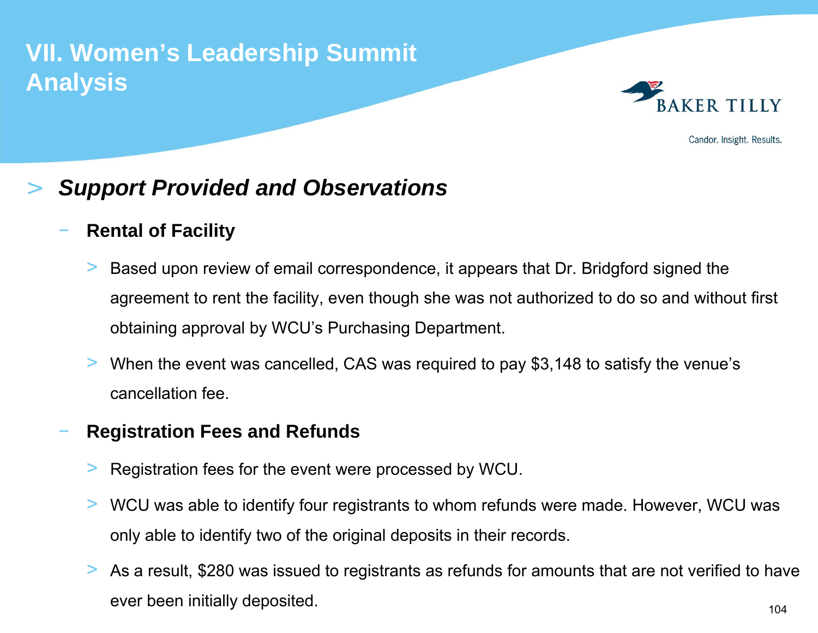# **VII. Women's Leadership Summit Analysis**



Candor. Insight. Results.

#### >*Support Provided and Observations*

## **Rental of Facility**

- > Based upon review of email correspondence, it appears that Dr. Bridgford signed the agreement to rent the facility, even though she was not authorized to do so and without first obtaining approval by WCU's Purchasing Department.
- > When the event was cancelled, CAS was required to pay \$3,148 to satisfy the venue's cancellation fee.

## **Registration Fees and Refunds**

- >Registration fees for the event were processed by WCU.
- > WCU was able to identify four registrants to whom refunds were made. However, WCU was only able to identify two of the original deposits in their records.
- > As a result, \$280 was issued to registrants as refunds for amounts that are not verified to have ever been initially deposited.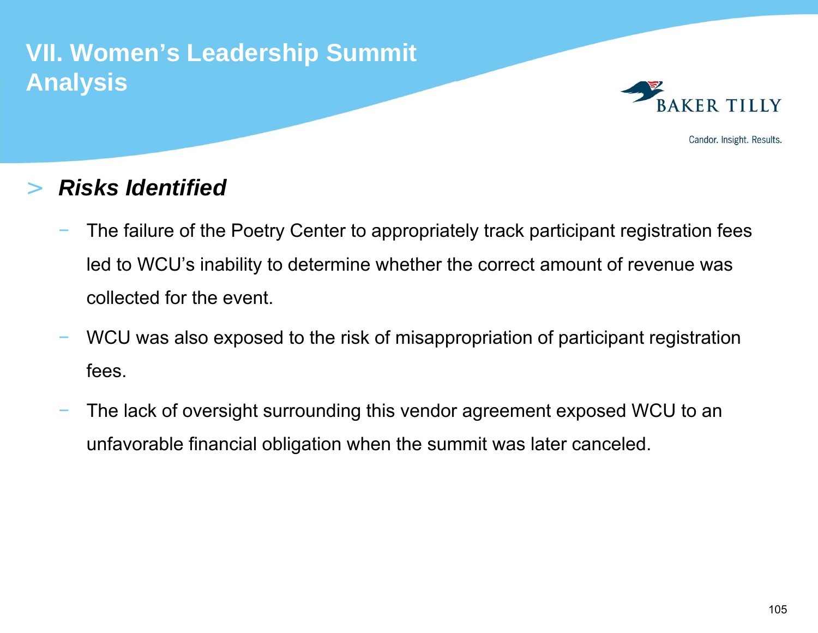# **VII. Women's Leadership Summit Analysis**



Candor. Insight. Results.

#### >*Risks Identified*

- The failure of the Poetry Center to appropriately track participant registration fees led to WCU's inability to determine whether the correct amount of revenue was collected for the event.
- WCU was also exposed to the risk of misappropriation of participant registration fees.
- The lack of oversight surrounding this vendor agreement exposed WCU to an unfavorable financial obligation when the summit was later canceled.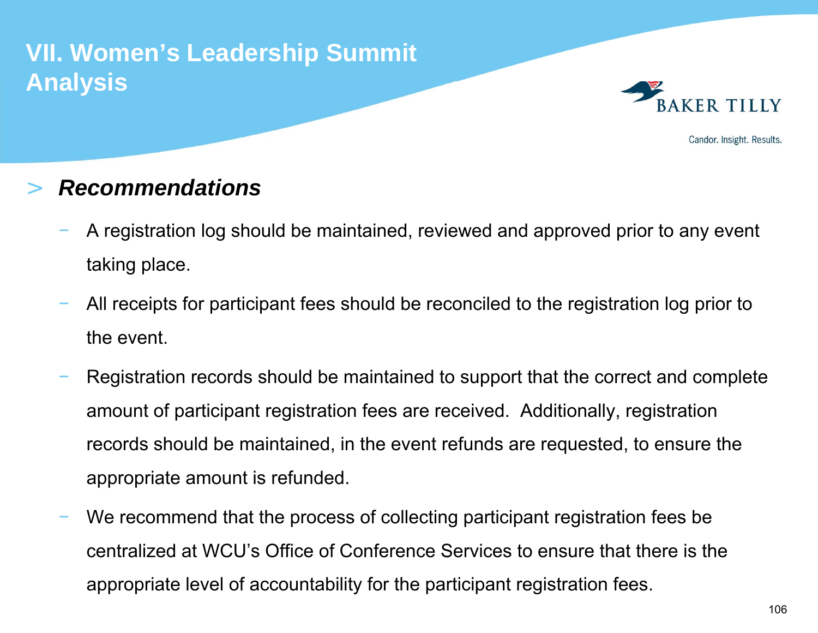# **VII. Women's Leadership Summit Analysis**



Candor. Insight. Results.

#### >*Recommendations*

- A registration log should be maintained, reviewed and approved prior to any event taking place.
- All receipts for participant fees should be reconciled to the registration log prior to the event.
- Registration records should be maintained to support that the correct and complete amount of participant registration fees are received. Additionally, registration records should be maintained, in the event refunds are requested, to ensure the appropriate amount is refunded.
- We recommend that the process of collecting participant registration fees be centralized at WCU's Office of Conference Services to ensure that there is the appropriate level of accountability for the participant registration fees.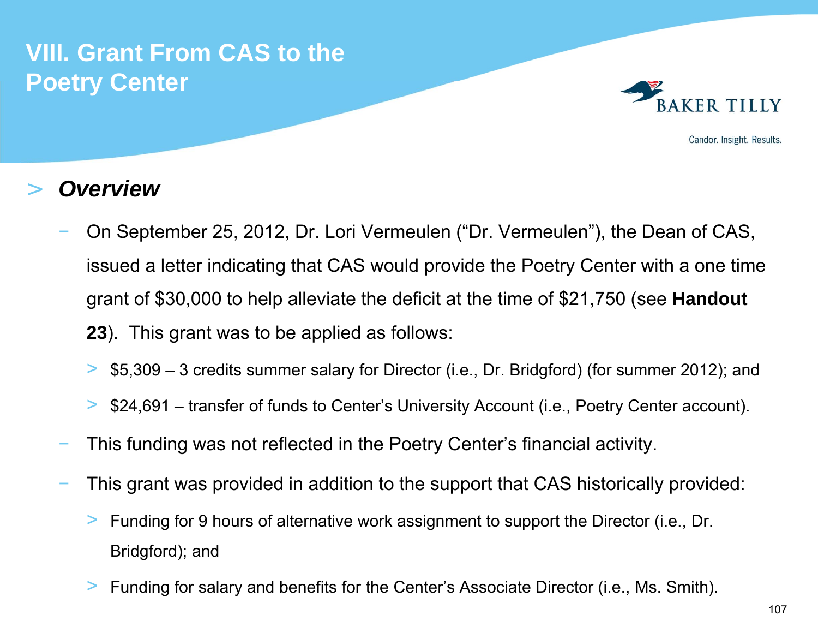

Candor. Insight. Results.

#### >*Overview*

- On September 25, 2012, Dr. Lori Vermeulen ("Dr. Vermeulen"), the Dean of CAS, issued a letter indicating that CAS would provide the Poetry Center with a one time grant of \$30,000 to help alleviate the deficit at the time of \$21,750 (see **Handout 23**). This grant was to be applied as follows:
	- >\$5,309 – 3 credits summer salary for Director (i.e., Dr. Bridgford) (for summer 2012); and
	- >\$24,691 – transfer of funds to Center's University Account (i.e., Poetry Center account).
- This funding was not reflected in the Poetry Center's financial activity.
- This grant was provided in addition to the support that CAS historically provided:
	- > Funding for 9 hours of alternative work assignment to support the Director (i.e., Dr. Bridgford); and
	- >Funding for salary and benefits for the Center's Associate Director (i.e., Ms. Smith).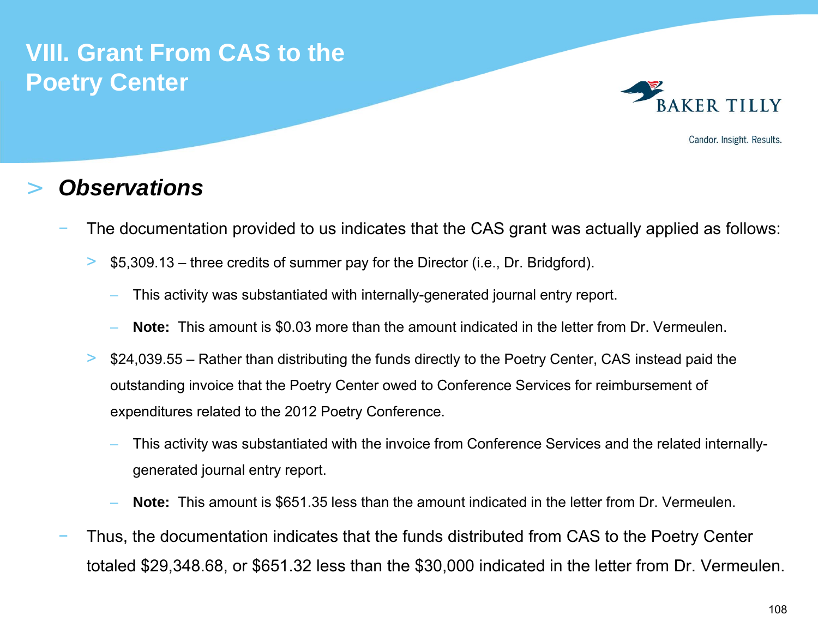

Candor. Insight. Results.

#### >*Observations*

- The documentation provided to us indicates that the CAS grant was actually applied as follows:
	- > \$5,309.13 – three credits of summer pay for the Director (i.e., Dr. Bridgford).
		- This activity was substantiated with internally-generated journal entry report.
		- **Note:** This amount is \$0.03 more than the amount indicated in the letter from Dr. Vermeulen.
	- > \$24,039.55 – Rather than distributing the funds directly to the Poetry Center, CAS instead paid the outstanding invoice that the Poetry Center owed to Conference Services for reimbursement of expenditures related to the 2012 Poetry Conference.
		- This activity was substantiated with the invoice from Conference Services and the related internallygenerated journal entry report.
		- **Note:** This amount is \$651.35 less than the amount indicated in the letter from Dr. Vermeulen.
- Thus, the documentation indicates that the funds distributed from CAS to the Poetry Center totaled \$29,348.68, or \$651.32 less than the \$30,000 indicated in the letter from Dr. Vermeulen.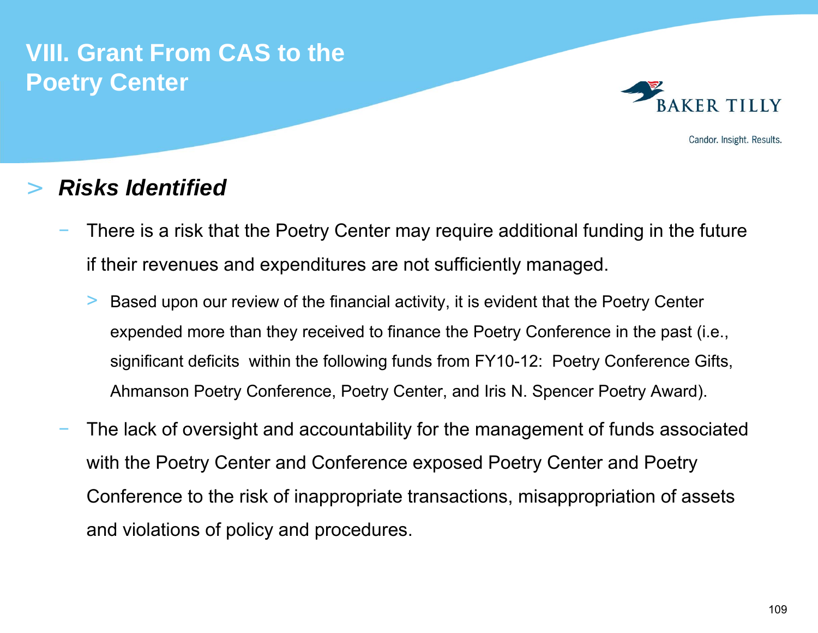

Candor. Insight. Results.

#### >*Risks Identified*

- There is a risk that the Poetry Center may require additional funding in the future if their revenues and expenditures are not sufficiently managed.
	- > Based upon our review of the financial activity, it is evident that the Poetry Center expended more than they received to finance the Poetry Conference in the past (i.e., significant deficits within the following funds from FY10-12: Poetry Conference Gifts, Ahmanson Poetry Conference, Poetry Center, and Iris N. Spencer Poetry Award).
- The lack of oversight and accountability for the management of funds associated with the Poetry Center and Conference exposed Poetry Center and Poetry Conference to the risk of inappropriate transactions, misappropriation of assets and violations of policy and procedures.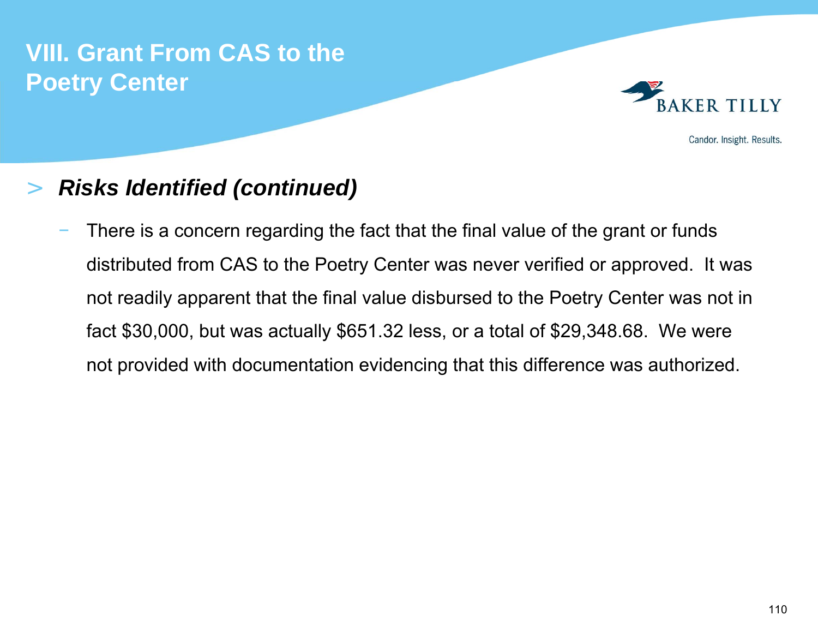

Candor. Insight. Results.

#### >*Risks Identified (continued)*

 There is a concern regarding the fact that the final value of the grant or funds distributed from CAS to the Poetry Center was never verified or approved. It was not readily apparent that the final value disbursed to the Poetry Center was not in fact \$30,000, but was actually \$651.32 less, or a total of \$29,348.68. We were not provided with documentation evidencing that this difference was authorized.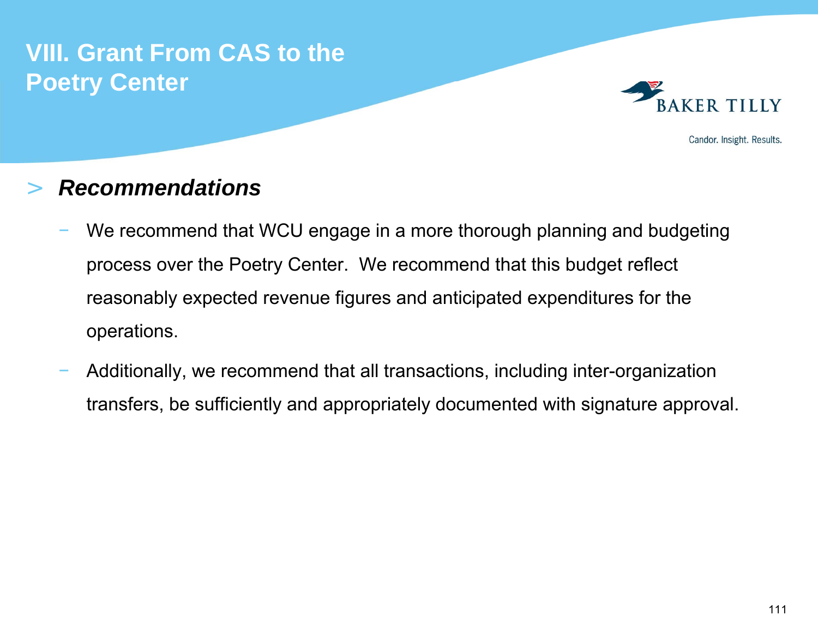

Candor. Insight. Results.

#### >*Recommendations*

- We recommend that WCU engage in a more thorough planning and budgeting process over the Poetry Center. We recommend that this budget reflect reasonably expected revenue figures and anticipated expenditures for the operations.
- Additionally, we recommend that all transactions, including inter-organization transfers, be sufficiently and appropriately documented with signature approval.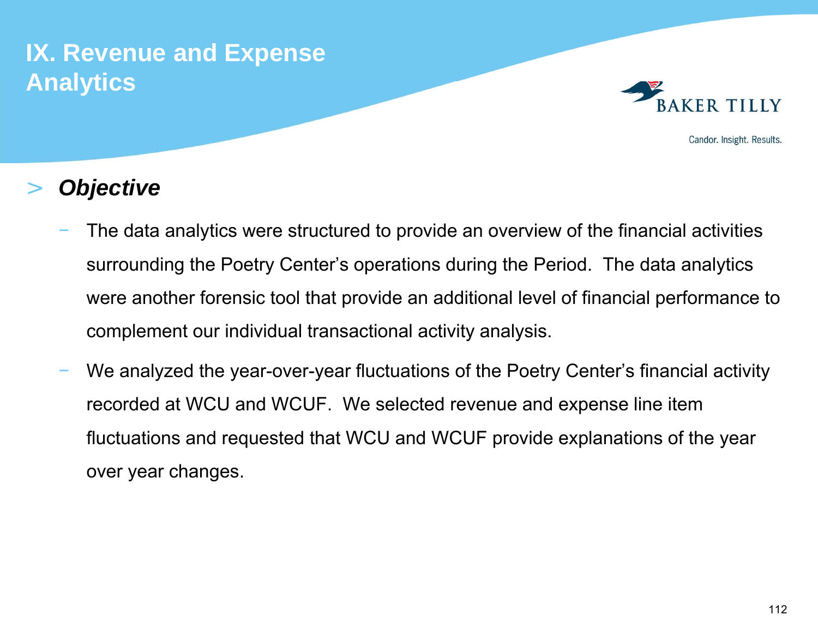# **IX. Revenue and Expense Analytics**



Candor. Insight. Results.

#### >*Objective*

- The data analytics were structured to provide an overview of the financial activities surrounding the Poetry Center's operations during the Period. The data analytics were another forensic tool that provide an additional level of financial performance to complement our individual transactional activity analysis.
- We analyzed the year-over-year fluctuations of the Poetry Center's financial activity recorded at WCU and WCUF. We selected revenue and expense line item fluctuations and requested that WCU and WCUF provide explanations of the year over year changes.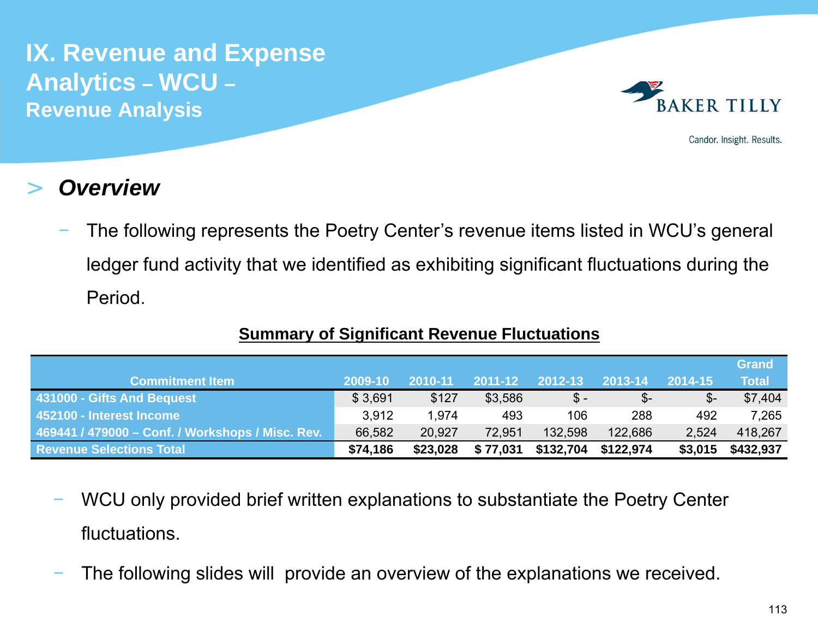

Candor. Insight. Results.

#### >*Overview*

 The following represents the Poetry Center's revenue items listed in WCU's general ledger fund activity that we identified as exhibiting significant fluctuations during the Period.

|                                                  |          |          |          |                 |                 |         | <b>Grand</b> |
|--------------------------------------------------|----------|----------|----------|-----------------|-----------------|---------|--------------|
| <b>Commitment Item</b>                           | 2009-10  | 2010-11  | 2011-12  | 2012-13         | 2013-14         | 2014-15 | <b>Total</b> |
| 431000 - Gifts And Bequest                       | \$3,691  | \$127    | \$3,586  | $\mathsf{\$}$ - | $\mathcal{S}$ - |         | \$7,404      |
| 452100 - Interest Income                         | 3,912    | 1.974    | 493      | 106             | 288             | 492     | 7,265        |
| 469441 / 479000 - Conf. / Workshops / Misc. Rev. | 66,582   | 20,927   | 72.951   | 132,598         | 122,686         | 2,524   | 418,267      |
| <b>Revenue Selections Total</b>                  | \$74,186 | \$23,028 | \$77,031 | \$132,704       | \$122,974       | \$3,015 | \$432,937    |

### **Summary of Significant Revenue Fluctuations**

- WCU only provided brief written explanations to substantiate the Poetry Center fluctuations.
- The following slides will provide an overview of the explanations we received.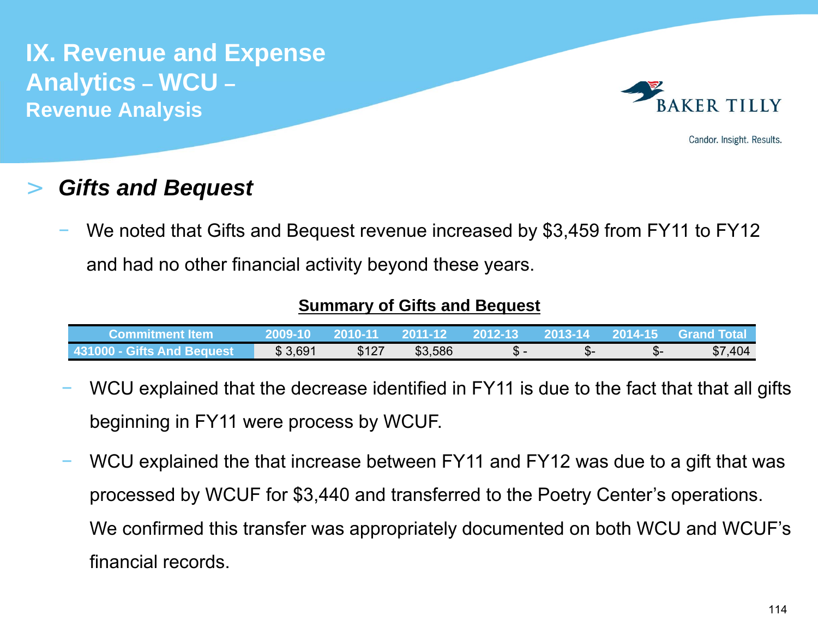

Candor. Insight. Results.

#### >*Gifts and Bequest*

 We noted that Gifts and Bequest revenue increased by \$3,459 from FY11 to FY12 and had no other financial activity beyond these years.

### **Summary of Gifts and Bequest**

| lCommitment Item≀          | 2009-10 | 0010-11 | 2011-12 | 2012-13 | 2013-14 | 2014-15 | <b>Grand Total</b> |
|----------------------------|---------|---------|---------|---------|---------|---------|--------------------|
| 431000 - Gifts And Bequest | \$3,691 | \$127   | \$3,586 |         | ա⊡⊤     | - ა     | \$7,404            |

- WCU explained that the decrease identified in FY11 is due to the fact that that all gifts beginning in FY11 were process by WCUF.
- WCU explained the that increase between FY11 and FY12 was due to a gift that was processed by WCUF for \$3,440 and transferred to the Poetry Center's operations. We confirmed this transfer was appropriately documented on both WCU and WCUF's financial records.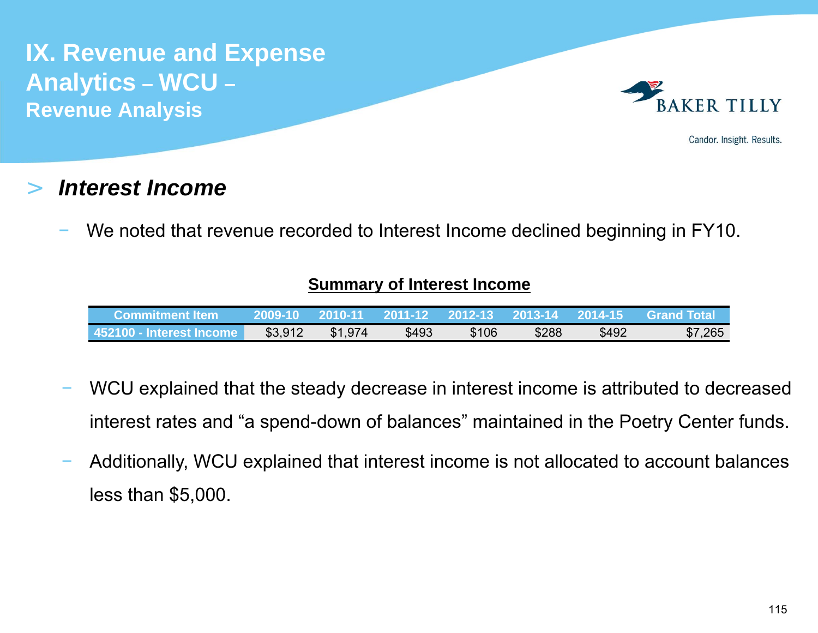

Candor. Insight. Results.

#### >*Interest Income*

We noted that revenue recorded to Interest Income declined beginning in FY10.

### **Summary of Interest Income**

| Commitment Item            | 2009-10 | 2010-11 | 2011-12 | $-2012 - 13$ | 2013-14 | 2014-15 | <b>Grand Total</b> |
|----------------------------|---------|---------|---------|--------------|---------|---------|--------------------|
| l 452100 - Interest Income | \$3,912 | \$1,974 | \$493   | \$106        | \$288   | \$492   | \$7,265            |

- WCU explained that the steady decrease in interest income is attributed to decreased interest rates and "a spend-down of balances" maintained in the Poetry Center funds.
- Additionally, WCU explained that interest income is not allocated to account balances less than \$5,000.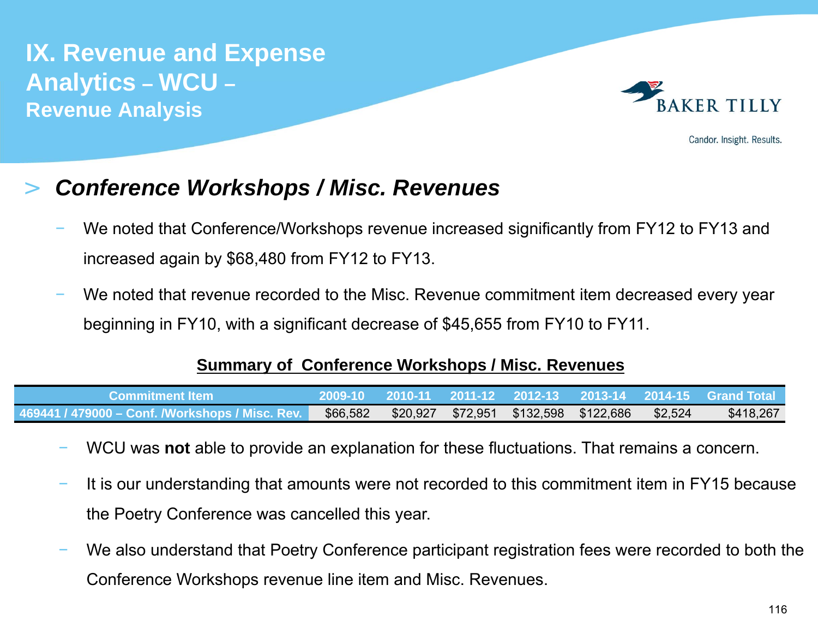

Candor. Insight. Results.

#### >*Conference Workshops / Misc. Revenues*

- We noted that Conference/Workshops revenue increased significantly from FY12 to FY13 and increased again by \$68,480 from FY12 to FY13.
- We noted that revenue recorded to the Misc. Revenue commitment item decreased every year beginning in FY10, with a significant decrease of \$45,655 from FY10 to FY11.

### **Summary of Conference Workshops / Misc. Revenues**

| /Commitment Item                                |          |  |                                       |         |           |
|-------------------------------------------------|----------|--|---------------------------------------|---------|-----------|
| 469441 / 479000 – Conf. /Workshops / Misc. Rev. | \$66,582 |  | \$20,927 \$72,951 \$132,598 \$122,686 | \$2,524 | \$418,267 |

- WCU was **not** able to provide an explanation for these fluctuations. That remains a concern.
- It is our understanding that amounts were not recorded to this commitment item in FY15 because the Poetry Conference was cancelled this year.
- We also understand that Poetry Conference participant registration fees were recorded to both the Conference Workshops revenue line item and Misc. Revenues.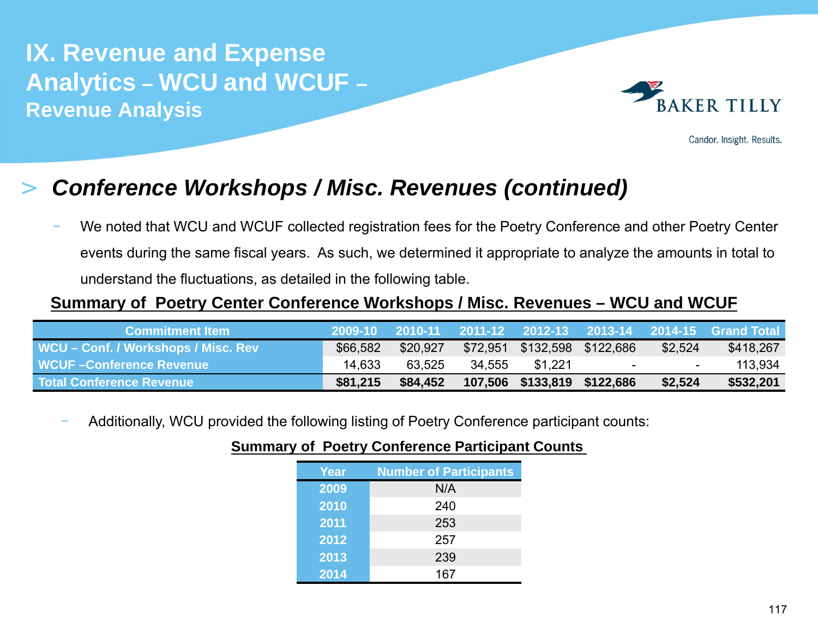

Candor. Insight. Results.

#### >*Conference Workshops / Misc. Revenues (continued)*

 We noted that WCU and WCUF collected registration fees for the Poetry Conference and other Poetry Center events during the same fiscal years. As such, we determined it appropriate to analyze the amounts in total to understand the fluctuations, as detailed in the following table.

### **Summary of Poetry Center Conference Workshops / Misc. Revenues – WCU and WCUF**

| <b>Commitment Item</b>              |          |          |        |                              |                  |         | 2009-10 2010-11 2011-12 2012-13 2013-14 2014-15 Grand Total |
|-------------------------------------|----------|----------|--------|------------------------------|------------------|---------|-------------------------------------------------------------|
| WCU – Conf. / Workshops / Misc. Rev | \$66,582 | \$20,927 |        | \$72,951 \$132,598 \$122,686 |                  | \$2,524 | \$418,267                                                   |
| WCUF-Conference Revenue             | 14.633   | 63.525   | 34.555 | \$1,221                      | $\sim$ 100 $\mu$ | $\sim$  | 113,934                                                     |
| <b>Total Conference Revenue</b>     | \$81,215 | \$84,452 |        | 107,506 \$133,819 \$122,686  |                  | \$2,524 | \$532,201                                                   |

Additionally, WCU provided the following listing of Poetry Conference participant counts:

| <b>Year</b> | <b>Number of Participants</b> |
|-------------|-------------------------------|
| 2009        | N/A                           |
| 2010        | 240                           |
| 2011        | 253                           |
| 2012        | 257                           |
| 2013        | 239                           |
| 2014        | 167                           |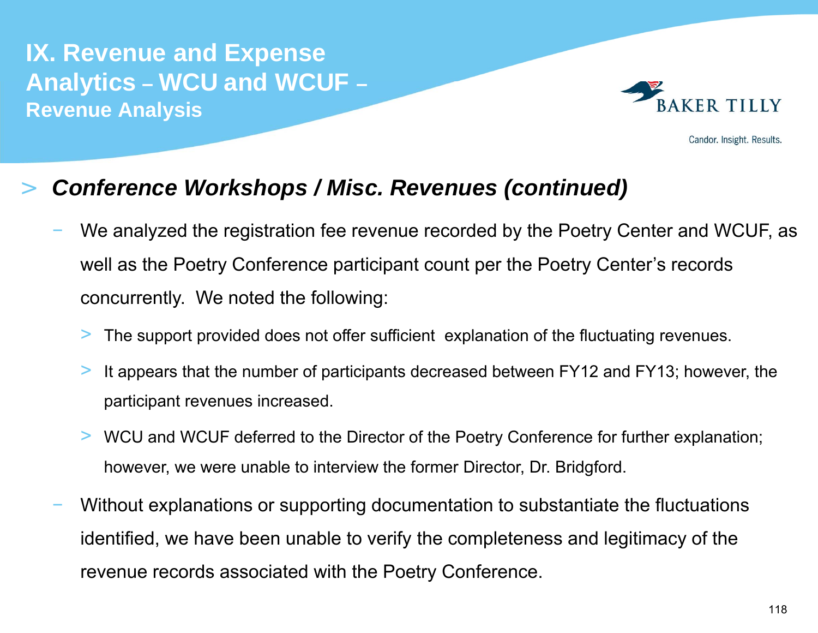

Candor. Insight. Results.

#### >*Conference Workshops / Misc. Revenues (continued)*

- We analyzed the registration fee revenue recorded by the Poetry Center and WCUF, as well as the Poetry Conference participant count per the Poetry Center's records concurrently. We noted the following:
	- >The support provided does not offer sufficient explanation of the fluctuating revenues.
	- > It appears that the number of participants decreased between FY12 and FY13; however, the participant revenues increased.
	- > WCU and WCUF deferred to the Director of the Poetry Conference for further explanation; however, we were unable to interview the former Director, Dr. Bridgford.
- Without explanations or supporting documentation to substantiate the fluctuations identified, we have been unable to verify the completeness and legitimacy of the revenue records associated with the Poetry Conference.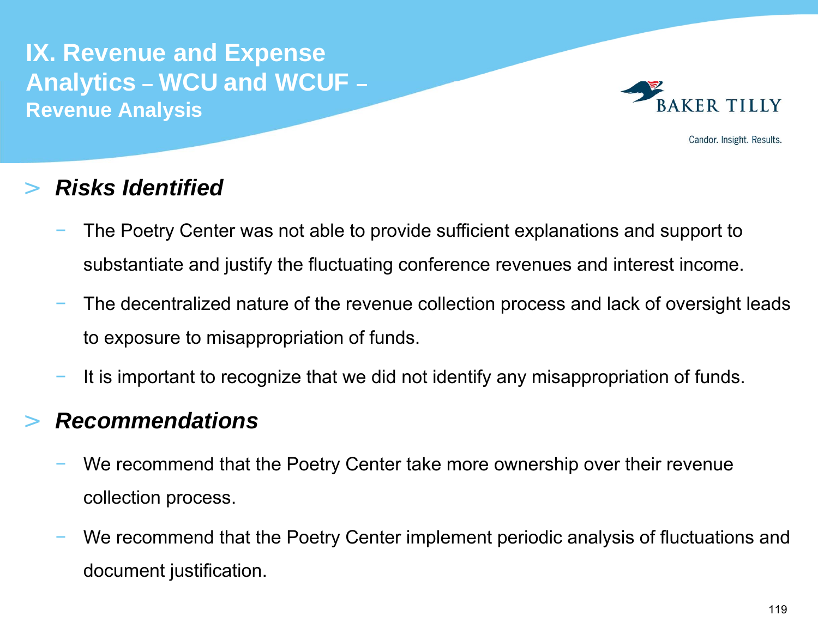

Candor. Insight. Results.

#### >*Risks Identified*

- The Poetry Center was not able to provide sufficient explanations and support to substantiate and justify the fluctuating conference revenues and interest income.
- The decentralized nature of the revenue collection process and lack of oversight leads to exposure to misappropriation of funds.
- It is important to recognize that we did not identify any misappropriation of funds.

#### >*Recommendations*

- We recommend that the Poetry Center take more ownership over their revenue collection process.
- We recommend that the Poetry Center implement periodic analysis of fluctuations and document justification.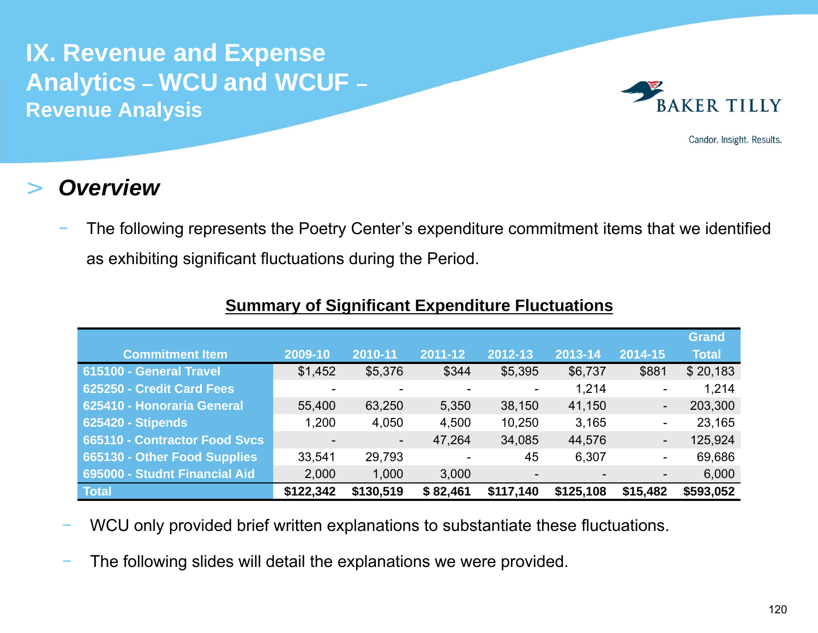

Candor. Insight. Results.

#### >*Overview*

 The following represents the Poetry Center's expenditure commitment items that we identified as exhibiting significant fluctuations during the Period.

|                                      |           |                |          |                          |           |                | <b>Grand</b> |
|--------------------------------------|-----------|----------------|----------|--------------------------|-----------|----------------|--------------|
| <b>Commitment Item</b>               | 2009-10   | 2010-11        | 2011-12  | 2012-13                  | 2013-14   | 2014-15        | <b>Total</b> |
| 615100 - General Travel              | \$1,452   | \$5,376        | \$344    | \$5,395                  | \$6,737   | \$881          | \$20,183     |
| 625250 - Credit Card Fees            |           | ٠              |          |                          | 1,214     | -              | 1,214        |
| 625410 - Honoraria General           | 55,400    | 63,250         | 5,350    | 38,150                   | 41,150    | $\blacksquare$ | 203,300      |
| <b>625420 - Stipends</b>             | 1,200     | 4,050          | 4,500    | 10,250                   | 3,165     | -              | 23,165       |
| <b>665110 - Contractor Food Svcs</b> |           | $\blacksquare$ | 47,264   | 34,085                   | 44,576    | ۰.             | 125,924      |
| 665130 - Other Food Supplies         | 33,541    | 29,793         |          | 45                       | 6,307     | $\blacksquare$ | 69,686       |
| 695000 - Studnt Financial Aid        | 2,000     | 1,000          | 3,000    | $\overline{\phantom{0}}$ |           | -              | 6,000        |
| <b>Total</b>                         | \$122,342 | \$130,519      | \$82,461 | \$117,140                | \$125,108 | \$15,482       | \$593,052    |

### **Summary of Significant Expenditure Fluctuations**

- WCU only provided brief written explanations to substantiate these fluctuations.
- The following slides will detail the explanations we were provided.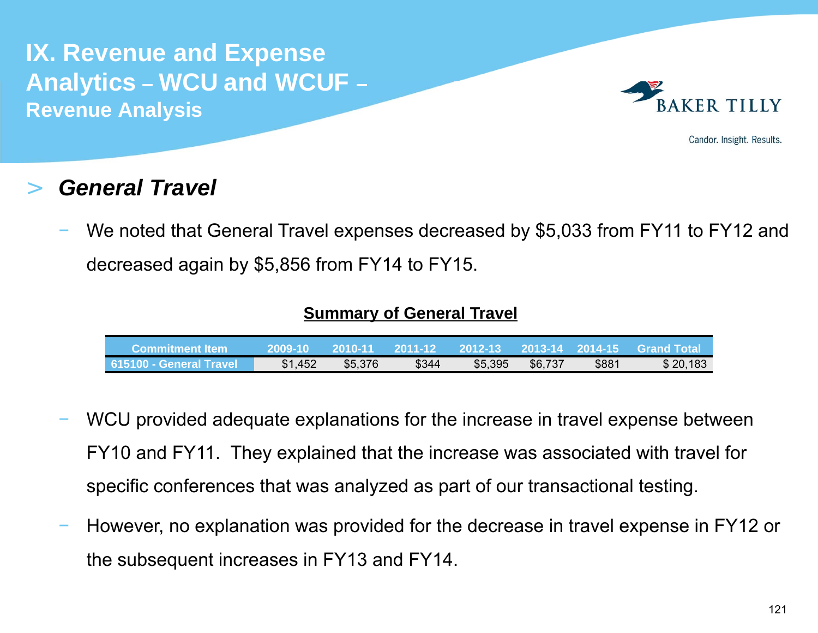

Candor. Insight. Results.

#### >*General Travel*

 We noted that General Travel expenses decreased by \$5,033 from FY11 to FY12 and decreased again by \$5,856 from FY14 to FY15.

### **Summary of General Travel**

| Commitment Item_          | 2009-10 | 2010-11 | 2011-12 | $-2012 - 13$ | 2013-14 2014-15 |       | <b>Grand Total</b> |
|---------------------------|---------|---------|---------|--------------|-----------------|-------|--------------------|
| ∣ 615100 - General Travel | \$1,452 | \$5,376 | \$344   | \$5,395      | \$6,737         | \$881 | \$20,183           |

- WCU provided adequate explanations for the increase in travel expense between FY10 and FY11. They explained that the increase was associated with travel for specific conferences that was analyzed as part of our transactional testing.
- However, no explanation was provided for the decrease in travel expense in FY12 or the subsequent increases in FY13 and FY14.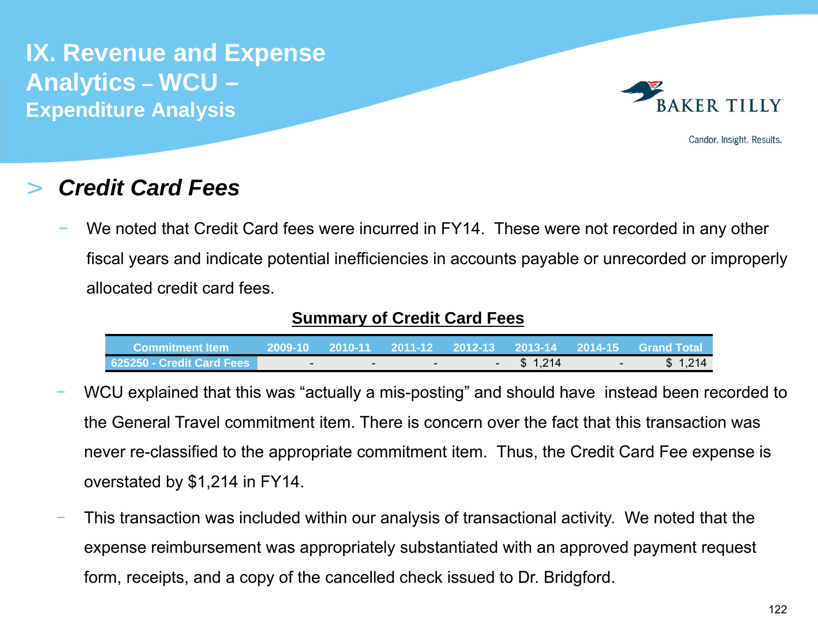

Candor. Insight. Results.

#### >*Credit Card Fees*

 We noted that Credit Card fees were incurred in FY14. These were not recorded in any other fiscal years and indicate potential inefficiencies in accounts payable or unrecorded or improperly allocated credit card fees.

### **Summary of Credit Card Fees**

| ا Commitment Item         |        |     |      |         |               | ,2009-10  2010-11  2011-12  2012-13  2013-14  2014-15  Grand Total_ |
|---------------------------|--------|-----|------|---------|---------------|---------------------------------------------------------------------|
| 625250 - Credit Card Fees | $\sim$ | ___ | $ -$ | \$1,214 | $\sim$ $\sim$ | \$1,214                                                             |

- WCU explained that this was "actually a mis-posting" and should have instead been recorded to the General Travel commitment item. There is concern over the fact that this transaction was never re-classified to the appropriate commitment item. Thus, the Credit Card Fee expense is overstated by \$1,214 in FY14.
- This transaction was included within our analysis of transactional activity. We noted that the expense reimbursement was appropriately substantiated with an approved payment request form, receipts, and a copy of the cancelled check issued to Dr. Bridgford.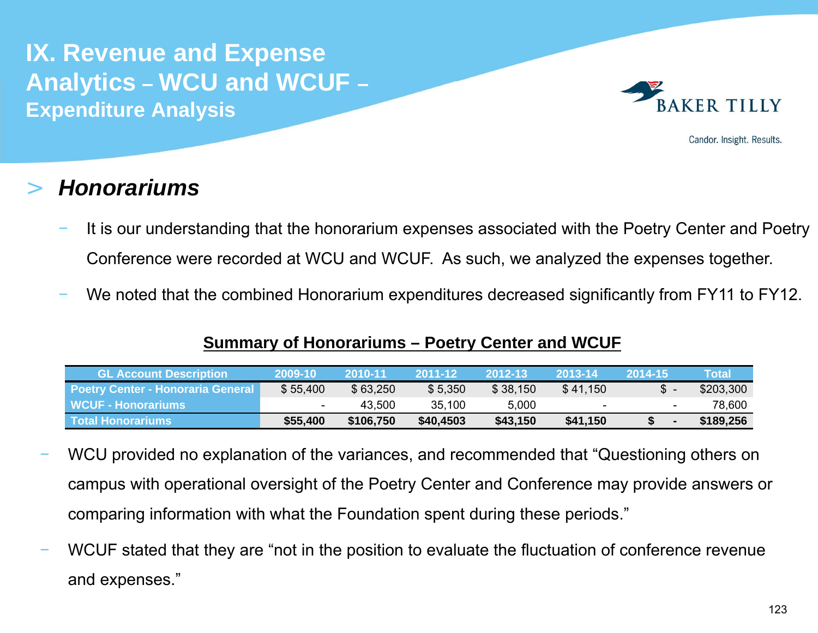

Candor. Insight. Results.

#### >*Honorariums*

- It is our understanding that the honorarium expenses associated with the Poetry Center and Poetry Conference were recorded at WCU and WCUF. As such, we analyzed the expenses together.
- We noted that the combined Honorarium expenditures decreased significantly from FY11 to FY12.

### **Summary of Honorariums – Poetry Center and WCUF**

| <b>GL Account Description</b>            | 72009-10 | 2010-11   | 2011-12   | 2012-13  | 2013-14                  | 2014-15                  | Total     |
|------------------------------------------|----------|-----------|-----------|----------|--------------------------|--------------------------|-----------|
| <b>Poetry Center - Honoraria General</b> | \$55,400 | \$63,250  | \$5,350   | \$38,150 | \$41,150                 |                          | \$203,300 |
| WCUF - Honorariums                       |          | 43.500    | 35.100    | 5,000    | $\overline{\phantom{a}}$ | $\overline{\phantom{a}}$ | 78.600    |
| l Total Honorariums l                    | \$55,400 | \$106,750 | \$40,4503 | \$43,150 | \$41,150                 | <b>S</b>                 | \$189,256 |

- WCU provided no explanation of the variances, and recommended that "Questioning others on campus with operational oversight of the Poetry Center and Conference may provide answers or comparing information with what the Foundation spent during these periods."
- WCUF stated that they are "not in the position to evaluate the fluctuation of conference revenue and expenses."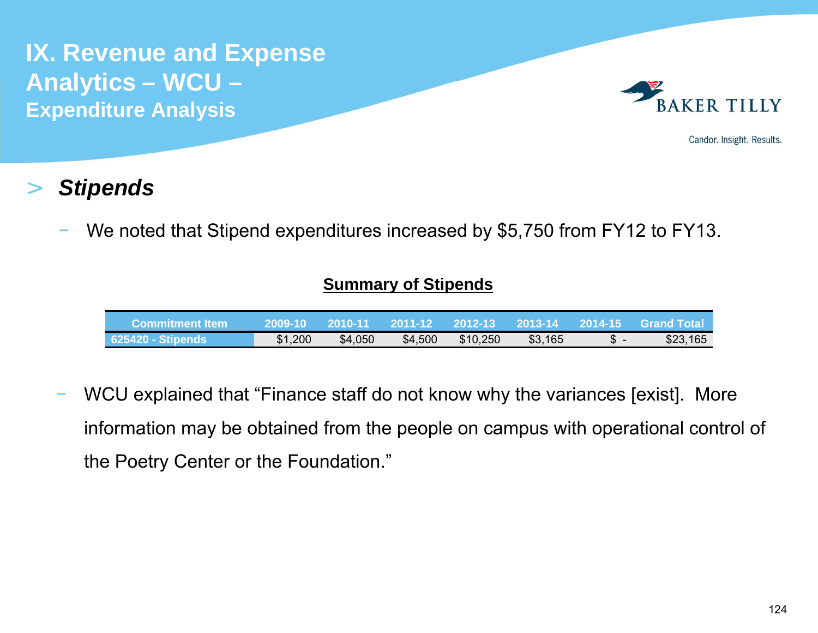

Candor. Insight. Results.

#### >*Stipends*

We noted that Stipend expenditures increased by \$5,750 from FY12 to FY13.

### **Summary of Stipends**

| <b>Commitment Item</b>   | <b>\2009-10</b> | / 2010-11 |         | 2011-12  2012-13  2013-14  2014-15 |         |     | <b>Grand Total</b> |
|--------------------------|-----------------|-----------|---------|------------------------------------|---------|-----|--------------------|
| <b>625420 - Stipends</b> | \$1,200         | \$4,050   | \$4,500 | \$10,250                           | \$3,165 | - ס | \$23,165           |

 WCU explained that "Finance staff do not know why the variances [exist]. More information may be obtained from the people on campus with operational control of the Poetry Center or the Foundation."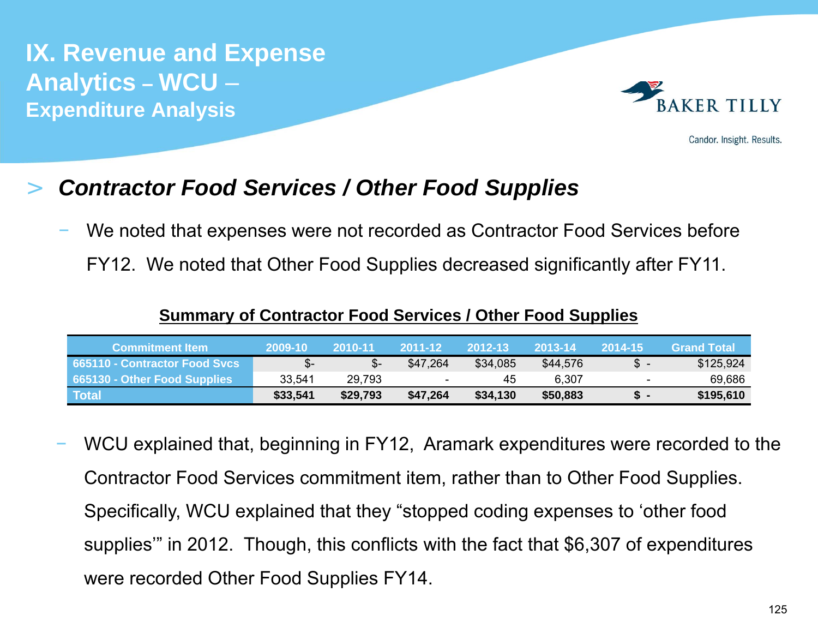

Candor. Insight. Results.

#### >*Contractor Food Services / Other Food Supplies*

We noted that expenses were not recorded as Contractor Food Services before

FY12. We noted that Other Food Supplies decreased significantly after FY11.

|  | <b>Summary of Contractor Food Services / Other Food Supplies</b> |  |
|--|------------------------------------------------------------------|--|
|--|------------------------------------------------------------------|--|

| <b>Commitment Item</b>        | 2009-10  | 2010-11  | 2011-12                  | 2012-13  | 2013-14  | 2014-15                  | <b>Grand Total</b> |
|-------------------------------|----------|----------|--------------------------|----------|----------|--------------------------|--------------------|
| 565110 - Contractor Food Svcs | \$-      |          | \$47,264                 | \$34,085 | \$44,576 | SS.                      | \$125,924          |
| 665130 - Other Food Supplies  | 33.541   | 29,793   | $\overline{\phantom{a}}$ | 45       | 6,307    | $\overline{\phantom{a}}$ | 69,686             |
| <b>Total</b>                  | \$33,541 | \$29,793 | \$47,264                 | \$34,130 | \$50,883 |                          | \$195,610          |

 WCU explained that, beginning in FY12, Aramark expenditures were recorded to the Contractor Food Services commitment item, rather than to Other Food Supplies. Specifically, WCU explained that they "stopped coding expenses to 'other food supplies'" in 2012. Though, this conflicts with the fact that \$6,307 of expenditures were recorded Other Food Supplies FY14.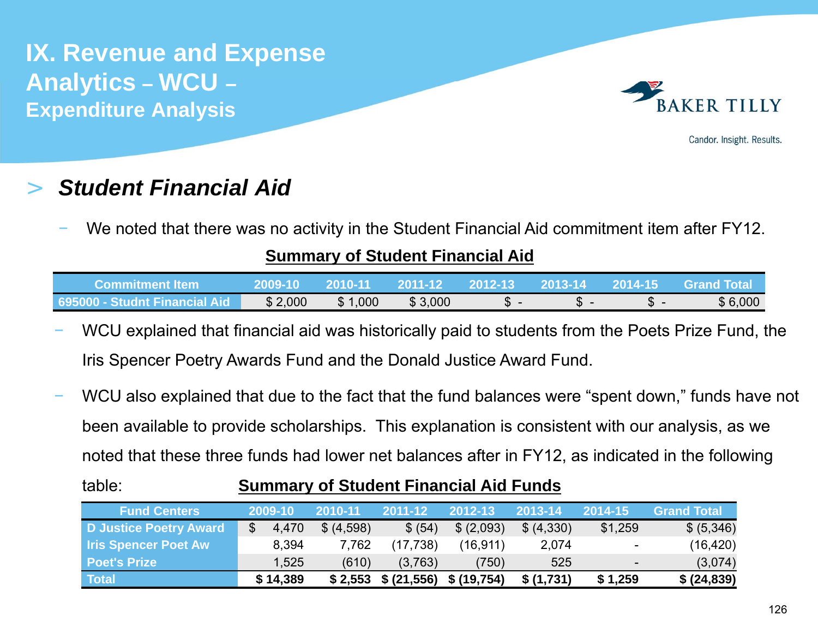

Candor. Insight. Results.

## *Student Financial Aid*

>

We noted that there was no activity in the Student Financial Aid commitment item after FY12.

### **Summary of Student Financial Aid**

| Commitment Item                            | 2009-10 | 2010-11 | 2011-12 | 2012-13 | 2013-14 | 2014-15      | <b>Grand Total</b> |
|--------------------------------------------|---------|---------|---------|---------|---------|--------------|--------------------|
| $\,$ 695000 - Studnt Financial Aid $^{-1}$ | \$2,000 | \$1,000 | \$3,000 | JD.     |         | $\mathbf{D}$ | \$6,000            |

- WCU explained that financial aid was historically paid to students from the Poets Prize Fund, the Iris Spencer Poetry Awards Fund and the Donald Justice Award Fund.
- WCU also explained that due to the fact that the fund balances were "spent down," funds have not been available to provide scholarships. This explanation is consistent with our analysis, as we noted that these three funds had lower net balances after in FY12, as indicated in the following

### table:

## **Summary of Student Financial Aid Funds**

| <b>Fund Centers</b>         | 2009-10  | 2010-11    | 2011-12                 | 2012-13    | 2013-14    | 2014-15                  | <b>Grand Total</b> |
|-----------------------------|----------|------------|-------------------------|------------|------------|--------------------------|--------------------|
| D Justice Poetry Award      | 4,470    | \$ (4,598) | \$ (54)                 | \$ (2,093) | \$ (4,330) | \$1,259                  | \$ (5,346)         |
| <b>Iris Spencer Poet Aw</b> | 8,394    | 7,762      | (17,738)                | (16, 911)  | 2,074      | $\overline{\phantom{a}}$ | (16, 420)          |
| <b>Poet's Prize</b>         | 1,525    | (610)      | (3,763)                 | (750)      | 525        | $\blacksquare$           | (3,074)            |
| <b>Total</b>                | \$14,389 | \$2,553    | \$ (21,556) \$ (19,754) |            | \$(1,731)  | \$1,259                  | \$ (24,839)        |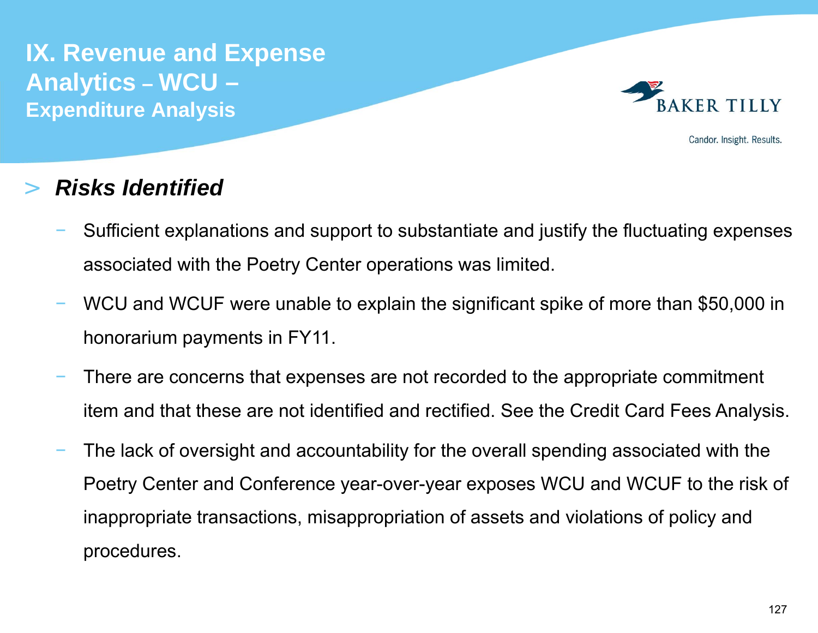

Candor. Insight. Results.

#### >*Risks Identified*

- Sufficient explanations and support to substantiate and justify the fluctuating expenses associated with the Poetry Center operations was limited.
- WCU and WCUF were unable to explain the significant spike of more than \$50,000 in honorarium payments in FY11.
- There are concerns that expenses are not recorded to the appropriate commitment item and that these are not identified and rectified. See the Credit Card Fees Analysis.
- The lack of oversight and accountability for the overall spending associated with the Poetry Center and Conference year-over-year exposes WCU and WCUF to the risk of inappropriate transactions, misappropriation of assets and violations of policy and procedures.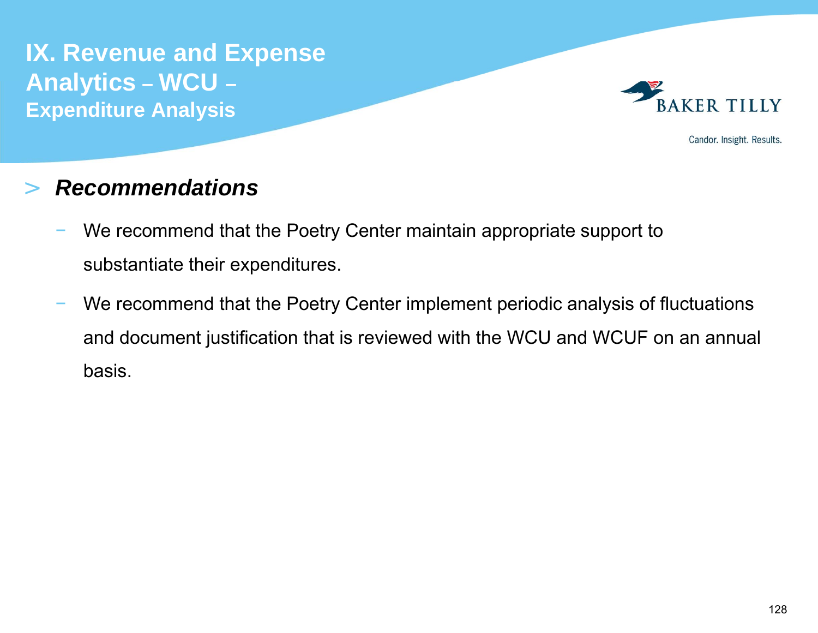

Candor. Insight. Results.

#### >*Recommendations*

- We recommend that the Poetry Center maintain appropriate support to substantiate their expenditures.
- We recommend that the Poetry Center implement periodic analysis of fluctuations and document justification that is reviewed with the WCU and WCUF on an annual basis.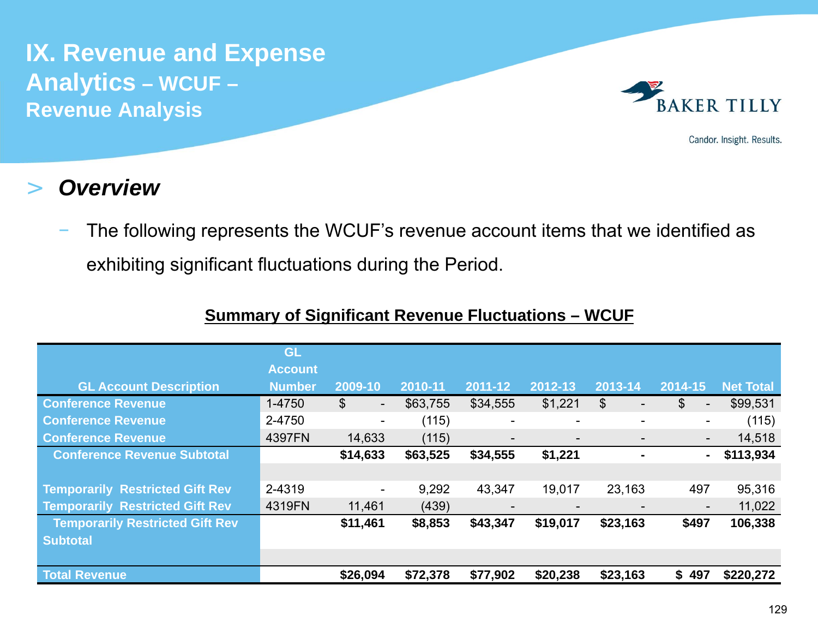

Candor. Insight. Results.

#### >*Overview*

 The following represents the WCUF's revenue account items that we identified as exhibiting significant fluctuations during the Period.

|                                        | GL             |                                            |          |                          |                          |          |                                   |                  |
|----------------------------------------|----------------|--------------------------------------------|----------|--------------------------|--------------------------|----------|-----------------------------------|------------------|
|                                        | <b>Account</b> |                                            |          |                          |                          |          |                                   |                  |
| <b>GL Account Description</b>          | <b>Number</b>  | 2009-10                                    | 2010-11  | 2011-12                  | 2012-13                  | 2013-14  | 2014-15                           | <b>Net Total</b> |
| <b>Conference Revenue</b>              | 1-4750         | $\mathfrak{S}$<br>$\overline{\phantom{0}}$ | \$63,755 | \$34,555                 | \$1,221                  | \$       | $\mathbb{S}$<br>$\qquad \qquad -$ | \$99,531         |
| <b>Conference Revenue</b>              | 2-4750         | ۰.                                         | (115)    | $\overline{\phantom{a}}$ | $\overline{\phantom{a}}$ | -        | -                                 | (115)            |
| <b>Conference Revenue</b>              | 4397FN         | 14,633                                     | (115)    |                          | $\overline{\phantom{a}}$ |          | $\overline{\phantom{a}}$          | 14,518           |
| <b>Conference Revenue Subtotal</b>     |                | \$14,633                                   | \$63,525 | \$34,555                 | \$1,221                  |          | $\blacksquare$                    | \$113,934        |
|                                        |                |                                            |          |                          |                          |          |                                   |                  |
| <b>Temporarily Restricted Gift Rev</b> | 2-4319         | $\overline{\phantom{a}}$                   | 9,292    | 43,347                   | 19,017                   | 23,163   | 497                               | 95,316           |
| <b>Temporarily Restricted Gift Rev</b> | 4319FN         | 11,461                                     | (439)    |                          | $\overline{\phantom{a}}$ |          | $\overline{\phantom{a}}$          | 11,022           |
| <b>Temporarily Restricted Gift Rev</b> |                | \$11,461                                   | \$8,853  | \$43,347                 | \$19,017                 | \$23,163 | \$497                             | 106,338          |
| <b>Subtotal</b>                        |                |                                            |          |                          |                          |          |                                   |                  |
|                                        |                |                                            |          |                          |                          |          |                                   |                  |
| <b>Total Revenue</b>                   |                | \$26,094                                   | \$72,378 | \$77,902                 | \$20,238                 | \$23,163 | \$497                             | \$220,272        |

## **Summary of Significant Revenue Fluctuations – WCUF**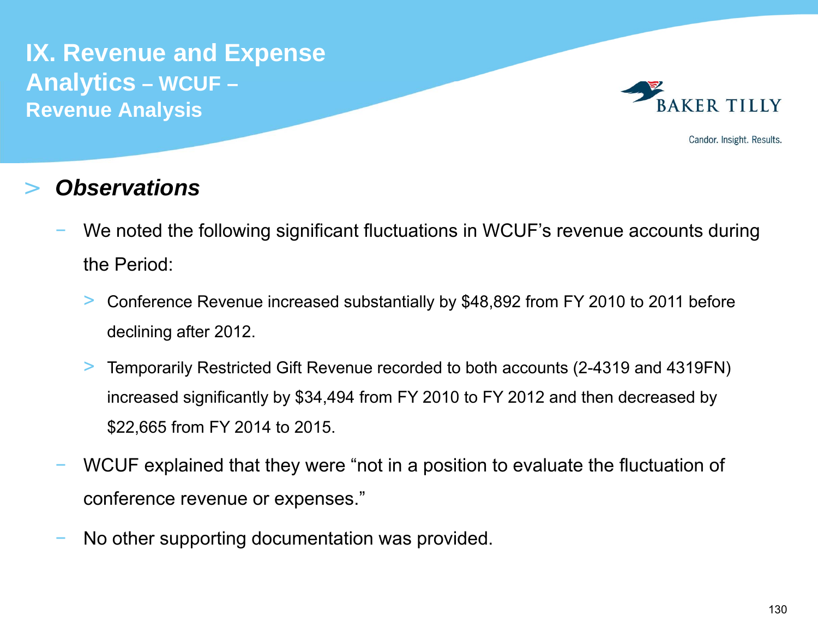

Candor. Insight. Results.

#### >*Observations*

- We noted the following significant fluctuations in WCUF's revenue accounts during the Period:
	- $>$  Conference Revenue increased substantially by \$48,892 from FY 2010 to 2011 before declining after 2012.
	- $>$  Temporarily Restricted Gift Revenue recorded to both accounts (2-4319 and 4319FN) increased significantly by \$34,494 from FY 2010 to FY 2012 and then decreased by \$22,665 from FY 2014 to 2015.
- WCUF explained that they were "not in a position to evaluate the fluctuation of conference revenue or expenses."
- No other supporting documentation was provided.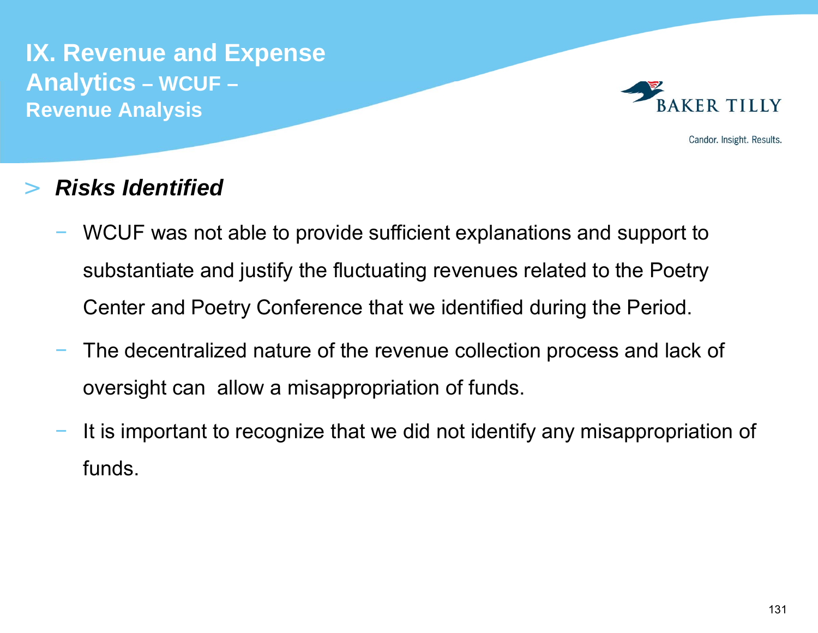

Candor. Insight. Results.

#### >*Risks Identified*

- WCUF was not able to provide sufficient explanations and support to substantiate and justify the fluctuating revenues related to the Poetry Center and Poetry Conference that we identified during the Period.
- The decentralized nature of the revenue collection process and lack of oversight can allow a misappropriation of funds.
- It is important to recognize that we did not identify any misappropriation of funds.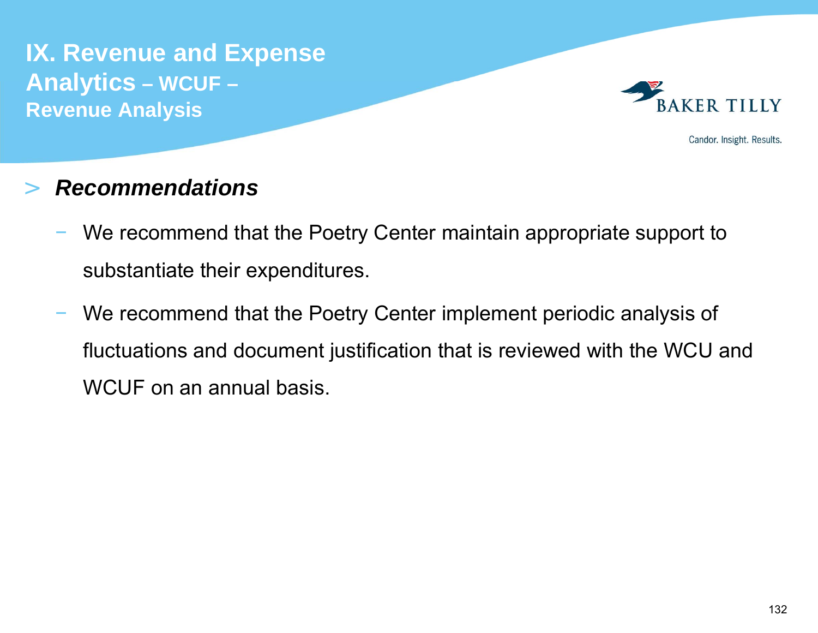

Candor. Insight. Results.

#### >*Recommendations*

- We recommend that the Poetry Center maintain appropriate support to substantiate their expenditures.
- We recommend that the Poetry Center implement periodic analysis of fluctuations and document justification that is reviewed with the WCU and WCUF on an annual basis.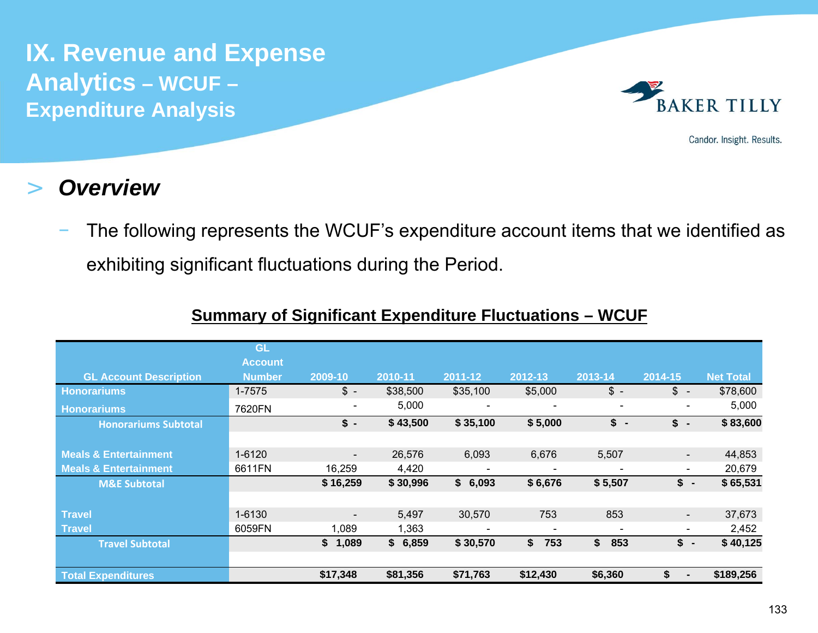

Candor. Insight. Results.

#### >*Overview*

 The following represents the WCUF's expenditure account items that we identified as exhibiting significant fluctuations during the Period.

|                                  | <b>GL</b><br><b>Account</b> |                          |          |          |                          |                                |                                |                  |
|----------------------------------|-----------------------------|--------------------------|----------|----------|--------------------------|--------------------------------|--------------------------------|------------------|
| <b>GL Account Description</b>    | <b>Number</b>               | 2009-10                  | 2010-11  | 2011-12  | 2012-13                  | 2013-14                        | 2014-15                        | <b>Net Total</b> |
| <b>Honorariums</b>               | $1 - 7575$                  | $\frac{3}{2}$ -          | \$38,500 | \$35,100 | \$5,000                  | $\frac{3}{2}$ -                | $\frac{1}{2}$ -                | \$78,600         |
| <b>Honorariums</b>               | 7620FN                      | $\overline{\phantom{a}}$ | 5,000    |          |                          | $\qquad \qquad \blacksquare$   | $\overline{\phantom{a}}$       | 5,000            |
| <b>Honorariums Subtotal</b>      |                             | $\frac{1}{2}$ -          | \$43,500 | \$35,100 | \$5,000                  | \$<br>$\overline{\phantom{a}}$ | \$<br>$\overline{\phantom{a}}$ | \$83,600         |
|                                  |                             |                          |          |          |                          |                                |                                |                  |
| <b>Meals &amp; Entertainment</b> | 1-6120                      | $\overline{\phantom{a}}$ | 26,576   | 6,093    | 6,676                    | 5,507                          |                                | 44,853           |
| <b>Meals &amp; Entertainment</b> | 6611FN                      | 16,259                   | 4,420    |          |                          |                                | $\qquad \qquad \blacksquare$   | 20,679           |
| <b>M&amp;E Subtotal</b>          |                             | \$16,259                 | \$30,996 | \$6,093  | \$6,676                  | \$5,507                        | \$<br>$\blacksquare$           | \$65,531         |
|                                  |                             |                          |          |          |                          |                                |                                |                  |
| <b>Travel</b>                    | 1-6130                      | $\overline{\phantom{a}}$ | 5,497    | 30,570   | 753                      | 853                            |                                | 37,673           |
| <b>Travel</b>                    | 6059FN                      | 1,089                    | 1,363    |          | $\overline{\phantom{a}}$ |                                |                                | 2,452            |
| <b>Travel Subtotal</b>           |                             | \$1,089                  | \$6,859  | \$30,570 | \$<br>753                | \$<br>853                      | $\frac{1}{2}$ -                | \$40,125         |
|                                  |                             |                          |          |          |                          |                                |                                |                  |
| <b>Total Expenditures</b>        |                             | \$17,348                 | \$81,356 | \$71,763 | \$12,430                 | \$6,360                        | \$                             | \$189,256        |

## **Summary of Significant Expenditure Fluctuations – WCUF**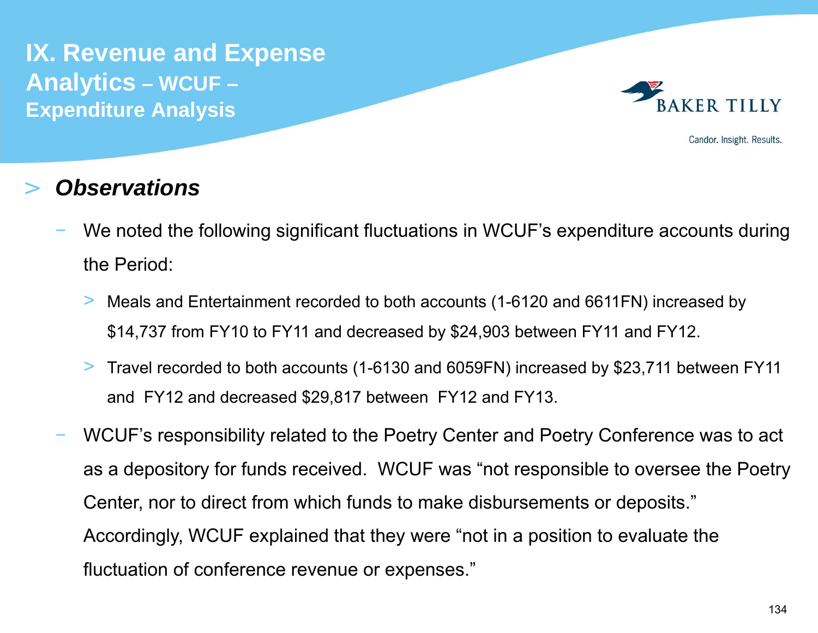

Candor. Insight. Results.

#### >*Observations*

- We noted the following significant fluctuations in WCUF's expenditure accounts during the Period:
	- $>$  Meals and Entertainment recorded to both accounts (1-6120 and 6611FN) increased by \$14,737 from FY10 to FY11 and decreased by \$24,903 between FY11 and FY12.
	- > Travel recorded to both accounts (1-6130 and 6059FN) increased by \$23,711 between FY11 and FY12 and decreased \$29,817 between FY12 and FY13.
- WCUF's responsibility related to the Poetry Center and Poetry Conference was to act as a depository for funds received. WCUF was "not responsible to oversee the Poetry Center, nor to direct from which funds to make disbursements or deposits." Accordingly, WCUF explained that they were "not in a position to evaluate the fluctuation of conference revenue or expenses."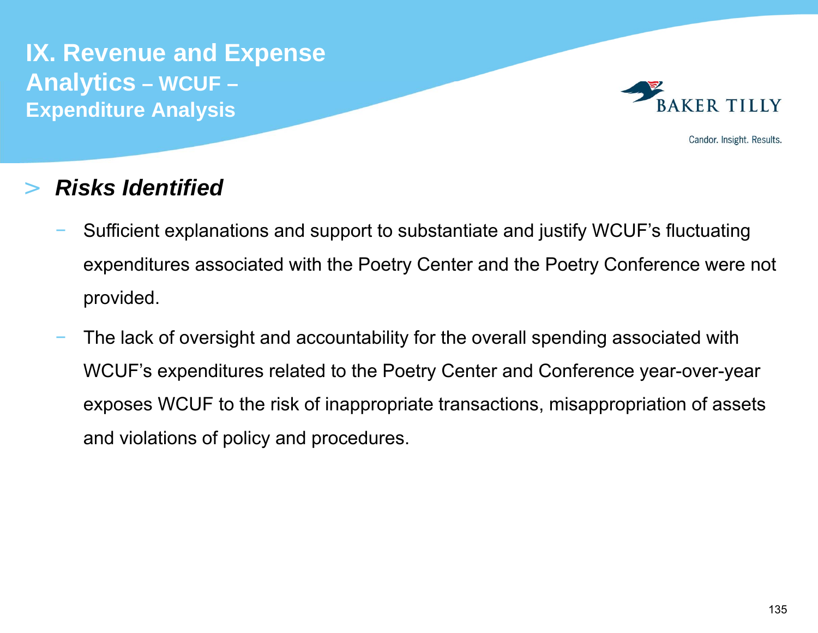

Candor. Insight. Results.

#### >*Risks Identified*

- Sufficient explanations and support to substantiate and justify WCUF's fluctuating expenditures associated with the Poetry Center and the Poetry Conference were not provided.
- The lack of oversight and accountability for the overall spending associated with WCUF's expenditures related to the Poetry Center and Conference year-over-year exposes WCUF to the risk of inappropriate transactions, misappropriation of assets and violations of policy and procedures.